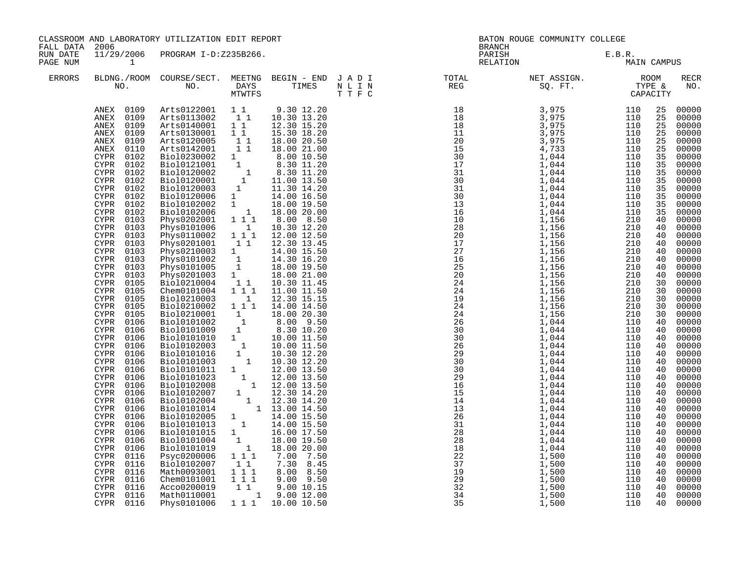| FALL DATA            | 2006                                                                                                                                                                                                                                                                                                                                                                                                                                                                                                                                                                                                                                                                                                                                                       | CLASSROOM AND LABORATORY UTILIZATION EDIT REPORT                                                                                                                                                                                                                                                                                                                                                                                                                                                                                                                                                                                                                                                                                                                                                                                                                                                                                                                                                                                                                                                                                                                               |                                          |                                                                                                                                                                                     | BRANCH | BATON ROUGE COMMUNITY COLLEGE                                                                                                                                                                                                                                                                                                                                                                   |                                                                                                                                                                                                                                                                                                          |                                                                                                                                                                                                                                                                                                                                                                                                                                                                |
|----------------------|------------------------------------------------------------------------------------------------------------------------------------------------------------------------------------------------------------------------------------------------------------------------------------------------------------------------------------------------------------------------------------------------------------------------------------------------------------------------------------------------------------------------------------------------------------------------------------------------------------------------------------------------------------------------------------------------------------------------------------------------------------|--------------------------------------------------------------------------------------------------------------------------------------------------------------------------------------------------------------------------------------------------------------------------------------------------------------------------------------------------------------------------------------------------------------------------------------------------------------------------------------------------------------------------------------------------------------------------------------------------------------------------------------------------------------------------------------------------------------------------------------------------------------------------------------------------------------------------------------------------------------------------------------------------------------------------------------------------------------------------------------------------------------------------------------------------------------------------------------------------------------------------------------------------------------------------------|------------------------------------------|-------------------------------------------------------------------------------------------------------------------------------------------------------------------------------------|--------|-------------------------------------------------------------------------------------------------------------------------------------------------------------------------------------------------------------------------------------------------------------------------------------------------------------------------------------------------------------------------------------------------|----------------------------------------------------------------------------------------------------------------------------------------------------------------------------------------------------------------------------------------------------------------------------------------------------------|----------------------------------------------------------------------------------------------------------------------------------------------------------------------------------------------------------------------------------------------------------------------------------------------------------------------------------------------------------------------------------------------------------------------------------------------------------------|
| RUN DATE<br>PAGE NUM | $\mathbf{1}$                                                                                                                                                                                                                                                                                                                                                                                                                                                                                                                                                                                                                                                                                                                                               | 11/29/2006 PROGRAM I-D:Z235B266.                                                                                                                                                                                                                                                                                                                                                                                                                                                                                                                                                                                                                                                                                                                                                                                                                                                                                                                                                                                                                                                                                                                                               |                                          |                                                                                                                                                                                     |        | PARISH E.B.R.<br>RELATION BAIN CAMPUS                                                                                                                                                                                                                                                                                                                                                           |                                                                                                                                                                                                                                                                                                          |                                                                                                                                                                                                                                                                                                                                                                                                                                                                |
| ERRORS               |                                                                                                                                                                                                                                                                                                                                                                                                                                                                                                                                                                                                                                                                                                                                                            |                                                                                                                                                                                                                                                                                                                                                                                                                                                                                                                                                                                                                                                                                                                                                                                                                                                                                                                                                                                                                                                                                                                                                                                |                                          |                                                                                                                                                                                     |        | BLDNG./ROOM COURSE/SECT. MEETNG BEGIN – END JADI TOTAL MET ASSIGN. MET ASSIGN. ROOM ROOM NO. DAYS TIMES NLIN REG REG SQ. FT. TYPE & CAPACITY                                                                                                                                                                                                                                                    |                                                                                                                                                                                                                                                                                                          | <b>RECR</b><br>NO.                                                                                                                                                                                                                                                                                                                                                                                                                                             |
|                      | ANEX 0109<br>ANEX 0109<br>ANEX 0109<br>ANEX 0109<br>ANEX 0110<br><b>CYPR</b><br>0102<br>CYPR 0102<br>CYPR 0102<br>CYPR 0102<br>CYPR 0102<br>CYPR 0102<br>CYPR 0102<br>CYPR 0102<br>CYPR 0103<br>CYPR 0103<br>CYPR 0103<br>CYPR 0103<br>CYPR 0103<br><b>CYPR</b><br>0103<br>CYPR 0103<br>CYPR 0103<br>CYPR 0105<br>CYPR 0105<br>CYPR 0105<br>CYPR 0105<br>CYPR 0105<br>CYPR 0106<br>CYPR 0106<br>CYPR<br>0106<br>CYPR 0106<br>CYPR 0106<br>CYPR 0106<br>CYPR 0106<br>0106<br>CYPR<br>CYPR<br>0106<br>0106<br><b>CYPR</b><br>CYPR<br>0106<br>0106<br>CYPR<br>CYPR 0106<br><b>CYPR</b><br>0106<br>0106<br>CYPR<br>0106<br><b>CYPR</b><br>CYPR<br>0106<br>0116<br><b>CYPR</b><br>0116<br>CYPR<br><b>CYPR</b><br>0116<br>0116<br>CYPR<br>CYPR 0116<br>CYPR 0116 | ANEX 0109 Arts0122001 1 1 9.30 12.20<br>Arts0113002 1 1<br>Arts0113002 1 1<br>Arts0130001 1 1<br>Arts0120005 1 1<br>Arts0120005 1 1 18.00 20.50<br>Arts0142001 1 1 18.00 21.00<br>Biol0121001 1 8.30 11.20<br>Biol0120002 1 8.30 11.20<br>Biol0120002 1 8.30 11.20<br>Biol0120002 1 11.30 14.20<br>Biol0120005 1 14.00 15.50<br>Biol012006 1 18.00 19.50<br>Biol01<br>Phys0101006<br>Phys0110002 1 1 1<br>Physo170002 1 1 1 12.00 12.50<br>Physo201001 1 1 12.30 13.45<br>Physo210003 1 14.00 15.50<br>Physo101002 1 14.30 16.20<br>Physo101002 1 18.00 19.50<br>Physo201003 1 18.00 21.00<br>Biol0210004 1 1 10.30 11.45<br>Chem0101004 1 1 11.00 11.<br>Biol0210003   1   12.30   15.15<br>Biol0210002   1   1   14.00   14.50<br>$\begin{tabular}{l c c c} \hline \texttt{Biol0210002} & 1 & 1 & 14.00 & 14.50 \\ \hline \texttt{Biol0210001} & 1 & 18.00 & 20.30 \\ \texttt{Biol0101002} & 1 & 8.00 & 9.50 \\ \texttt{Biol0101009} & 1 & 8.30 & 10.20 \\ \texttt{Biol01010100} & 1 & 10.00 & 11.50 \\ \texttt{Biol01010100} & 1 & 10.00 & 11.50 \\ \texttt{Biol$<br>Psyc0200006 1 1 1<br>Bio10102007<br>Math0093001 111<br>Chem0101001 1 1 1<br>Acco0200019<br>Math0110001 | $\overline{1}$<br>$1\quad1$<br>$1\quad1$ | 10.30 13.20<br>12.30 15.20<br>15.30 18.20<br>18.00 20.50<br>10.30 12.20<br>12.00 12.50<br>$7.00$ $7.50$<br>$7.30$ $8.45$<br>8.00 8.50<br>$9.00$ $9.50$<br>9.0010.15<br>1 9.00 12.00 |        | $\begin{array}{cccc} \textbf{1.1} & \textbf{1.2} & \textbf{1.3} \\ \textbf{1.3} & \textbf{1.4} \\ \textbf{1.5} & \textbf{1.5} \\ \textbf{1.6} & \textbf{1.7} \\ \textbf{1.7} & \textbf{1.8} \\ \textbf{1.9} & \textbf{1.9} \\ \textbf{1.10} & \textbf{1.9} \\ \textbf{1.11} & \textbf{1.9} \\ \textbf{1.12} & \textbf{1.9} \\ \textbf{1.13} & \textbf{1.9} \\ \textbf{1.14} & \textbf{1.14} \\$ | 25<br>25<br>25<br>25<br>25<br>25<br>35<br>35<br>35<br>35<br>35<br>35<br>35<br>35<br>40<br>40<br>40<br>40<br>40<br>40<br>40<br>40<br>30<br>30<br>30<br>30<br>30<br>40<br>40<br>40<br>40<br>40<br>40<br>40<br>40<br>40<br>40<br>40<br>40<br>40<br>40<br>40<br>40<br>40<br>40<br>40<br>40<br>40<br>40<br>40 | 00000<br>00000<br>00000<br>00000<br>00000<br>00000<br>00000<br>00000<br>00000<br>00000<br>00000<br>00000<br>00000<br>00000<br>00000<br>00000<br>00000<br>00000<br>00000<br>00000<br>00000<br>00000<br>00000<br>00000<br>00000<br>00000<br>00000<br>00000<br>00000<br>00000<br>00000<br>00000<br>00000<br>00000<br>00000<br>00000<br>00000<br>00000<br>00000<br>00000<br>00000<br>00000<br>00000<br>00000<br>00000<br>00000<br>00000<br>00000<br>00000<br>00000 |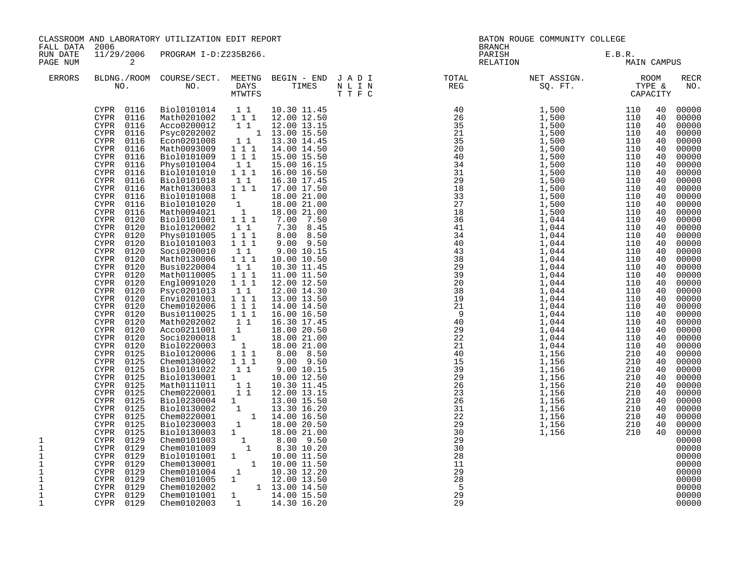| FALL DATA                                                                                               | 2006                                                                                                                                                                                                                                                                                                                                                                                                                                                                                                                                                                                                                                                                                                                                                                                                                                                                                                                                                 | CLASSROOM AND LABORATORY UTILIZATION EDIT REPORT                                                                                                                                                                                                                                                                                                                                                                                                                                                                                                                                                                                                                                                                                                                                                                                                                                                                                                                                     |                                                                                                                                                                                                                                                                                                                                                           |                                                                                                                                                                                                                                                                                                                                                                                                                                                                                                                                                                                                                                                           |  | BATON ROUGE COMMUNITY COLLEGE<br><b>BRANCH</b>                                                                                                                                                                                                                                                                                                                                                                                     |                       |                                                                                                                                                                                                                                                          |                                                                                                                                                                                                                                                                                                                                                                                                                                                                         |
|---------------------------------------------------------------------------------------------------------|------------------------------------------------------------------------------------------------------------------------------------------------------------------------------------------------------------------------------------------------------------------------------------------------------------------------------------------------------------------------------------------------------------------------------------------------------------------------------------------------------------------------------------------------------------------------------------------------------------------------------------------------------------------------------------------------------------------------------------------------------------------------------------------------------------------------------------------------------------------------------------------------------------------------------------------------------|--------------------------------------------------------------------------------------------------------------------------------------------------------------------------------------------------------------------------------------------------------------------------------------------------------------------------------------------------------------------------------------------------------------------------------------------------------------------------------------------------------------------------------------------------------------------------------------------------------------------------------------------------------------------------------------------------------------------------------------------------------------------------------------------------------------------------------------------------------------------------------------------------------------------------------------------------------------------------------------|-----------------------------------------------------------------------------------------------------------------------------------------------------------------------------------------------------------------------------------------------------------------------------------------------------------------------------------------------------------|-----------------------------------------------------------------------------------------------------------------------------------------------------------------------------------------------------------------------------------------------------------------------------------------------------------------------------------------------------------------------------------------------------------------------------------------------------------------------------------------------------------------------------------------------------------------------------------------------------------------------------------------------------------|--|------------------------------------------------------------------------------------------------------------------------------------------------------------------------------------------------------------------------------------------------------------------------------------------------------------------------------------------------------------------------------------------------------------------------------------|-----------------------|----------------------------------------------------------------------------------------------------------------------------------------------------------------------------------------------------------------------------------------------------------|-------------------------------------------------------------------------------------------------------------------------------------------------------------------------------------------------------------------------------------------------------------------------------------------------------------------------------------------------------------------------------------------------------------------------------------------------------------------------|
| RUN DATE<br>PAGE NUM                                                                                    | $\overline{a}$                                                                                                                                                                                                                                                                                                                                                                                                                                                                                                                                                                                                                                                                                                                                                                                                                                                                                                                                       | 11/29/2006 PROGRAM I-D:Z235B266.                                                                                                                                                                                                                                                                                                                                                                                                                                                                                                                                                                                                                                                                                                                                                                                                                                                                                                                                                     |                                                                                                                                                                                                                                                                                                                                                           |                                                                                                                                                                                                                                                                                                                                                                                                                                                                                                                                                                                                                                                           |  | PARISH<br>RELATION                                                                                                                                                                                                                                                                                                                                                                                                                 | E.B.R.<br>MAIN CAMPUS |                                                                                                                                                                                                                                                          |                                                                                                                                                                                                                                                                                                                                                                                                                                                                         |
| <b>ERRORS</b>                                                                                           |                                                                                                                                                                                                                                                                                                                                                                                                                                                                                                                                                                                                                                                                                                                                                                                                                                                                                                                                                      |                                                                                                                                                                                                                                                                                                                                                                                                                                                                                                                                                                                                                                                                                                                                                                                                                                                                                                                                                                                      |                                                                                                                                                                                                                                                                                                                                                           |                                                                                                                                                                                                                                                                                                                                                                                                                                                                                                                                                                                                                                                           |  | BLDNG./ROOM COURSE/SECT. MEETNG BEGIN – END JADI TOTAL TOTAL NET ASSIGN. ROOM ROOM NO. DAYS TIMES NLIN REG SQ.FT. TYPE &                                                                                                                                                                                                                                                                                                           |                       |                                                                                                                                                                                                                                                          | <b>RECR</b><br>NO.                                                                                                                                                                                                                                                                                                                                                                                                                                                      |
| 1<br>1<br>$\mathbf 1$<br>1<br>$\mathbf 1$<br>$\mathbf 1$<br>$\mathbf 1$<br>$\mathbf{1}$<br>$\mathbf{1}$ | CYPR 0116<br>CYPR 0116<br>CYPR 0116<br>CYPR<br>0116<br>CYPR 0116<br>CYPR<br>0116<br>0116<br>CYPR<br><b>CYPR</b><br>0116<br>0116<br>CYPR<br><b>CYPR</b><br>0116<br>0116<br>CYPR<br><b>CYPR</b><br>0116<br><b>CYPR</b><br>0116<br>CYPR<br>0120<br><b>CYPR</b><br>0120<br>0120<br>CYPR<br><b>CYPR</b><br>0120<br>CYPR 0120<br>CYPR<br>0120<br><b>CYPR</b><br>0120<br>CYPR<br>0120<br>0120<br><b>CYPR</b><br><b>CYPR</b><br>0120<br><b>CYPR</b><br>0120<br>CYPR<br>0120<br><b>CYPR</b><br>0120<br>CYPR<br>0120<br><b>CYPR</b><br>0120<br>0120<br>CYPR<br><b>CYPR</b><br>0120<br><b>CYPR</b><br>0125<br>0125<br><b>CYPR</b><br><b>CYPR</b><br>0125<br><b>CYPR</b><br>0125<br>0125<br><b>CYPR</b><br>CYPR<br>0125<br>0125<br><b>CYPR</b><br>0125<br>CYPR<br>0125<br><b>CYPR</b><br>0125<br>CYPR<br>CYPR<br>0125<br><b>CYPR</b><br>0129<br>CYPR<br>0129<br>0129<br>CYPR<br>CYPR 0129<br>CYPR<br>0129<br>CYPR 0129<br>0129<br>CYPR<br>CYPR 0129<br>CYPR 0129 | CYPR 0116 Biol0101014 11<br>Math0201002 1 1 1 12.00 12.50<br>Acco0200012<br>Psyc0202002<br>Econ0201008<br>Math0093009<br>Bio10101009<br>Phys0101004<br>Bio10101010<br>Bio10101018<br>Math0130003 111<br>Bio10101008<br>Bio10101020<br>Math0094021<br>Biol0101001 111<br>Bio10120002<br>Phys0101005<br>Bio10101003<br>Soci0200010<br>Math0130006<br>Busi0220004<br>Math0110005<br>Engl0091020<br>Psyc0201013<br>Envi0201001<br>Chem0102006<br>Busi0110025 111<br>Math0202002 1 1<br>Acco0211001<br>Soci0200018<br>Bio10220003<br>Bio10120006<br>Chem0130002<br>Bio10101022<br>Biol0130001 1<br>Math0111011 11<br>Chem0220001<br>Biol0230004 1 13.00 15.50<br>Biol0130002 1 13.30 16.20<br>Chem02220001 1 14.00 16.50<br>Bio10230003<br>Biol0130003 1<br>Chem0101003 1<br>Chem0101009 1<br>Biol0101001 1<br>Chem0130001 1 10.00 11.50<br>Chem0101004 1 10.30 12.20<br>Chem0101005 1 12.00 13.50<br>Chem0102002 1 13.00 13.50<br>Chem0102002 1 13.00 14.50<br>Chem0102003 1 14.30 16.20 | 11<br>1 1 1<br>$1 1 1$<br>11<br>$1 1 1$<br>$1\quad1$<br>$\frac{1}{2}$<br>$\begin{smallmatrix}1\1\end{smallmatrix}$<br>11<br>1 1 1<br>$1 1 1$<br>$1\quad1$<br>1 1 1<br>11<br>1 1 1<br>1 1 1<br>11<br>$1^{\circ}1^{\circ}1$<br>1 1 1<br>$\mathbf{1}$<br>1<br>$\begin{array}{cccc}\n1 & 1 \\ 1 & 1 & 1\n\end{array}$<br>1 1 1<br>$1\quad1$<br>$1\quad1$<br>1 | 10.30 11.45<br>12.00 13.15<br>$1 \quad 1 \quad 13.00 \quad 15.50$<br>1 1 13.30 14.45<br>14.00 14.50<br>15.00 15.50<br>15.00 16.15<br>16.00 16.50<br>16.30 17.45<br>17.00 17.50<br>18.00 21.00<br>18.00 21.00<br>18.00 21.00<br>7.00 7.50<br>7.30 8.45<br>8.00 8.50<br>$9.00$ $9.50$<br>9.00 10.15<br>10.00 10.50<br>10.30 11.45<br>11.00 11.50<br>12.00 12.50<br>12.00 14.30<br>13.00 13.50<br>14.00 14.50<br>16.00 16.50<br>16.30 17.45<br>18.00 20.50<br>18.00 21.00<br>18.00 21.00<br>8.00 8.50<br>$9.00$ $9.50$<br>$9.00\ 10.15$<br>10.00 12.50<br>10.30 11.45<br>12.00 13.15<br>18.00 20.50<br>18.00 21.00<br>8.00 9.50<br>8.30 10.20<br>10.00 11.50 |  | $\begin{array}{cccc} \textbf{51} & \textbf{1} & \textbf{1} & \textbf{1} & \textbf{1} & \textbf{1} & \textbf{1} & \textbf{1} & \textbf{1} & \textbf{1} & \textbf{1} & \textbf{1} & \textbf{1} & \textbf{1} & \textbf{1} & \textbf{1} & \textbf{1} & \textbf{1} & \textbf{1} & \textbf{1} & \textbf{1} & \textbf{1} & \textbf{1} & \textbf{1} & \textbf{1} & \textbf{1} & \textbf{1} & \textbf{1} & \textbf{1} & \textbf{1} & \text$ |                       | 40<br>40<br>40<br>40<br>40<br>40<br>40<br>40<br>40<br>40<br>40<br>40<br>40<br>40<br>40<br>40<br>40<br>40<br>40<br>40<br>40<br>40<br>40<br>40<br>40<br>40<br>40<br>40<br>40<br>40<br>40<br>40<br>40<br>40<br>40<br>40<br>40<br>40<br>40<br>40<br>40<br>40 | 00000<br>00000<br>00000<br>00000<br>00000<br>00000<br>00000<br>00000<br>00000<br>00000<br>00000<br>00000<br>00000<br>00000<br>00000<br>00000<br>00000<br>00000<br>00000<br>00000<br>00000<br>00000<br>00000<br>00000<br>00000<br>00000<br>00000<br>00000<br>00000<br>00000<br>00000<br>00000<br>00000<br>00000<br>00000<br>00000<br>00000<br>00000<br>00000<br>00000<br>00000<br>00000<br>00000<br>00000<br>00000<br>00000<br>00000<br>00000<br>00000<br>00000<br>00000 |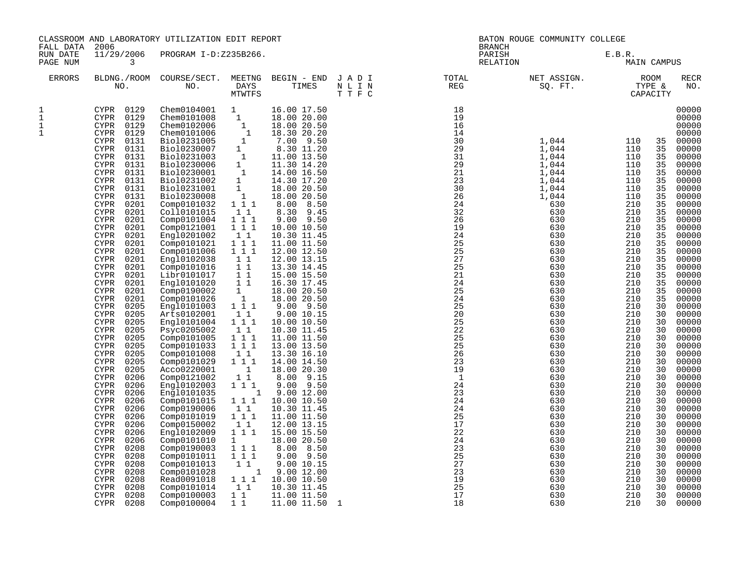| FALL DATA                    | 2006                                                                                                                                                                                                                                                                                                                                                                                                                                                                                                                                                                                                                                                                                                                                                                                                                                                                                                                                                                                                                                                                                                                                                | CLASSROOM AND LABORATORY UTILIZATION EDIT REPORT                                                                                                                                                                                                                                                                                                                                                                                                                                                                                                                                                                                                                                                                                                                                            |                                                                                                                                                                                                                                                                                                                                                                                                                                                                                                                                                                                                             |                                                                                                                                                                                                                                                                                                                                                                                                                                                                                                                                                                                                                                                                                                                                                                                      |                          |                                                                                                                                                                                                                                                                                                                                                                                       | BATON ROUGE COMMUNITY COLLEGE<br><b>BRANCH</b>                                                                                                                                                                                                                                                                                                                |                                                                                                                                                                                                                                                                                                                                |                                                                                                                                                                                                                                                                                        |                                                                                                                                                                                                                                                                                                                                                                                                                                                                         |
|------------------------------|-----------------------------------------------------------------------------------------------------------------------------------------------------------------------------------------------------------------------------------------------------------------------------------------------------------------------------------------------------------------------------------------------------------------------------------------------------------------------------------------------------------------------------------------------------------------------------------------------------------------------------------------------------------------------------------------------------------------------------------------------------------------------------------------------------------------------------------------------------------------------------------------------------------------------------------------------------------------------------------------------------------------------------------------------------------------------------------------------------------------------------------------------------|---------------------------------------------------------------------------------------------------------------------------------------------------------------------------------------------------------------------------------------------------------------------------------------------------------------------------------------------------------------------------------------------------------------------------------------------------------------------------------------------------------------------------------------------------------------------------------------------------------------------------------------------------------------------------------------------------------------------------------------------------------------------------------------------|-------------------------------------------------------------------------------------------------------------------------------------------------------------------------------------------------------------------------------------------------------------------------------------------------------------------------------------------------------------------------------------------------------------------------------------------------------------------------------------------------------------------------------------------------------------------------------------------------------------|--------------------------------------------------------------------------------------------------------------------------------------------------------------------------------------------------------------------------------------------------------------------------------------------------------------------------------------------------------------------------------------------------------------------------------------------------------------------------------------------------------------------------------------------------------------------------------------------------------------------------------------------------------------------------------------------------------------------------------------------------------------------------------------|--------------------------|---------------------------------------------------------------------------------------------------------------------------------------------------------------------------------------------------------------------------------------------------------------------------------------------------------------------------------------------------------------------------------------|---------------------------------------------------------------------------------------------------------------------------------------------------------------------------------------------------------------------------------------------------------------------------------------------------------------------------------------------------------------|--------------------------------------------------------------------------------------------------------------------------------------------------------------------------------------------------------------------------------------------------------------------------------------------------------------------------------|----------------------------------------------------------------------------------------------------------------------------------------------------------------------------------------------------------------------------------------------------------------------------------------|-------------------------------------------------------------------------------------------------------------------------------------------------------------------------------------------------------------------------------------------------------------------------------------------------------------------------------------------------------------------------------------------------------------------------------------------------------------------------|
| RUN DATE<br>PAGE NUM         | 11/29/2006<br>3                                                                                                                                                                                                                                                                                                                                                                                                                                                                                                                                                                                                                                                                                                                                                                                                                                                                                                                                                                                                                                                                                                                                     | PROGRAM I-D:Z235B266.                                                                                                                                                                                                                                                                                                                                                                                                                                                                                                                                                                                                                                                                                                                                                                       |                                                                                                                                                                                                                                                                                                                                                                                                                                                                                                                                                                                                             |                                                                                                                                                                                                                                                                                                                                                                                                                                                                                                                                                                                                                                                                                                                                                                                      |                          |                                                                                                                                                                                                                                                                                                                                                                                       | PARISH<br>RELATION                                                                                                                                                                                                                                                                                                                                            | E.B.R.<br>MAIN CAMPUS                                                                                                                                                                                                                                                                                                          |                                                                                                                                                                                                                                                                                        |                                                                                                                                                                                                                                                                                                                                                                                                                                                                         |
| ERRORS                       |                                                                                                                                                                                                                                                                                                                                                                                                                                                                                                                                                                                                                                                                                                                                                                                                                                                                                                                                                                                                                                                                                                                                                     | BLDNG./ROOM COURSE/SECT. MEETNG BEGIN – END J A D I TOTAL TOTAL NO. DAYS TIMES N L I N REG REG MULL N                                                                                                                                                                                                                                                                                                                                                                                                                                                                                                                                                                                                                                                                                       | MTWTFS                                                                                                                                                                                                                                                                                                                                                                                                                                                                                                                                                                                                      |                                                                                                                                                                                                                                                                                                                                                                                                                                                                                                                                                                                                                                                                                                                                                                                      | TTFC                     |                                                                                                                                                                                                                                                                                                                                                                                       |                                                                                                                                                                                                                                                                                                                                                               |                                                                                                                                                                                                                                                                                                                                |                                                                                                                                                                                                                                                                                        | RECR<br>NO.                                                                                                                                                                                                                                                                                                                                                                                                                                                             |
| 1<br>$1\,$<br>$1\,$<br>$1\,$ | CYPR 0129<br>0129<br>CYPR<br>CYPR 0129<br><b>CYPR</b><br>0129<br>0131<br>CYPR<br>0131<br><b>CYPR</b><br>0131<br>CYPR<br><b>CYPR</b><br>0131<br>0131<br><b>CYPR</b><br><b>CYPR</b><br>0131<br><b>CYPR</b><br>0131<br><b>CYPR</b><br>0131<br>0201<br><b>CYPR</b><br><b>CYPR</b><br>0201<br><b>CYPR</b><br>0201<br><b>CYPR</b><br>0201<br>0201<br><b>CYPR</b><br><b>CYPR</b><br>0201<br><b>CYPR</b><br>0201<br><b>CYPR</b><br>0201<br>0201<br><b>CYPR</b><br><b>CYPR</b><br>0201<br>0201<br><b>CYPR</b><br><b>CYPR</b><br>0201<br>0201<br><b>CYPR</b><br><b>CYPR</b><br>0205<br>0205<br><b>CYPR</b><br><b>CYPR</b><br>0205<br>0205<br><b>CYPR</b><br><b>CYPR</b><br>0205<br>0205<br><b>CYPR</b><br>0205<br>CYPR<br>0205<br><b>CYPR</b><br><b>CYPR</b><br>0205<br><b>CYPR</b><br>0206<br><b>CYPR</b><br>0206<br>0206<br><b>CYPR</b><br>0206<br>CYPR<br>0206<br><b>CYPR</b><br>0206<br><b>CYPR</b><br><b>CYPR</b><br>0206<br>0206<br><b>CYPR</b><br>0206<br><b>CYPR</b><br>0208<br><b>CYPR</b><br><b>CYPR</b><br>0208<br>0208<br><b>CYPR</b><br><b>CYPR</b><br>0208<br>0208<br><b>CYPR</b><br>0208<br><b>CYPR</b><br>0208<br><b>CYPR</b><br>0208<br>CYPR | Chem0104001 1<br>Chem0101008<br>Chem0102006<br>Chem0101006<br>Bio10231005<br>Bio10230007<br>Bio10231003<br>Bio10230006<br>Bio10230001<br>Bio10231002<br>Bio10231001<br>Bio10230008<br>Comp0101032<br>Coll0101015<br>Comp0101004<br>Comp0121001<br>Engl0201002<br>Comp0101021<br>Comp0101006<br>Engl0102038<br>Comp0101016<br>Libr0101017<br>Engl0101020<br>Comp0190002<br>Comp0101026<br>Engl0101003<br>Arts0102001<br>Engl0101004<br>Psyc0205002<br>Comp0101005<br>Comp0101033<br>Comp0101008<br>Comp0101029<br>Acco0220001<br>Comp0121002<br>Engl0102003<br>Engl0101035<br>Comp0101015<br>Comp0190006<br>Comp0101019<br>Comp0150002<br>Engl0102009<br>Comp0101010<br>Comp0190003<br>Comp0101011<br>Comp0101013<br>Comp0101028<br>Read0091018<br>Comp0101014<br>Comp0100003<br>Comp0100004 | $\overline{1}$<br>$\begin{smallmatrix}1&&\\&1\\1&&\end{smallmatrix}$<br>1<br>$\overline{1}$<br>$\mathbf{1}$<br>$\overline{1}$<br>1<br>1<br>1<br>$1 1 1$<br>1 1<br>$1 1 1$<br>$1 1 1$<br>1 1<br>111<br>111<br>11<br>$1\quad1$<br>11<br>11<br>$\mathbf{1}$<br>$\begin{smallmatrix}&&1\\&&1\\1&1&1\end{smallmatrix}$<br>$1\quad1$<br>1 1 1<br>1 1<br>1 1 1<br>$1 \quad 1 \quad 1$<br>11<br>$1 1 1$<br>$\overline{\phantom{0}}$<br>$1\quad1$<br>1 1 1<br>$\sim$ 1<br>1 1 1<br>$1\quad1$<br>$1 1 1$<br>1 1<br>1 1 1<br>$1 \quad \blacksquare$<br>$1 1 1$<br>1 1 1<br>$1\quad1$<br>1 1 1<br>11<br>11<br>$1\quad1$ | 16.00 17.50<br>18.00 20.00<br>18.00 20.50<br>18.30 20.20<br>7.00 9.50<br>8.30 11.20<br>11.00 13.50<br>11.30 14.20<br>14.00 16.50<br>14.30 17.20<br>18.00 20.50<br>18.00 20.50<br>8.00 8.50<br>8.30 9.45<br>$9.00$ $9.50$<br>10.00 10.50<br>10.30 11.45<br>11.00 11.50<br>12.00 12.50<br>12.00 13.15<br>13.30 14.45<br>15.00 15.50<br>16.30 17.45<br>18.00 20.50<br>18.00 20.50<br>$9.00$ $9.50$<br>9.00 10.15<br>10.00 10.50<br>10.30 11.45<br>11.00 11.50<br>13.00 13.50<br>13.30 16.10<br>14.00 14.50<br>18.00 20.30<br>8.00 9.15<br>$9.00$ $9.50$<br>9.00 12.00<br>10.00 10.50<br>10.30 11.45<br>11.00 11.50<br>12.00 13.15<br>15.00 15.50<br>18.00 20.50<br>8.00 8.50<br>$9.00$ $9.50$<br>9.00 10.15<br>1 9.00 12.00<br>10.00 10.50<br>10.30 11.45<br>11.00 11.50<br>11.00 11.50 | $\overline{\phantom{0}}$ | 18<br>19<br>16<br>14<br>30<br>$\frac{29}{31}$<br>$\frac{29}{21}$<br>$\frac{21}{23}$<br>$\frac{23}{26}$<br>$\frac{26}{23}$<br>32<br>26<br>19<br>$\frac{1}{24}$<br>25<br>25<br>27<br>25<br>21<br>24<br>25<br>24<br>25<br>20<br>25<br>22<br>25<br>25<br>26<br>23<br>19<br>$\overline{1}$<br>24<br>23<br>24<br>24<br>25<br>17<br>22<br>24<br>23<br>25<br>27<br>23<br>19<br>25<br>17<br>18 | $1,044$ $110$<br>1,044<br>1,044<br>1,044<br>1,044<br>1,044<br>1,044<br>1,044<br>630<br>630<br>630<br>630<br>630<br>630<br>630<br>630<br>630<br>630<br>630<br>630<br>630<br>630<br>630<br>630<br>630<br>630<br>630<br>630<br>630<br>630<br>630<br>630<br>630<br>630<br>630<br>630<br>630<br>630<br>630<br>630<br>630<br>630<br>630<br>630<br>630<br>630<br>630 | 110<br>110<br>110<br>110<br>110<br>110<br>110<br>210<br>210<br>210<br>210<br>210<br>210<br>210<br>210<br>210<br>210<br>210<br>210<br>210<br>210<br>210<br>210<br>210<br>210<br>210<br>210<br>210<br>210<br>210<br>210<br>210<br>210<br>210<br>210<br>210<br>210<br>210<br>210<br>210<br>210<br>210<br>210<br>210<br>210<br>210 | 35<br>35<br>35<br>35<br>35<br>35<br>35<br>35<br>35<br>35<br>35<br>35<br>35<br>35<br>35<br>35<br>35<br>35<br>35<br>35<br>35<br>30<br>30<br>30<br>30<br>30<br>30<br>30<br>30<br>30<br>30<br>30<br>30<br>30<br>30<br>30<br>30<br>30<br>30<br>30<br>30<br>30<br>30<br>30<br>30<br>30<br>30 | 00000<br>00000<br>00000<br>00000<br>00000<br>00000<br>00000<br>00000<br>00000<br>00000<br>00000<br>00000<br>00000<br>00000<br>00000<br>00000<br>00000<br>00000<br>00000<br>00000<br>00000<br>00000<br>00000<br>00000<br>00000<br>00000<br>00000<br>00000<br>00000<br>00000<br>00000<br>00000<br>00000<br>00000<br>00000<br>00000<br>00000<br>00000<br>00000<br>00000<br>00000<br>00000<br>00000<br>00000<br>00000<br>00000<br>00000<br>00000<br>00000<br>00000<br>00000 |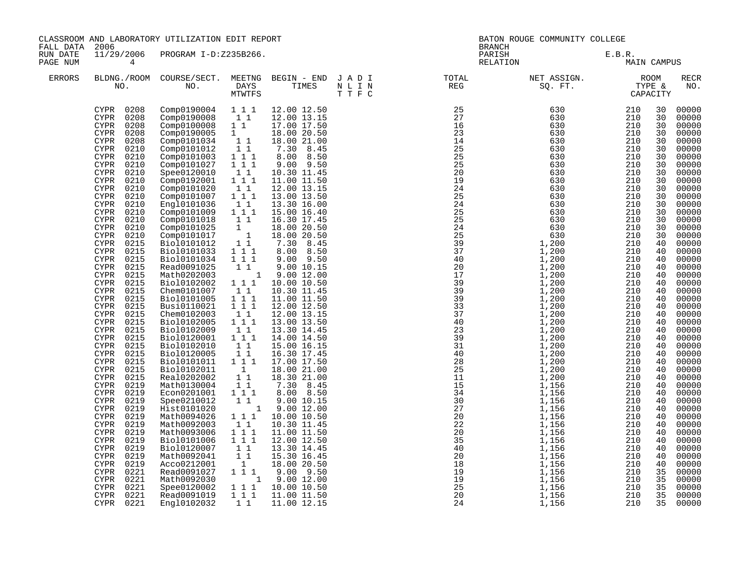|                      | CLASSROOM AND LABORATORY UTILIZATION EDIT REPORT<br>2006<br>FALL DATA<br>11/29/2006 PROGRAM I-D:Z235B266.                                                                                                                                                                                                                                                                                                                                                                                                                                                                                                                                                                                                                                                                                                                                                                                                                                                                                                                                                                                                 |                                                                                                                                                                                                                                                                                                                                                                                                                                                                                                                                                                                                                                                                                                                                                                   |                                                                                                                                                                                                                                                                                                                                                                                                                                                                                                                  |                                                                                                                                                                                                                                                                                                                                                                                                                                                                                                                                                                                                                                                                                                                                                                       | BATON ROUGE COMMUNITY COLLEGE<br><b>BRANCH</b>                                                        |                    |                                                                                                                                                                                                                                                                                                                                                                                                  |                                                                                                                                                                                                                                                                                                          |                                                                                                                                                                                                                                                                                                                                                                                                                                                                |
|----------------------|-----------------------------------------------------------------------------------------------------------------------------------------------------------------------------------------------------------------------------------------------------------------------------------------------------------------------------------------------------------------------------------------------------------------------------------------------------------------------------------------------------------------------------------------------------------------------------------------------------------------------------------------------------------------------------------------------------------------------------------------------------------------------------------------------------------------------------------------------------------------------------------------------------------------------------------------------------------------------------------------------------------------------------------------------------------------------------------------------------------|-------------------------------------------------------------------------------------------------------------------------------------------------------------------------------------------------------------------------------------------------------------------------------------------------------------------------------------------------------------------------------------------------------------------------------------------------------------------------------------------------------------------------------------------------------------------------------------------------------------------------------------------------------------------------------------------------------------------------------------------------------------------|------------------------------------------------------------------------------------------------------------------------------------------------------------------------------------------------------------------------------------------------------------------------------------------------------------------------------------------------------------------------------------------------------------------------------------------------------------------------------------------------------------------|-----------------------------------------------------------------------------------------------------------------------------------------------------------------------------------------------------------------------------------------------------------------------------------------------------------------------------------------------------------------------------------------------------------------------------------------------------------------------------------------------------------------------------------------------------------------------------------------------------------------------------------------------------------------------------------------------------------------------------------------------------------------------|-------------------------------------------------------------------------------------------------------|--------------------|--------------------------------------------------------------------------------------------------------------------------------------------------------------------------------------------------------------------------------------------------------------------------------------------------------------------------------------------------------------------------------------------------|----------------------------------------------------------------------------------------------------------------------------------------------------------------------------------------------------------------------------------------------------------------------------------------------------------|----------------------------------------------------------------------------------------------------------------------------------------------------------------------------------------------------------------------------------------------------------------------------------------------------------------------------------------------------------------------------------------------------------------------------------------------------------------|
| RUN DATE<br>PAGE NUM | 4                                                                                                                                                                                                                                                                                                                                                                                                                                                                                                                                                                                                                                                                                                                                                                                                                                                                                                                                                                                                                                                                                                         |                                                                                                                                                                                                                                                                                                                                                                                                                                                                                                                                                                                                                                                                                                                                                                   |                                                                                                                                                                                                                                                                                                                                                                                                                                                                                                                  |                                                                                                                                                                                                                                                                                                                                                                                                                                                                                                                                                                                                                                                                                                                                                                       |                                                                                                       | PARISH<br>RELATION | E.B.R.<br>MAIN CAMPUS                                                                                                                                                                                                                                                                                                                                                                            |                                                                                                                                                                                                                                                                                                          |                                                                                                                                                                                                                                                                                                                                                                                                                                                                |
| ERRORS               |                                                                                                                                                                                                                                                                                                                                                                                                                                                                                                                                                                                                                                                                                                                                                                                                                                                                                                                                                                                                                                                                                                           |                                                                                                                                                                                                                                                                                                                                                                                                                                                                                                                                                                                                                                                                                                                                                                   | MTWTFS                                                                                                                                                                                                                                                                                                                                                                                                                                                                                                           |                                                                                                                                                                                                                                                                                                                                                                                                                                                                                                                                                                                                                                                                                                                                                                       | BLDNG./ROOM COURSE/SECT. MEETNG BEGIN – END JADI TOTAL TOTAL NO. DAYS TIMES NLIN REG REG TTFC<br>TTFC |                    |                                                                                                                                                                                                                                                                                                                                                                                                  |                                                                                                                                                                                                                                                                                                          | RECR<br>NO.                                                                                                                                                                                                                                                                                                                                                                                                                                                    |
|                      | CYPR 0208<br>0208<br>CYPR<br>0208<br><b>CYPR</b><br>0208<br><b>CYPR</b><br>0208<br><b>CYPR</b><br>0210<br><b>CYPR</b><br>0210<br><b>CYPR</b><br><b>CYPR</b><br>0210<br><b>CYPR</b><br>0210<br>0210<br><b>CYPR</b><br><b>CYPR</b><br>0210<br>0210<br><b>CYPR</b><br><b>CYPR</b><br>0210<br>0210<br>CYPR<br><b>CYPR</b><br>0210<br>0210<br><b>CYPR</b><br>CYPR<br>0210<br>0215<br><b>CYPR</b><br>0215<br>CYPR<br>0215<br><b>CYPR</b><br>0215<br>CYPR<br>0215<br><b>CYPR</b><br>0215<br><b>CYPR</b><br>0215<br><b>CYPR</b><br>0215<br>CYPR<br>0215<br><b>CYPR</b><br><b>CYPR</b><br>0215<br><b>CYPR</b><br>0215<br>0215<br><b>CYPR</b><br><b>CYPR</b><br>0215<br>0215<br><b>CYPR</b><br>0215<br>CYPR<br>0215<br><b>CYPR</b><br><b>CYPR</b><br>0215<br>0215<br><b>CYPR</b><br>0219<br>CYPR<br>0219<br><b>CYPR</b><br>0219<br><b>CYPR</b><br>0219<br><b>CYPR</b><br>0219<br><b>CYPR</b><br>0219<br><b>CYPR</b><br>0219<br><b>CYPR</b><br>0219<br><b>CYPR</b><br>0219<br>CYPR<br>0219<br><b>CYPR</b><br>0219<br><b>CYPR</b><br><b>CYPR</b><br>0221<br>0221<br><b>CYPR</b><br><b>CYPR</b><br>0221<br><b>CYPR</b> | Comp0190004 1 1 1<br>Comp0190008<br>Comp0100008<br>Comp0190005<br>Comp0101034<br>Comp0101012<br>Comp0101003<br>Comp0101027<br>Spee0120010<br>Comp0192001<br>Comp0101020<br>Comp0101007<br>Engl0101036<br>Comp0101009<br>Comp0101018<br>Comp0101025<br>Comp0101017<br>Bio10101012<br>Bio10101033<br>Bio10101034<br>Read0091025<br>Math0202003<br>Bio10102002<br>Chem0101007<br>Bio10101005<br>Busi0110021<br>Chem0102003<br>Bio10102005<br>Bio10102009<br>Bio10120001<br>Bio10102010<br>Bio10120005<br>Bio10101011<br>Bio10102011<br>Real0202002<br>Math0130004<br>Econ0201001<br>Spee0210012<br>Hist0101020<br>Math0094026<br>Math0092003<br>Math0093006<br>Bio10101006<br>Bio10120007<br>Math0092041<br>Acco0212001<br>Read0091027<br>Math0092030<br>Spee0120002 | $1\quad1$<br>11<br>1<br>$1\;\;1$<br>11<br>1 1 1<br>1 1 1<br>$1\quad1$<br>111<br>$\begin{smallmatrix}1&1\\1&1&1\end{smallmatrix}$<br>11<br>$1 1 1$<br>11<br>$\mathbf{1}$<br>$\begin{array}{ccc} & 1 \\ 1 & 1 \end{array}$<br>$1\ 1\ 1$<br>$1 1 1$<br>1 1<br>1 1 1<br>11<br>$1 1 1$<br>1 1 1<br>$1\quad1$<br>111<br>11<br>1 1 1<br>11<br>11<br>$1\hspace{0.1cm} 1\hspace{0.1cm} 1$<br>$\overline{1}$<br>11<br>11<br>1 1 1<br>$1\quad1$<br>$1 1 1$<br>11<br>111<br>111<br>1 1<br>11<br>1<br>1 1 1<br>1 1 1<br>1 1 1 | 12.00 12.50<br>12.00 13.15<br>17.00 17.50<br>18.00 20.50<br>18.00 21.00<br>7.30 8.45<br>8.00 8.50<br>$9.00$ $9.50$<br>10.30 11.45<br>11.00 11.50<br>12.00 13.15<br>13.00 13.50<br>13.30 16.00<br>15.00 16.40<br>16.30 17.45<br>18.00 20.50<br>18.00 20.50<br>7.30 8.45<br>$8.00$ $8.50$<br>$9.00$ $9.50$<br>9.00 10.15<br>1 9.00 12.00<br>10.00 10.50<br>10.30 11.45<br>11.00 11.50<br>12.00 12.50<br>12.00 13.15<br>13.00 13.50<br>13.30 14.45<br>14.00 14.50<br>15.00 16.15<br>16.30 17.45<br>17.00 17.50<br>18.00 21.00<br>18.30 21.00<br>7.30 8.45<br>8.00 8.50<br>9.00 10.15<br>1 9.00 12.00<br>10.00 10.50<br>10.30 11.45<br>11.00 11.50<br>12.00 12.50<br>13.30 14.45<br>15.30 16.45<br>18.00 20.50<br>9.00 9.50<br>1 9.00 12.00<br>10.00 10.50<br>11.00 11.50 |                                                                                                       |                    | $\begin{array}{c} 210 \\ 210 \end{array}$<br>210<br>210<br>210<br>210<br>210<br>210<br>210<br>210<br>210<br>210<br>210<br>210<br>210<br>210<br>210<br>210<br>210<br>210<br>210<br>210<br>210<br>210<br>210<br>210<br>210<br>210<br>210<br>210<br>210<br>210<br>210<br>210<br>210<br>210<br>210<br>210<br>210<br>210<br>210<br>210<br>210<br>210<br>210<br>210<br>210<br>210<br>210<br>210<br>210 | 30<br>30<br>30<br>30<br>30<br>30<br>30<br>30<br>30<br>30<br>30<br>30<br>30<br>30<br>30<br>30<br>30<br>40<br>40<br>40<br>40<br>40<br>40<br>40<br>40<br>40<br>40<br>40<br>40<br>40<br>40<br>40<br>40<br>40<br>40<br>40<br>40<br>40<br>40<br>40<br>40<br>40<br>40<br>40<br>40<br>40<br>35<br>35<br>35<br>35 | 00000<br>00000<br>00000<br>00000<br>00000<br>00000<br>00000<br>00000<br>00000<br>00000<br>00000<br>00000<br>00000<br>00000<br>00000<br>00000<br>00000<br>00000<br>00000<br>00000<br>00000<br>00000<br>00000<br>00000<br>00000<br>00000<br>00000<br>00000<br>00000<br>00000<br>00000<br>00000<br>00000<br>00000<br>00000<br>00000<br>00000<br>00000<br>00000<br>00000<br>00000<br>00000<br>00000<br>00000<br>00000<br>00000<br>00000<br>00000<br>00000<br>00000 |
|                      | 0221<br>CYPR 0221                                                                                                                                                                                                                                                                                                                                                                                                                                                                                                                                                                                                                                                                                                                                                                                                                                                                                                                                                                                                                                                                                         | Read0091019<br>Eng10102032                                                                                                                                                                                                                                                                                                                                                                                                                                                                                                                                                                                                                                                                                                                                        | 1 1                                                                                                                                                                                                                                                                                                                                                                                                                                                                                                              | 11.00 12.15                                                                                                                                                                                                                                                                                                                                                                                                                                                                                                                                                                                                                                                                                                                                                           |                                                                                                       |                    | 210                                                                                                                                                                                                                                                                                                                                                                                              | 35                                                                                                                                                                                                                                                                                                       | 00000                                                                                                                                                                                                                                                                                                                                                                                                                                                          |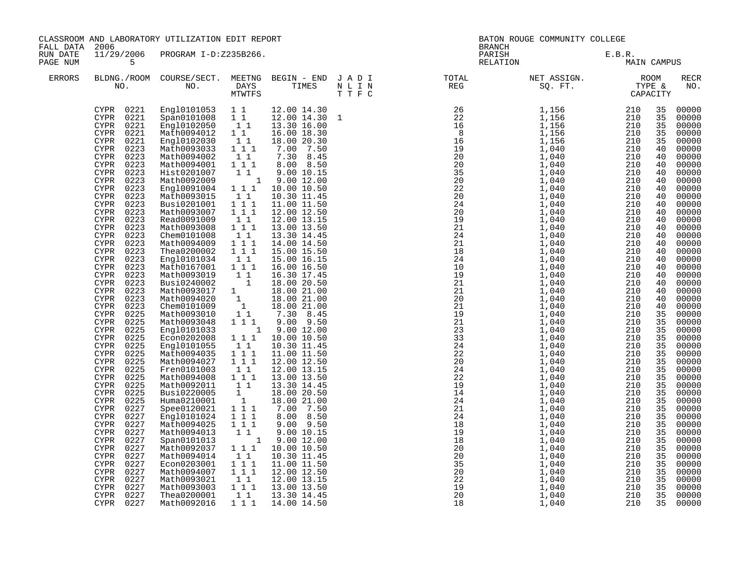| FALL DATA            | CLASSROOM AND LABORATORY UTILIZATION EDIT REPORT<br>2006<br>11/29/2006 PROGRAM I-D:Z235B266.                                                                                                                                                                                                                                                                                                                                                                                                                                                                                                                                                                                                                                                                                                                                                                                                                                                             |  |  |  |  | BATON ROUGE COMMUNITY COLLEGE<br><b>BRANCH</b>                                                                           |  |                                                                                                                                                                                                                                                                                                                                                                                                                                                       |
|----------------------|----------------------------------------------------------------------------------------------------------------------------------------------------------------------------------------------------------------------------------------------------------------------------------------------------------------------------------------------------------------------------------------------------------------------------------------------------------------------------------------------------------------------------------------------------------------------------------------------------------------------------------------------------------------------------------------------------------------------------------------------------------------------------------------------------------------------------------------------------------------------------------------------------------------------------------------------------------|--|--|--|--|--------------------------------------------------------------------------------------------------------------------------|--|-------------------------------------------------------------------------------------------------------------------------------------------------------------------------------------------------------------------------------------------------------------------------------------------------------------------------------------------------------------------------------------------------------------------------------------------------------|
| RUN DATE<br>PAGE NUM | 5                                                                                                                                                                                                                                                                                                                                                                                                                                                                                                                                                                                                                                                                                                                                                                                                                                                                                                                                                        |  |  |  |  | PARISH<br>E.B.R.<br>MAIN CAMPUS<br>RELATION                                                                              |  |                                                                                                                                                                                                                                                                                                                                                                                                                                                       |
| <b>ERRORS</b>        |                                                                                                                                                                                                                                                                                                                                                                                                                                                                                                                                                                                                                                                                                                                                                                                                                                                                                                                                                          |  |  |  |  | BLDNG./ROOM COURSE/SECT. MEETNG BEGIN – END JADI TOTAL TOTAL NET ASSIGN. ROOM ROOM NO. DAYS TIMES NLIN REG SQ.FT. TYPE & |  | <b>RECR</b><br>NO.                                                                                                                                                                                                                                                                                                                                                                                                                                    |
|                      | CYPR 0221<br>CYPR 0221<br>CYPR 0221<br>CYPR 0221<br>CYPR<br>0221<br>CYPR<br>0223<br>CYPR<br>0223<br>0223<br>CYPR<br>CYPR 0223<br>0223<br>CYPR<br>0223<br><b>CYPR</b><br>0223<br><b>CYPR</b><br>0223<br><b>CYPR</b><br>0223<br>CYPR<br><b>CYPR</b><br>0223<br>0223<br><b>CYPR</b><br>0223<br>CYPR<br>0223<br><b>CYPR</b><br>0223<br>CYPR<br>0223<br><b>CYPR</b><br>0223<br>CYPR<br>CYPR 0223<br>0223<br>CYPR<br>CYPR<br>0223<br>0223<br>CYPR<br>0223<br><b>CYPR</b><br>0225<br>CYPR<br><b>CYPR</b><br>0225<br>0225<br><b>CYPR</b><br><b>CYPR</b><br>0225<br>0225<br><b>CYPR</b><br>CYPR<br>0225<br>0225<br><b>CYPR</b><br>CYPR<br>0225<br><b>CYPR</b><br>0225<br>0225<br>CYPR<br>CYPR 0225<br>0225<br>CYPR<br><b>CYPR</b><br>0227<br>0227<br>CYPR<br>0227<br><b>CYPR</b><br>0227<br><b>CYPR</b><br>0227<br><b>CYPR</b><br>0227<br><b>CYPR</b><br>0227<br><b>CYPR</b><br>0227<br><b>CYPR</b><br><b>CYPR</b><br>0227<br>0227<br><b>CYPR</b><br>0227<br>CYPR |  |  |  |  |                                                                                                                          |  | 00000<br>00000<br>00000<br>00000<br>00000<br>00000<br>00000<br>00000<br>00000<br>00000<br>00000<br>00000<br>00000<br>00000<br>00000<br>00000<br>00000<br>00000<br>00000<br>00000<br>00000<br>00000<br>00000<br>00000<br>00000<br>00000<br>00000<br>00000<br>00000<br>00000<br>00000<br>00000<br>00000<br>00000<br>00000<br>00000<br>00000<br>00000<br>00000<br>00000<br>00000<br>00000<br>00000<br>00000<br>00000<br>00000<br>00000<br>00000<br>00000 |
|                      | 0227<br><b>CYPR</b><br>CYPR 0227                                                                                                                                                                                                                                                                                                                                                                                                                                                                                                                                                                                                                                                                                                                                                                                                                                                                                                                         |  |  |  |  |                                                                                                                          |  | 00000<br>00000                                                                                                                                                                                                                                                                                                                                                                                                                                        |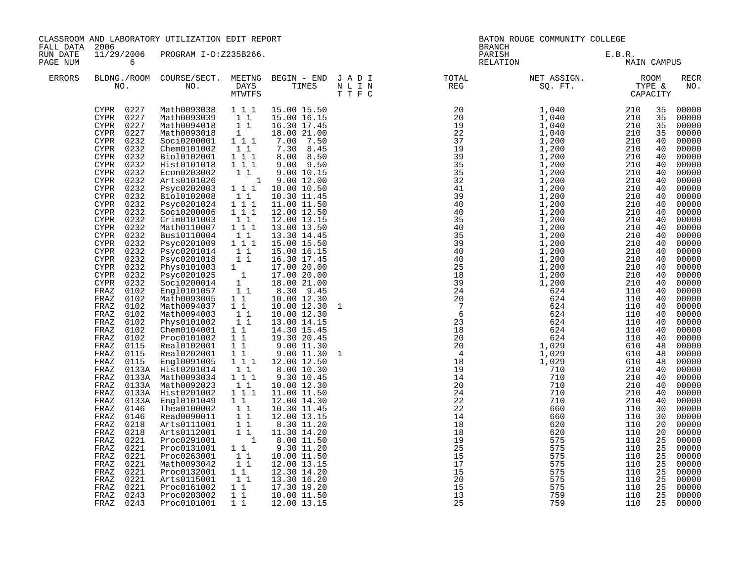| FALL DATA            | CLASSROOM AND LABORATORY UTILIZATION EDIT REPORT<br>2006<br>11/29/2006 PROGRAM I-D:Z235B266.                                                                                                                                                                                                                                                                                                                                                                                                                                                                                                                                                                                                                                                                                                                                                                                                    |                                                                                                                                                                                                                                                                                                                                                                                                                                                                                                                                                                                                                                                                                                                                                                                                                                 |                                                                                                                                                                                                                                                                                                                                                                                                                                                                                                                                                                                       |                                                                                                                                                                                                                                                                                                                                                                                                                                                                                                                                                                                                                                                                                                                                                                   |  | BATON ROUGE COMMUNITY COLLEGE<br><b>BRANCH</b> |                                                                                                                                                                                                                                                                                                                                                                                                                                     |                       |                                                                                                                                                                                                                                                                                                          |                                                                                                                                                                                                                                                                                                                                                                                                                                                                |
|----------------------|-------------------------------------------------------------------------------------------------------------------------------------------------------------------------------------------------------------------------------------------------------------------------------------------------------------------------------------------------------------------------------------------------------------------------------------------------------------------------------------------------------------------------------------------------------------------------------------------------------------------------------------------------------------------------------------------------------------------------------------------------------------------------------------------------------------------------------------------------------------------------------------------------|---------------------------------------------------------------------------------------------------------------------------------------------------------------------------------------------------------------------------------------------------------------------------------------------------------------------------------------------------------------------------------------------------------------------------------------------------------------------------------------------------------------------------------------------------------------------------------------------------------------------------------------------------------------------------------------------------------------------------------------------------------------------------------------------------------------------------------|---------------------------------------------------------------------------------------------------------------------------------------------------------------------------------------------------------------------------------------------------------------------------------------------------------------------------------------------------------------------------------------------------------------------------------------------------------------------------------------------------------------------------------------------------------------------------------------|-------------------------------------------------------------------------------------------------------------------------------------------------------------------------------------------------------------------------------------------------------------------------------------------------------------------------------------------------------------------------------------------------------------------------------------------------------------------------------------------------------------------------------------------------------------------------------------------------------------------------------------------------------------------------------------------------------------------------------------------------------------------|--|------------------------------------------------|-------------------------------------------------------------------------------------------------------------------------------------------------------------------------------------------------------------------------------------------------------------------------------------------------------------------------------------------------------------------------------------------------------------------------------------|-----------------------|----------------------------------------------------------------------------------------------------------------------------------------------------------------------------------------------------------------------------------------------------------------------------------------------------------|----------------------------------------------------------------------------------------------------------------------------------------------------------------------------------------------------------------------------------------------------------------------------------------------------------------------------------------------------------------------------------------------------------------------------------------------------------------|
| RUN DATE<br>PAGE NUM | 6                                                                                                                                                                                                                                                                                                                                                                                                                                                                                                                                                                                                                                                                                                                                                                                                                                                                                               |                                                                                                                                                                                                                                                                                                                                                                                                                                                                                                                                                                                                                                                                                                                                                                                                                                 |                                                                                                                                                                                                                                                                                                                                                                                                                                                                                                                                                                                       |                                                                                                                                                                                                                                                                                                                                                                                                                                                                                                                                                                                                                                                                                                                                                                   |  |                                                | PARISH<br>RELATION                                                                                                                                                                                                                                                                                                                                                                                                                  | E.B.R.<br>MAIN CAMPUS |                                                                                                                                                                                                                                                                                                          |                                                                                                                                                                                                                                                                                                                                                                                                                                                                |
| <b>ERRORS</b>        |                                                                                                                                                                                                                                                                                                                                                                                                                                                                                                                                                                                                                                                                                                                                                                                                                                                                                                 |                                                                                                                                                                                                                                                                                                                                                                                                                                                                                                                                                                                                                                                                                                                                                                                                                                 |                                                                                                                                                                                                                                                                                                                                                                                                                                                                                                                                                                                       |                                                                                                                                                                                                                                                                                                                                                                                                                                                                                                                                                                                                                                                                                                                                                                   |  |                                                | BLDNG./ROOM COURSE/SECT. MEETNG BEGIN – END JADI TOTAL NET ASSIGN. ROOM ROOM NO. DAYS TIMES NLIN REG SQ.FT. TYPE &                                                                                                                                                                                                                                                                                                                  |                       |                                                                                                                                                                                                                                                                                                          | <b>RECR</b><br>NO.                                                                                                                                                                                                                                                                                                                                                                                                                                             |
|                      | CYPR 0227<br>CYPR 0227<br>0227<br>CYPR<br>CYPR<br>0227<br>0232<br><b>CYPR</b><br>0232<br>CYPR<br>CYPR<br>0232<br>0232<br>CYPR<br>0232<br><b>CYPR</b><br>0232<br>CYPR<br>0232<br>CYPR<br>0232<br><b>CYPR</b><br>0232<br><b>CYPR</b><br>0232<br><b>CYPR</b><br>0232<br><b>CYPR</b><br>0232<br><b>CYPR</b><br>0232<br>CYPR<br>0232<br><b>CYPR</b><br>0232<br>CYPR<br>0232<br><b>CYPR</b><br>0232<br>CYPR<br>0232<br><b>CYPR</b><br><b>CYPR</b><br>0232<br>FRAZ<br>0102<br>0102<br>FRAZ<br>FRAZ<br>0102<br>FRAZ<br>0102<br>FRAZ<br>0102<br>FRAZ<br>0102<br>0102<br>FRAZ<br>FRAZ<br>0115<br>FRAZ<br>0115<br>0115<br>FRAZ<br>FRAZ<br>0133A<br>FRAZ<br>FRAZ<br>0133A<br>FRAZ<br>0133A<br>FRAZ<br>0133A<br>0146<br>FRAZ<br>0146<br>FRAZ<br>FRAZ<br>0218<br>FRAZ<br>0218<br>FRAZ<br>0221<br>0221<br>FRAZ<br>0221<br>FRAZ<br>FRAZ<br>0221<br>FRAZ<br>0221<br>FRAZ<br>0221<br>FRAZ<br>0221<br>0243<br>FRAZ | Math0093038 1 1 1<br>Math0093039<br>Math0094018<br>Math0093018<br>Soci0200001 111<br>Chem0101002<br>Bio10102001<br>Hist0101018<br>Econ0203002<br>Arts0101026<br>Psyc0202003<br>Bio10102008<br>Psyc0201024<br>Soci0200006<br>Crim0101003<br>Math0110007<br>Busi0110004<br>Psyc0201009 1 1 1<br>Psyc0201014<br>Psyc0201018<br>Phys0101003<br>Psyc0201025<br>Soci0200014<br>Engl0101057<br>11<br>Engl0101057<br>11<br>Math0093005<br>Math0094037<br>Math0094003<br>Phys0101002<br>Chem0104001<br>Proc0101002<br>Real0102001<br>Real0202001<br>Engl0091005<br>0133A Hist0201014<br>Math0093034 111<br>Math0092023<br>Hist0201002<br>Engl0101049<br>Thea0100002<br>Read0090011<br>Arts0111001<br>Arts0112001<br>Proc0291001<br>Proc0131001<br>Proc0263001<br>Math0093042<br>Proc0132001<br>Arts0115001<br>Proc0161002<br>Proc0203002 | 11<br>11<br>$\frac{1}{2}$<br>11<br>$1 1 1$<br>$1 1 1$<br>1 1<br>111<br>11<br>1 1 1<br>$\overline{1}$ $\overline{1}$ $\overline{1}$<br>$\begin{smallmatrix}1&1\\1&1&1\end{smallmatrix}$<br>$1\quad1$<br>$\begin{bmatrix} 1 & 1 \\ 1 & 1 \end{bmatrix}$<br>$1\quad1$<br>$\overline{\begin{smallmatrix} 1 & 1 \\ 1 & 1 \end{smallmatrix}}$<br>11<br>$1\quad1$<br>$1\quad1$<br>$\overline{1}$ $\overline{1}$<br>$1\quad1$<br>1 1 1<br>11<br>11<br>$1 1 1$<br>$1\quad1$<br>11<br>11<br>11<br>11<br>$\overline{\mathbf{1}}$<br>$1\quad1$<br>11<br>11<br>1 1<br>11<br>$1\quad1$<br>$1\quad1$ | 15.00 15.50<br>15.00 16.15<br>16.30 17.45<br>18.00 21.00<br>7.00 7.50<br>7.30 8.45<br>8.00 8.50<br>$9.00$ $9.50$<br>9.00 10.15<br>1 9.00 12.00<br>10.00 10.50<br>10.30 11.45<br>11.00 11.50<br>12.00 12.50<br>12.00 13.15<br>13.00 13.50<br>13.30 14.45<br>15.00 15.50<br>15.00 16.15<br>16.30 17.45<br>17.00 20.00<br>17.00 20.00<br>18.00 21.00<br>8.30 9.45<br>10.00 12.30<br>10.00 12.30<br>10.00 12.30<br>13.00 14.15<br>14.30 15.45<br>19.30 20.45<br>9.00 11.30<br>$9.00$ $11.30$<br>12.00 12.50<br>8.00 10.30<br>9.30 10.45<br>10.00 12.30<br>11.00 11.50<br>12.00 14.30<br>10.30 11.45<br>12.00 13.15<br>8.30 11.20<br>11.30 14.20<br>8.00 11.50<br>9.30 11.20<br>10.00 11.50<br>12.00 13.15<br>12.30 14.20<br>13.30 16.20<br>17.30 19.20<br>10.00 11.50 |  | $\begin{array}{c}\n17 \\ 15\n\end{array}$      | $\begin{array}{cccccccc} \text{R} & \text{R} & \text{R} & \text{R} & \text{R} & \text{R} & \text{R} & \text{R} & \text{R} & \text{R} & \text{R} \\ \text{R} & \text{R} & \text{R} & \text{R} & \text{R} & \text{R} & \text{R} & \text{R} & \text{R} \\ \text{R} & \text{R} & \text{R} & \text{R} & \text{R} & \text{R} & \text{R} & \text{R} & \text{R} \\ \text{R} & \text{R} & \text{R} & \text{R} & \text{R} & \text{R} & \text$ |                       | 35<br>35<br>35<br>35<br>40<br>40<br>40<br>40<br>40<br>40<br>40<br>40<br>40<br>40<br>40<br>40<br>40<br>40<br>40<br>40<br>40<br>40<br>40<br>40<br>40<br>40<br>40<br>40<br>40<br>40<br>48<br>48<br>48<br>40<br>40<br>40<br>40<br>40<br>30<br>30<br>20<br>20<br>25<br>25<br>25<br>25<br>25<br>25<br>25<br>25 | 00000<br>00000<br>00000<br>00000<br>00000<br>00000<br>00000<br>00000<br>00000<br>00000<br>00000<br>00000<br>00000<br>00000<br>00000<br>00000<br>00000<br>00000<br>00000<br>00000<br>00000<br>00000<br>00000<br>00000<br>00000<br>00000<br>00000<br>00000<br>00000<br>00000<br>00000<br>00000<br>00000<br>00000<br>00000<br>00000<br>00000<br>00000<br>00000<br>00000<br>00000<br>00000<br>00000<br>00000<br>00000<br>00000<br>00000<br>00000<br>00000<br>00000 |
|                      | FRAZ<br>0243                                                                                                                                                                                                                                                                                                                                                                                                                                                                                                                                                                                                                                                                                                                                                                                                                                                                                    | Proc0101001                                                                                                                                                                                                                                                                                                                                                                                                                                                                                                                                                                                                                                                                                                                                                                                                                     | $1\quad1$                                                                                                                                                                                                                                                                                                                                                                                                                                                                                                                                                                             | 12.00 13.15                                                                                                                                                                                                                                                                                                                                                                                                                                                                                                                                                                                                                                                                                                                                                       |  |                                                | 759                                                                                                                                                                                                                                                                                                                                                                                                                                 | 110                   | 25                                                                                                                                                                                                                                                                                                       | 00000                                                                                                                                                                                                                                                                                                                                                                                                                                                          |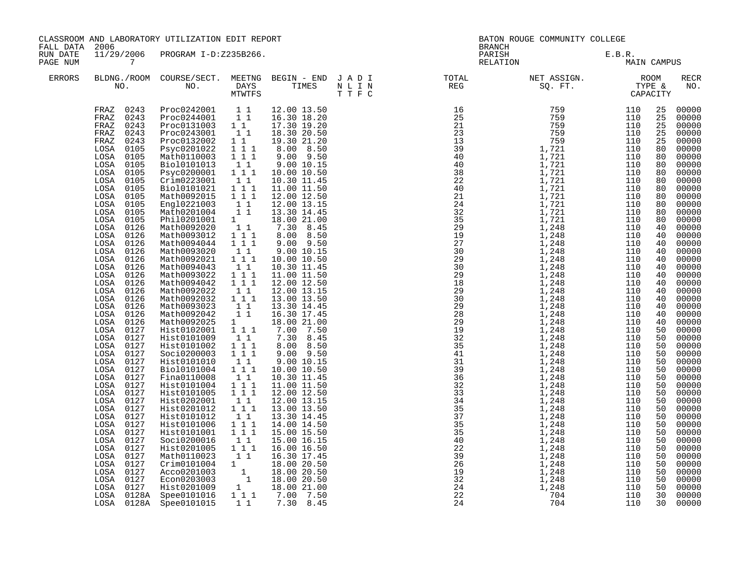| FALL DATA 2006       |                                                                                                                                                                                                                                                                                                                                                                                                                                                                                                                                                                                                                                                                                            | CLASSROOM AND LABORATORY UTILIZATION EDIT REPORT                                                                                                                                                                                                                                                                                                                                                                                                                                                                                                                                                                                                                                                                                                                                                                                                                                                                         |                                                                                                                                                                                                                                                                                                                                                                                                                     |                                                                                                                                                                                                                                                                                                                                                                                                                                                                                                                                                                                                                                                                                        | BATON ROUGE COMMUNITY COLLEGE<br><b>BRANCH</b>                                                                            |                |             |                                                                                                                                                                                                                                                                                                    |                                                                                                                                                                                                                                                                                                                                                                                                                                                             |
|----------------------|--------------------------------------------------------------------------------------------------------------------------------------------------------------------------------------------------------------------------------------------------------------------------------------------------------------------------------------------------------------------------------------------------------------------------------------------------------------------------------------------------------------------------------------------------------------------------------------------------------------------------------------------------------------------------------------------|--------------------------------------------------------------------------------------------------------------------------------------------------------------------------------------------------------------------------------------------------------------------------------------------------------------------------------------------------------------------------------------------------------------------------------------------------------------------------------------------------------------------------------------------------------------------------------------------------------------------------------------------------------------------------------------------------------------------------------------------------------------------------------------------------------------------------------------------------------------------------------------------------------------------------|---------------------------------------------------------------------------------------------------------------------------------------------------------------------------------------------------------------------------------------------------------------------------------------------------------------------------------------------------------------------------------------------------------------------|----------------------------------------------------------------------------------------------------------------------------------------------------------------------------------------------------------------------------------------------------------------------------------------------------------------------------------------------------------------------------------------------------------------------------------------------------------------------------------------------------------------------------------------------------------------------------------------------------------------------------------------------------------------------------------------|---------------------------------------------------------------------------------------------------------------------------|----------------|-------------|----------------------------------------------------------------------------------------------------------------------------------------------------------------------------------------------------------------------------------------------------------------------------------------------------|-------------------------------------------------------------------------------------------------------------------------------------------------------------------------------------------------------------------------------------------------------------------------------------------------------------------------------------------------------------------------------------------------------------------------------------------------------------|
| RUN DATE<br>PAGE NUM | 7                                                                                                                                                                                                                                                                                                                                                                                                                                                                                                                                                                                                                                                                                          | 11/29/2006 PROGRAM I-D:Z235B266.                                                                                                                                                                                                                                                                                                                                                                                                                                                                                                                                                                                                                                                                                                                                                                                                                                                                                         |                                                                                                                                                                                                                                                                                                                                                                                                                     |                                                                                                                                                                                                                                                                                                                                                                                                                                                                                                                                                                                                                                                                                        | PARISH<br>RELATION                                                                                                        | E.B.R.<br>MAII | MAIN CAMPUS |                                                                                                                                                                                                                                                                                                    |                                                                                                                                                                                                                                                                                                                                                                                                                                                             |
| <b>ERRORS</b>        |                                                                                                                                                                                                                                                                                                                                                                                                                                                                                                                                                                                                                                                                                            |                                                                                                                                                                                                                                                                                                                                                                                                                                                                                                                                                                                                                                                                                                                                                                                                                                                                                                                          |                                                                                                                                                                                                                                                                                                                                                                                                                     |                                                                                                                                                                                                                                                                                                                                                                                                                                                                                                                                                                                                                                                                                        | BLDNG./ROOM COURSE/SECT. MEETNG BEGIN – END JADI TOTAL NET ASSIGN. NET ASSIGN. ROOM NO. DAYS TIMES NLIN REG SQ.FT. TYPE & |                |             |                                                                                                                                                                                                                                                                                                    | RECR<br>NO.                                                                                                                                                                                                                                                                                                                                                                                                                                                 |
|                      | FRAZ 0243<br>FRAZ 0243<br>0243<br>FRAZ<br>FRAZ<br>0243<br>0243<br>FRAZ<br>LOSA 0105<br>LOSA 0105<br>LOSA 0105<br>LOSA 0105<br>LOSA 0105<br>LOSA 0105<br>LOSA<br>0105<br>LOSA 0105<br>LOSA 0105<br>LOSA 0105<br>LOSA<br>0126<br>LOSA 0126<br>LOSA 0126<br>LOSA 0126<br>LOSA<br>0126<br>0126<br>LOSA<br>LOSA 0126<br>LOSA 0126<br>0126<br>LOSA<br>LOSA 0126<br>LOSA 0126<br>LOSA 0126<br>LOSA 0126<br>LOSA 0127<br>LOSA 0127<br>LOSA 0127<br>LOSA 0127<br>LOSA 0127<br>LOSA 0127<br>LOSA 0127<br>LOSA<br>0127<br>LOSA<br>0127<br>LOSA<br>0127<br>LOSA 0127<br>LOSA 0127<br>LOSA 0127<br>LOSA 0127<br>LOSA 0127<br>LOSA 0127<br>LOSA 0127<br>LOSA 0127<br>LOSA 0127<br>LOSA 0127<br>LOSA 0127 | Proc0242001 11<br>Proc0244001 11<br>Proc0131003 11<br>Proc0243001 11<br>Proc0132002 1 1<br>Psyc0201022 111<br>Math0110003 111<br>Bio10101013<br>Psyc0200001 11 <sup>1</sup><br>Crim0223001<br>Biol0101021 11<br>Math0092015 111<br>Engl0221003<br>Math0201004<br>Phil0201001 1<br>Math0092020 11<br>Math0093012 111<br>Math0094044 1 1 1<br>Math0093020<br>Math0092021<br>Math0094043<br>Math0093022<br>Math0094042<br>Math0092022<br>Math0092032<br>Math0093023<br>Math0092042<br>Math0092025<br>Hist0102001<br>Hist0101009<br>Hist0101002<br>Soci0200003<br>Hist0101010<br>Bio10101004<br>Fina0110008<br>Hist0101004 1 1<br>Hist0101005 1 1 1<br>Hist0202001<br>Hist0201012 1 1 1<br>Hist0101012<br>Hist0101006<br>Hist0101001<br>Soci0200016<br>Hist0201005 111<br>Math0110023 1 1<br>mathu110023<br>Crim0101004 1 18.00 20.50<br>Acco0201003 1 18.00 20.50<br>Econ0203003 1 18.00 20.50<br>Hist0201009 1 18.00 21.00 | 11<br>$1\quad1$<br>$\begin{array}{rr} 1 & 1 \\ 1 & 1 \end{array}$<br>$\begin{smallmatrix}1&1\\1&1&1\end{smallmatrix}$<br>11<br>$1 1 1$<br>$1 1 1$<br>11<br>$1 1 1$<br>$\begin{bmatrix} 1 & 1 \\ 1 & 1 \end{bmatrix}$<br>1<br>1 1 1<br>$\begin{array}{cc} & 1 & 1 \\ 1 & 1 & 1 \\ 1 & 1 & 1 \end{array}$<br>11<br>$1 1 1$<br>$1\quad1$<br>11<br>$1\quad1$<br>$1^{\circ}1^{\circ}1$<br>$1\quad 1\quad 1$<br>$1\quad1$ | 12.00 13.50<br>16.30 18.20<br>17.30 19.20<br>18.30 20.50<br>19.30 21.20<br>8.00 8.50<br>$9.00$ $9.50$<br>9.00 10.15<br>10.00 10.50<br>10.30 11.45<br>11.00 11.50<br>12.00 12.50<br>12.00 13.15<br>13.30 14.45<br>18.00 21.00<br>7.30 8.45<br>8.00 8.50<br>$9.00$ $9.50$<br>9.00 10.15<br>10.00 10.50<br>10.30 11.45<br>11.00 11.50<br>12.00 12.50<br>12.00 13.15<br>13.00 13.50<br>13.30 14.45<br>16.30 17.45<br>18.00 21.00<br>7.00 7.50<br>7.30 8.45<br>8.00 8.50<br>$9.00$ $9.50$<br>9.00 10.15<br>10.00 10.50<br>10.30 11.45<br>11.00 11.50<br>12.00 12.50<br>12.00 13.15<br>13.00 13.50<br>13.30 14.45<br>14.00 14.50<br>15.00 15.50<br>15.00 16.15<br>16.00 16.50<br>16.30 17.45 |                                                                                                                           |                |             | 25<br>25<br>25<br>25<br>25<br>80<br>80<br>80<br>80<br>80<br>80<br>80<br>80<br>80<br>80<br>40<br>40<br>40<br>40<br>40<br>40<br>40<br>40<br>40<br>40<br>40<br>40<br>40<br>50<br>50<br>50<br>50<br>50<br>50<br>50<br>50<br>50<br>50<br>50<br>50<br>50<br>50<br>50<br>50<br>50<br>50<br>50<br>50<br>50 | 00000<br>00000<br>00000<br>00000<br>00000<br>00000<br>00000<br>00000<br>00000<br>00000<br>00000<br>$00000$<br>$00000$<br>00000<br>00000<br>00000<br>00000<br>00000<br>00000<br>00000<br>00000<br>00000<br>00000<br>00000<br>00000<br>00000<br>00000<br>00000<br>00000<br>00000<br>00000<br>00000<br>00000<br>00000<br>00000<br>00000<br>00000<br>00000<br>00000<br>00000<br>00000<br>00000<br>00000<br>00000<br>00000<br>$00000$<br>00000<br>00000<br>00000 |
|                      |                                                                                                                                                                                                                                                                                                                                                                                                                                                                                                                                                                                                                                                                                            | LOSA 0128A Spee0101016<br>LOSA 0128A Spee0101015                                                                                                                                                                                                                                                                                                                                                                                                                                                                                                                                                                                                                                                                                                                                                                                                                                                                         | 1 1 1<br>$1\quad1$                                                                                                                                                                                                                                                                                                                                                                                                  | 7.00 7.50<br>7.30 8.45                                                                                                                                                                                                                                                                                                                                                                                                                                                                                                                                                                                                                                                                 |                                                                                                                           |                |             | 30<br>30                                                                                                                                                                                                                                                                                           | 00000<br>00000                                                                                                                                                                                                                                                                                                                                                                                                                                              |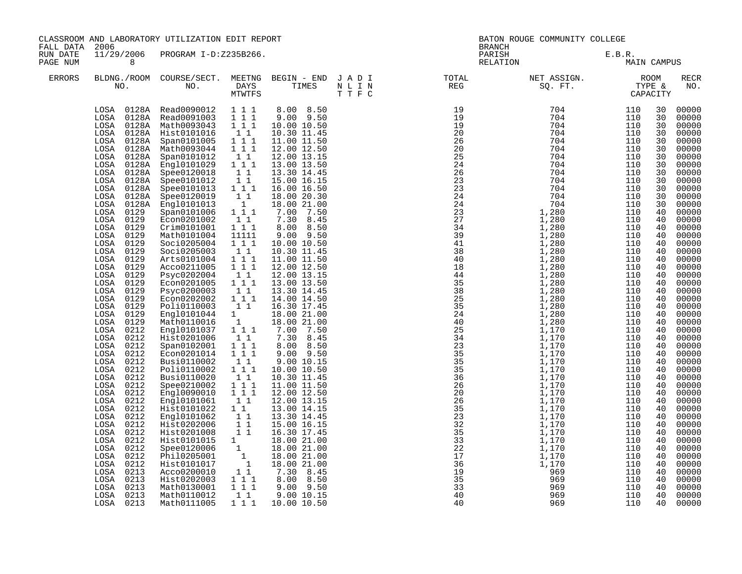| FALL DATA            | CLASSROOM AND LABORATORY UTILIZATION EDIT REPORT<br>2006<br>11/29/2006 PROGRAM I-D:Z235B266.                                                                                                                                                                                                                                                                                                                                                                                                                                                                                                                                                                                                                                    |                                                                                                                                                                                                                                                                                                                                                                                                                                                                                                                                                                                                                                                                                                                                                                                                                                                           |                                                                                                                                                                                                                                                                                                                                                                                                                                                                                                                                                                                                                                                                                                                                                                                                                                                                                                                                                               |                                                                                                                                                                                                                                                                                                                                                                                                                                                                                                                                                                                                                                                                                                                                                           |         | BATON ROUGE COMMUNITY COLLEGE<br><b>BRANCH</b> |                    |                       |                                                                                                                                                                                                                                                                                                          |                                                                                                                                                                                                                                                                                                                                                                                                                                                                |
|----------------------|---------------------------------------------------------------------------------------------------------------------------------------------------------------------------------------------------------------------------------------------------------------------------------------------------------------------------------------------------------------------------------------------------------------------------------------------------------------------------------------------------------------------------------------------------------------------------------------------------------------------------------------------------------------------------------------------------------------------------------|-----------------------------------------------------------------------------------------------------------------------------------------------------------------------------------------------------------------------------------------------------------------------------------------------------------------------------------------------------------------------------------------------------------------------------------------------------------------------------------------------------------------------------------------------------------------------------------------------------------------------------------------------------------------------------------------------------------------------------------------------------------------------------------------------------------------------------------------------------------|---------------------------------------------------------------------------------------------------------------------------------------------------------------------------------------------------------------------------------------------------------------------------------------------------------------------------------------------------------------------------------------------------------------------------------------------------------------------------------------------------------------------------------------------------------------------------------------------------------------------------------------------------------------------------------------------------------------------------------------------------------------------------------------------------------------------------------------------------------------------------------------------------------------------------------------------------------------|-----------------------------------------------------------------------------------------------------------------------------------------------------------------------------------------------------------------------------------------------------------------------------------------------------------------------------------------------------------------------------------------------------------------------------------------------------------------------------------------------------------------------------------------------------------------------------------------------------------------------------------------------------------------------------------------------------------------------------------------------------------|---------|------------------------------------------------|--------------------|-----------------------|----------------------------------------------------------------------------------------------------------------------------------------------------------------------------------------------------------------------------------------------------------------------------------------------------------|----------------------------------------------------------------------------------------------------------------------------------------------------------------------------------------------------------------------------------------------------------------------------------------------------------------------------------------------------------------------------------------------------------------------------------------------------------------|
| RUN DATE<br>PAGE NUM | 8                                                                                                                                                                                                                                                                                                                                                                                                                                                                                                                                                                                                                                                                                                                               |                                                                                                                                                                                                                                                                                                                                                                                                                                                                                                                                                                                                                                                                                                                                                                                                                                                           |                                                                                                                                                                                                                                                                                                                                                                                                                                                                                                                                                                                                                                                                                                                                                                                                                                                                                                                                                               |                                                                                                                                                                                                                                                                                                                                                                                                                                                                                                                                                                                                                                                                                                                                                           |         |                                                | PARISH<br>RELATION | E.B.R.<br>MAIN CAMPUS |                                                                                                                                                                                                                                                                                                          |                                                                                                                                                                                                                                                                                                                                                                                                                                                                |
| <b>ERRORS</b>        |                                                                                                                                                                                                                                                                                                                                                                                                                                                                                                                                                                                                                                                                                                                                 | BLDNG./ROOM COURSE/SECT. MEETNG BEGIN – END JADI (INC. TOTAL NO. ) DAYS TIMES NLIN REG REG (INC. THE C                                                                                                                                                                                                                                                                                                                                                                                                                                                                                                                                                                                                                                                                                                                                                    | MTWTFS                                                                                                                                                                                                                                                                                                                                                                                                                                                                                                                                                                                                                                                                                                                                                                                                                                                                                                                                                        |                                                                                                                                                                                                                                                                                                                                                                                                                                                                                                                                                                                                                                                                                                                                                           | T T F C |                                                |                    |                       |                                                                                                                                                                                                                                                                                                          | RECR<br>NO.                                                                                                                                                                                                                                                                                                                                                                                                                                                    |
|                      | LOSA<br>LOSA<br>0128A<br>LOSA<br>0128A<br>LOSA<br>0128A<br>0128A<br>LOSA<br>LOSA<br>0128A<br>LOSA<br>0128A<br>LOSA<br>0128A<br>LOSA<br>0129<br>0129<br>LOSA<br>LOSA<br>0129<br>LOSA<br>0129<br>LOSA 0129<br>LOSA 0129<br>LOSA 0129<br>LOSA<br>0129<br>LOSA 0129<br>0129<br>LOSA<br>LOSA<br>0129<br>0129<br>LOSA<br>LOSA<br>0129<br>0129<br>LOSA<br>LOSA<br>0129<br>0212<br>LOSA<br>LOSA<br>0212<br>0212<br>LOSA<br>0212<br>LOSA<br>0212<br>LOSA<br>LOSA<br>0212<br>LOSA 0212<br>0212<br>LOSA<br>LOSA 0212<br>0212<br>LOSA<br>LOSA 0212<br>0212<br>LOSA<br>LOSA<br>0212<br>LOSA<br>0212<br>LOSA<br>0212<br>$_{\rm LOSA}$<br>0212<br>LOSA<br>0212<br>0212<br>LOSA<br>LOSA<br>0213<br>0213<br>LOSA<br>0213<br>LOSA<br>0213<br>LOSA | LOSA 0128A Read0090012 111<br>LOSA 0128A Read0091003 1 1 1<br>LOSA 0128A Math0093043 111<br>0128A Hist0101016<br>LOSA 0128A Span0101005<br>Math0093044<br>LOSA 0128A Span0101012<br>Eng10101029<br>Spee0120018<br>Spee0101012<br>Spee0101013<br>Spee0120019<br>Eng10101013<br>Span0101006<br>Econ0201002<br>Crim0101001<br>Math0101004<br>Soci0205004<br>Soci0205003<br>Arts0101004<br>Acco0211005<br>Psyc0202004<br>Econ0201005<br>Psyc0200003<br>Econ0202002<br>Poli0110003<br>Engl0101044<br>Math0110016<br>Engl0101037<br>Hist0201006<br>Span0102001<br>Econ0201014<br>Busi0110002<br>Poli0110002<br>Busi0110020<br>Spee0210002<br>Eng10090010<br>Engl0101061<br>Hist0101022<br>Engl0101062<br>Hist0202006<br>Hist0201008<br>Hist0101015 1<br>Spee0120006 1<br>Phil0205001<br>Hist0101017<br>Acco0200010<br>Hist0202003<br>Math0130001<br>Math0110012 | $1\quad1$<br>$\begin{array}{rrrr} & 1 & 1 \\ & 1 & 1 \\ & & 1 & 1 \end{array}$<br>$\begin{smallmatrix}1&1\\1&1&1\end{smallmatrix}$<br>11<br>$\begin{array}{c} \overline{1} & \overline{1} \\ 1 & 1 & 1 \end{array}$<br>$\begin{bmatrix} 1 \\ 1 \end{bmatrix}$<br>1<br>$1\overline{1}1$<br>$1\quad1$<br>$1 1 1$<br>11111<br>$1 1 1$<br>$1\quad1$<br>$\begin{array}{rrrr}\n1 & 1 & 1 \\ 1 & 1 & 1\n\end{array}$<br>11<br>$1 1 1$<br>$\begin{smallmatrix}1&1\\1&1&1\end{smallmatrix}$<br>$\begin{bmatrix} 1 & 1 \\ 1 & 1 \\ 1 & 1 \\ 1 & 1 \end{bmatrix}$<br>11<br>$\begin{array}{rrrr} & 1 & 1 \\ & 1 & 1 \\ & & 1 \end{array}$<br>$1\quad1$<br>$1 1 1$<br>$\begin{smallmatrix}1&1\\1&1&1\end{smallmatrix}$<br>$1\ 1\ 1$<br>11<br>$\begin{smallmatrix}1&&1\\&1\\1&&1\end{smallmatrix}$<br>$\begin{array}{rr} & 1 & 1 \\ & 1 & 1 \end{array}$<br>$\begin{smallmatrix}1\cr-1\end{smallmatrix}$<br>11<br>$\begin{smallmatrix}1&1&1\\1&1&1\end{smallmatrix}$<br>1 1 | 8.00 8.50<br>$9.00$ $9.50$<br>10.00 10.50<br>10.30 11.45<br>11.00 11.50<br>12.00 12.50<br>12.00 13.15<br>13.00 13.50<br>13.30 14.45<br>15.00 16.15<br>16.00 16.50<br>18.00 20.30<br>18.00 21.00<br>7.00 7.50<br>7.30 8.45<br>8.00 8.50<br>$9.00$ $9.50$<br>10.00 10.50<br>10.30 11.45<br>11.00 11.50<br>12.00 12.50<br>12.00 13.15<br>13.00 13.50<br>13.30 14.45<br>14.00 14.50<br>16.30 17.45<br>18.00 21.00<br>18.00 21.00<br>7.00 7.50<br>7.30 8.45<br>8.00 8.50<br>$9.00$ $9.50$<br>9.00 10.15<br>10.00 10.50<br>10.30 11.45<br>11.00 11.50<br>12.00 12.50<br>12.00 13.15<br>13.00 14.15<br>13.30 14.45<br>15.00 16.15<br>16.30 17.45<br>18.00 21.00<br>18.00 21.00<br>18.00 21.00<br>18.00 21.00<br>7.30 8.45<br>8.00 8.50<br>9.00 9.50<br>9.0010.15 |         | 40                                             | 969                | 110                   | 30<br>30<br>30<br>30<br>30<br>30<br>30<br>30<br>30<br>30<br>30<br>30<br>30<br>40<br>40<br>40<br>40<br>40<br>40<br>40<br>40<br>40<br>40<br>40<br>40<br>40<br>40<br>40<br>40<br>40<br>40<br>40<br>40<br>40<br>40<br>40<br>40<br>40<br>40<br>40<br>40<br>40<br>40<br>40<br>40<br>40<br>40<br>40<br>40<br>40 | 00000<br>00000<br>00000<br>00000<br>00000<br>00000<br>00000<br>00000<br>00000<br>00000<br>00000<br>00000<br>00000<br>00000<br>00000<br>00000<br>00000<br>00000<br>00000<br>00000<br>00000<br>00000<br>00000<br>00000<br>00000<br>00000<br>00000<br>00000<br>00000<br>00000<br>00000<br>00000<br>00000<br>00000<br>00000<br>00000<br>00000<br>00000<br>00000<br>00000<br>00000<br>00000<br>00000<br>00000<br>00000<br>00000<br>00000<br>00000<br>00000<br>00000 |
|                      | LOSA 0213                                                                                                                                                                                                                                                                                                                                                                                                                                                                                                                                                                                                                                                                                                                       | Math0111005                                                                                                                                                                                                                                                                                                                                                                                                                                                                                                                                                                                                                                                                                                                                                                                                                                               | $1 1 1$                                                                                                                                                                                                                                                                                                                                                                                                                                                                                                                                                                                                                                                                                                                                                                                                                                                                                                                                                       | 10.00 10.50                                                                                                                                                                                                                                                                                                                                                                                                                                                                                                                                                                                                                                                                                                                                               |         | 40                                             | 969                | 110                   | 40                                                                                                                                                                                                                                                                                                       | 00000                                                                                                                                                                                                                                                                                                                                                                                                                                                          |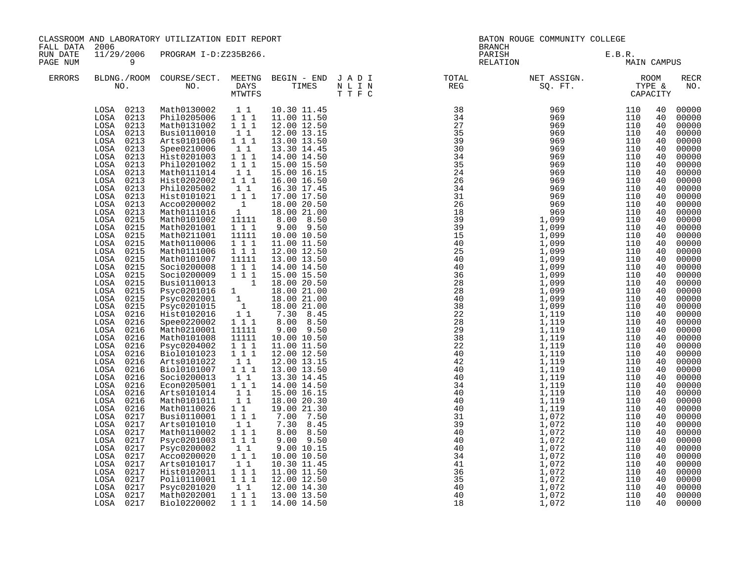| CLASSROOM AND LABORATORY UTILIZATION EDIT REPORT<br>FALL DATA<br>2006<br>11/29/2006 PROGRAM I-D:Z235B266.<br>RUN DATE |                                                                                                                                                                                                                                                                                                                                                                                                                                                                                                                                                                                                                                                                                                        |                                                                                                                                                                                                                                                                                                                                                                                                                                                                                                                                                                                                                                                                                                                                                                                                                   |                                                                                                                                                                                                                                                                                                                                                                                                                                                                                                                                                                                             | BATON ROUGE COMMUNITY COLLEGE<br><b>BRANCH</b>                                                                                                                                                                                                                                                                                                                                                                                                                                                                                                                                                                             |  |                                                                                                                               |                       |                                                                                                                                                                                                                                                                                  |                                                                                                                                                                                                                                                                                                                                                                                                                            |
|-----------------------------------------------------------------------------------------------------------------------|--------------------------------------------------------------------------------------------------------------------------------------------------------------------------------------------------------------------------------------------------------------------------------------------------------------------------------------------------------------------------------------------------------------------------------------------------------------------------------------------------------------------------------------------------------------------------------------------------------------------------------------------------------------------------------------------------------|-------------------------------------------------------------------------------------------------------------------------------------------------------------------------------------------------------------------------------------------------------------------------------------------------------------------------------------------------------------------------------------------------------------------------------------------------------------------------------------------------------------------------------------------------------------------------------------------------------------------------------------------------------------------------------------------------------------------------------------------------------------------------------------------------------------------|---------------------------------------------------------------------------------------------------------------------------------------------------------------------------------------------------------------------------------------------------------------------------------------------------------------------------------------------------------------------------------------------------------------------------------------------------------------------------------------------------------------------------------------------------------------------------------------------|----------------------------------------------------------------------------------------------------------------------------------------------------------------------------------------------------------------------------------------------------------------------------------------------------------------------------------------------------------------------------------------------------------------------------------------------------------------------------------------------------------------------------------------------------------------------------------------------------------------------------|--|-------------------------------------------------------------------------------------------------------------------------------|-----------------------|----------------------------------------------------------------------------------------------------------------------------------------------------------------------------------------------------------------------------------------------------------------------------------|----------------------------------------------------------------------------------------------------------------------------------------------------------------------------------------------------------------------------------------------------------------------------------------------------------------------------------------------------------------------------------------------------------------------------|
| PAGE NUM                                                                                                              | 9                                                                                                                                                                                                                                                                                                                                                                                                                                                                                                                                                                                                                                                                                                      |                                                                                                                                                                                                                                                                                                                                                                                                                                                                                                                                                                                                                                                                                                                                                                                                                   |                                                                                                                                                                                                                                                                                                                                                                                                                                                                                                                                                                                             |                                                                                                                                                                                                                                                                                                                                                                                                                                                                                                                                                                                                                            |  | PARISH<br>RELATION                                                                                                            | E.B.R.<br>MAIN CAMPUS |                                                                                                                                                                                                                                                                                  |                                                                                                                                                                                                                                                                                                                                                                                                                            |
| <b>ERRORS</b>                                                                                                         |                                                                                                                                                                                                                                                                                                                                                                                                                                                                                                                                                                                                                                                                                                        |                                                                                                                                                                                                                                                                                                                                                                                                                                                                                                                                                                                                                                                                                                                                                                                                                   |                                                                                                                                                                                                                                                                                                                                                                                                                                                                                                                                                                                             |                                                                                                                                                                                                                                                                                                                                                                                                                                                                                                                                                                                                                            |  | BLDNG./ROOM COURSE/SECT. MEETNG BEGIN – END JADI TOTAL NET ASSIGN. NET ASSIGN. ROOM NO. DAYS TIMES NLIN REG REG SQ.FT. TYPE & |                       |                                                                                                                                                                                                                                                                                  | RECR<br>NO.                                                                                                                                                                                                                                                                                                                                                                                                                |
|                                                                                                                       | LOSA 0213<br>LOSA 0213<br>LOSA 0213<br>LOSA 0213<br>LOSA 0213<br>LOSA 0213<br>LOSA 0213<br>0213<br>LOSA<br>0213<br>LOSA<br>0213<br>LOSA<br>LOSA<br>0213<br>$_{\rm LOSA}$<br>0213<br>LOSA<br>0213<br>0213<br>LOSA<br>LOSA<br>0215<br>0215<br>LOSA<br>LOSA<br>0215<br>LOSA 0215<br>0215<br>LOSA<br>LOSA 0215<br>LOSA 0215<br>LOSA 0215<br>LOSA 0215<br>LOSA 0215<br>0215<br>LOSA<br>LOSA 0215<br>LOSA 0216<br>LOSA<br>0216<br>LOSA<br>0216<br>LOSA<br>0216<br>LOSA<br>0216<br>LOSA<br>0216<br>0216<br>LOSA<br>LOSA<br>0216<br>0216<br>LOSA<br>LOSA 0216<br>LOSA 0216<br>LOSA 0216<br>LOSA 0216<br>LOSA 0217<br>LOSA 0217<br>0217<br>LOSA<br>0217<br>LOSA<br>LOSA<br>0217<br>0217<br>LOSA<br>LOSA<br>0217 | Math0130002 1 1<br>Phil0205006 111<br>Math0131002 1 1 1<br>Busi0110010<br>Arts0101006<br>Spee0210006<br>Hist0201003<br>Phil0201002<br>Math0111014<br>Hist0202002<br>Phil0205002<br>Hist0101021<br>Acco0200002<br>Math0111016<br>Math0101002<br>Math0201001<br>Math0211001<br>Math0110006<br>Math0111006<br>Math0101007<br>Soci0200008<br>Soci0200009<br>Busi0110013<br>Psyc0201016 1 18.00 20.50<br>Psyc0202001 1 18.00 21.00<br>Psyc0202001 1 18.00 21.00<br>Psyc0201015 1 18.00 21.00<br>Hist0102016 1.1 7.30 8.45<br>Spee0220002<br>Math0210001<br>Math0101008<br>Psyc0204002<br>Bio10101023<br>Arts0101022<br>Bio10101007<br>Soci0200013<br>Econ0205001<br>Arts0101014<br>Math0101011<br>Math0110026<br>Busi0110001<br>Arts0101010<br>Math0110002<br>Psyc0201003<br>Psyc0200002<br>Acco0200020<br>Arts0101017 | $1\quad1$<br>$1 1 1$<br>$1\quad1$<br>$\begin{array}{cc} 1 & 1 \end{array}$<br>$1 1 1$<br>$1\quad1$<br>$1$ $1$ $1$<br>$\begin{smallmatrix}1&1\\1&1&1\end{smallmatrix}$<br>$\begin{smallmatrix} &1\\1&\end{smallmatrix}$<br>11111<br>$1 1 1$<br>11111<br>$\begin{array}{ccc} 1&1&1\\ 1&1&1 \end{array}$<br>11111<br>111<br>$1 1 1$<br>$1$ 1 1<br>11111<br>11111<br>$\begin{array}{rrrr} 1 & 1 & 1 \\ 1 & 1 & 1 \end{array}$<br>$1\quad1$<br>111<br>11<br>$1 1 1$<br>11<br>11<br>11<br>$1 1 1$<br>$\begin{smallmatrix}1 & 1\\1 & 1\end{smallmatrix}$<br>111<br>$1\quad1$<br>1 1 1<br>$1\quad1$ | 10.30 11.45<br>11.00 11.50<br>12.00 12.50<br>12.00 13.15<br>13.00 13.50<br>13.30 14.45<br>14.00 14.50<br>15.00 15.50<br>15.00 16.15<br>16.00 16.50<br>16.30 17.45<br>17.00 17.50<br>18.00 20.50<br>18.00 21.00<br>8.00 8.50<br>$9.00$ $9.50$<br>10.00 10.50<br>11.00 11.50<br>12.00 12.50<br>13.00 13.50<br>14.00 14.50<br>15.00 15.50<br>8.00 8.50<br>$9.00$ $9.50$<br>10.00 10.50<br>11.00 11.50<br>12.00 12.50<br>12.00 13.15<br>13.00 13.50<br>13.30 14.45<br>14.00 14.50<br>15.00 16.15<br>18.00 20.30<br>19.00 21.30<br>7.00 7.50<br>7.30 8.45<br>8.00 8.50<br>9.00 9.50<br>9.00 10.15<br>10.00 10.50<br>10.30 11.45 |  |                                                                                                                               |                       | 40<br>40<br>40<br>40<br>40<br>40<br>40<br>40<br>40<br>40<br>40<br>40<br>40<br>40<br>40<br>40<br>40<br>40<br>40<br>40<br>40<br>40<br>40<br>40<br>40<br>40<br>40<br>40<br>40<br>40<br>40<br>40<br>40<br>40<br>40<br>40<br>40<br>40<br>40<br>40<br>40<br>40<br>40<br>40<br>40<br>40 | 00000<br>00000<br>00000<br>00000<br>00000<br>00000<br>00000<br>00000<br>00000<br>00000<br>00000<br>00000<br>00000<br>00000<br>00000<br>00000<br>00000<br>00000<br>00000<br>00000<br>00000<br>00000<br>00000<br>00000<br>00000<br>00000<br>00000<br>00000<br>00000<br>00000<br>00000<br>00000<br>00000<br>00000<br>00000<br>00000<br>00000<br>00000<br>00000<br>00000<br>00000<br>00000<br>00000<br>00000<br>00000<br>00000 |
|                                                                                                                       | LOSA<br>0217<br>0217<br>LOSA<br>0217<br>LOSA<br>LOSA<br>0217<br>LOSA 0217                                                                                                                                                                                                                                                                                                                                                                                                                                                                                                                                                                                                                              | Hist0102011<br>Poli0110001 1 1 1<br>Psyc0201020<br>Math0202001<br>Bio10220002                                                                                                                                                                                                                                                                                                                                                                                                                                                                                                                                                                                                                                                                                                                                     | 1 1 1<br>$1\quad1$<br>1 1 1<br>1 1 1                                                                                                                                                                                                                                                                                                                                                                                                                                                                                                                                                        | 11.00 11.50<br>12.00 12.50<br>12.00 14.30<br>13.00 13.50<br>14.00 14.50                                                                                                                                                                                                                                                                                                                                                                                                                                                                                                                                                    |  |                                                                                                                               |                       | 40<br>40<br>40<br>40<br>40                                                                                                                                                                                                                                                       | 00000<br>00000<br>00000<br>00000<br>00000                                                                                                                                                                                                                                                                                                                                                                                  |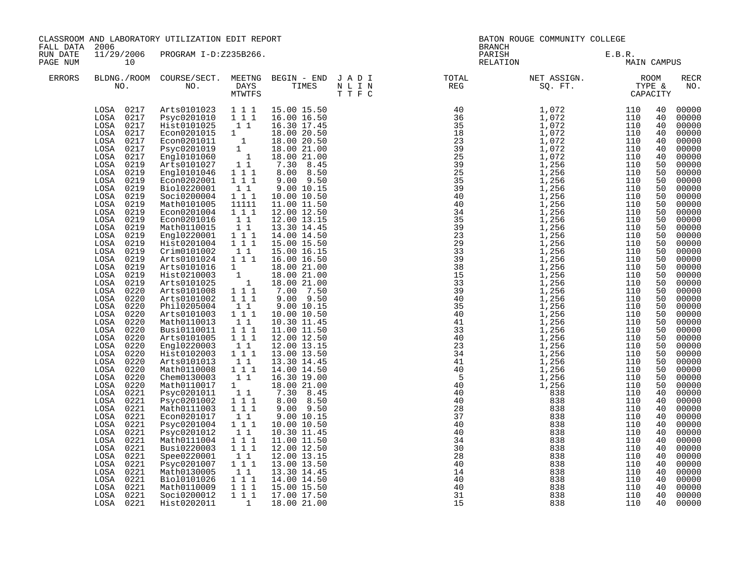|                      | CLASSROOM AND LABORATORY UTILIZATION EDIT REPORT<br>FALL DATA 2006<br>11/29/2006 PROGRAM I-D:Z235B266.                                                                                                                                                                                                                                                                                                                                                                                                                                                                                                                                                                                                                                                                                          |                                                                                                                                                                                                                                                                                                                                                                                                                                                                                                                                                                                                                                                                                                                                                                                                                                                                                |                                                                                                                                                                                                                                                                                                                                                                                                                                                                                                                                                                                                                                                                                                                                                         |                                                                                                                                                                                                                                                                                                                                                                                                                                                                                                                                                                                                                                                                                                                                                                                |  | <b>BRANCH</b>                                                                                                                                                                                                                                                                                                                                                                                                                                         | BATON ROUGE COMMUNITY COLLEGE                               |                                                             |                                                                                                                                                                                                                                                                                                                |                                                                                                                                                                                                                                                                                                                                                                                                                                                                         |
|----------------------|-------------------------------------------------------------------------------------------------------------------------------------------------------------------------------------------------------------------------------------------------------------------------------------------------------------------------------------------------------------------------------------------------------------------------------------------------------------------------------------------------------------------------------------------------------------------------------------------------------------------------------------------------------------------------------------------------------------------------------------------------------------------------------------------------|--------------------------------------------------------------------------------------------------------------------------------------------------------------------------------------------------------------------------------------------------------------------------------------------------------------------------------------------------------------------------------------------------------------------------------------------------------------------------------------------------------------------------------------------------------------------------------------------------------------------------------------------------------------------------------------------------------------------------------------------------------------------------------------------------------------------------------------------------------------------------------|---------------------------------------------------------------------------------------------------------------------------------------------------------------------------------------------------------------------------------------------------------------------------------------------------------------------------------------------------------------------------------------------------------------------------------------------------------------------------------------------------------------------------------------------------------------------------------------------------------------------------------------------------------------------------------------------------------------------------------------------------------|--------------------------------------------------------------------------------------------------------------------------------------------------------------------------------------------------------------------------------------------------------------------------------------------------------------------------------------------------------------------------------------------------------------------------------------------------------------------------------------------------------------------------------------------------------------------------------------------------------------------------------------------------------------------------------------------------------------------------------------------------------------------------------|--|-------------------------------------------------------------------------------------------------------------------------------------------------------------------------------------------------------------------------------------------------------------------------------------------------------------------------------------------------------------------------------------------------------------------------------------------------------|-------------------------------------------------------------|-------------------------------------------------------------|----------------------------------------------------------------------------------------------------------------------------------------------------------------------------------------------------------------------------------------------------------------------------------------------------------------|-------------------------------------------------------------------------------------------------------------------------------------------------------------------------------------------------------------------------------------------------------------------------------------------------------------------------------------------------------------------------------------------------------------------------------------------------------------------------|
| RUN DATE<br>PAGE NUM | 10                                                                                                                                                                                                                                                                                                                                                                                                                                                                                                                                                                                                                                                                                                                                                                                              |                                                                                                                                                                                                                                                                                                                                                                                                                                                                                                                                                                                                                                                                                                                                                                                                                                                                                |                                                                                                                                                                                                                                                                                                                                                                                                                                                                                                                                                                                                                                                                                                                                                         |                                                                                                                                                                                                                                                                                                                                                                                                                                                                                                                                                                                                                                                                                                                                                                                |  | PARISH<br>RELATION                                                                                                                                                                                                                                                                                                                                                                                                                                    | E.B.R.<br>MAI                                               | MAIN CAMPUS                                                 |                                                                                                                                                                                                                                                                                                                |                                                                                                                                                                                                                                                                                                                                                                                                                                                                         |
| <b>ERRORS</b>        |                                                                                                                                                                                                                                                                                                                                                                                                                                                                                                                                                                                                                                                                                                                                                                                                 |                                                                                                                                                                                                                                                                                                                                                                                                                                                                                                                                                                                                                                                                                                                                                                                                                                                                                |                                                                                                                                                                                                                                                                                                                                                                                                                                                                                                                                                                                                                                                                                                                                                         |                                                                                                                                                                                                                                                                                                                                                                                                                                                                                                                                                                                                                                                                                                                                                                                |  |                                                                                                                                                                                                                                                                                                                                                                                                                                                       |                                                             |                                                             |                                                                                                                                                                                                                                                                                                                | <b>RECR</b><br>NO.                                                                                                                                                                                                                                                                                                                                                                                                                                                      |
|                      | LOSA 0217<br>LOSA 0217<br>LOSA 0217<br>LOSA<br>0217<br>0217<br>LOSA<br>LOSA<br>0217<br>0217<br>LOSA<br>LOSA 0219<br>LOSA 0219<br>0219<br>LOSA<br>0219<br>LOSA<br>0219<br>LOSA<br>LOSA 0219<br>0219<br>LOSA<br>0219<br>LOSA<br>0219<br>LOSA<br>0219<br>LOSA<br>LOSA 0219<br>0219<br>LOSA<br>0219<br>LOSA<br>0219<br>LOSA<br>LOSA 0219<br>LOSA 0219<br>LOSA 0220<br>0220<br>LOSA<br>0220<br>LOSA<br>0220<br>LOSA<br>LOSA 0220<br>LOSA<br>0220<br>0220<br>LOSA<br>0220<br>LOSA<br>LOSA<br>0220<br>$_{\rm LOSA}$<br>0220<br>LOSA<br>0220<br>LOSA<br>0220<br>0220<br>LOSA<br>LOSA 0221<br>LOSA 0221<br>LOSA 0221<br>LOSA 0221<br>LOSA 0221<br>0221<br>LOSA<br>LOSA 0221<br>LOSA<br>0221<br>0221<br>LOSA<br>0221<br>LOSA<br>LOSA<br>0221<br>0221<br>LOSA<br>LOSA<br>0221<br>LOSA<br>0221<br>LOSA 0221 | Arts0101023   1   1   1<br>Psyc0201010   1   1   1<br>Hist0101025<br>HISCOLUTION<br>ECONO201015 1<br>For 10201011 1<br>Fayc0201019 1<br>Engl0101060 1<br>Arts0101027 11<br>Engl0101046 1 1 1<br>Econ0202001<br>Bio10220001<br>Soci0200004<br>Math0101005<br>Econ0201004<br>Econ0201016<br>Math0110015<br>Engl0220001 111<br>Hist0201004 1 1 1<br>Crim0101002<br>Arts0101024 1 1 1<br>Arts0101016<br>Hist0210003<br>Arts0101025<br>Arts0101008<br>Arts0101002<br>Phil0205004<br>Arts0101003<br>Math0110013<br>Busi0110011<br>Arts0101005<br>Engl0220003<br>Hist0102003 111<br>Arts0101013<br>Math0110008<br>Chem0130003<br>Math0110017<br>Psyc0201011<br>Psyc0201002<br>Math0111003<br>Econ0201017<br>Psyc0201004<br>Psyc0201012<br>Math0111004 111<br>Busi0220003 111<br>Spee0220001<br>Psyc0201007<br>Math0130005<br>Bio10101026<br>Math0110009<br>Soci0200012<br>Hist0202011 | $1\quad1$<br>$1 1 1$<br>$\begin{bmatrix} 1 & 1 \\ 1 & 1 \end{bmatrix}$<br>11111<br>$1 1 1$<br>$\begin{array}{ccc} & 1 & 1 \\ & 1 & 1 \end{array}$<br>11<br>$\begin{bmatrix} 1 & 1 \\ 1 & 1 \\ 1 & 1 \end{bmatrix}$<br>111<br>$1\quad1$<br>$1^{\degree}1^{\degree}1$<br>$1\quad1$<br>$\begin{bmatrix} 1 \\ 1 \end{bmatrix}$<br>111<br>$\begin{bmatrix} 1 \\ 1 \end{bmatrix}$<br>11<br>$1 1 1$<br>11<br>$\begin{smallmatrix}1\\1\\1\end{smallmatrix}$<br>$\begin{array}{rrrr} & 1 & 1 \\ & 1 & 1 \\ & & 1 & 1 \end{array}$<br>$1\quad1$<br>$\begin{bmatrix} 1\\ 1\\ 1 \end{bmatrix} \begin{bmatrix} 1\\ 1 \end{bmatrix}$<br>$\begin{smallmatrix}1&1\\1&1&1\end{smallmatrix}$<br>11<br>$1\ 1\ 1$<br>1 1 1<br>1 1 1<br>$\begin{array}{ccc} & 1 \end{array}$ | 15.00 15.50<br>16.00 16.50<br>16.30 17.45<br>18.00 20.50<br>18.00 20.50<br>18.00 21.00<br>18.00 21.00<br>7.30 8.45<br>8.00 8.50<br>$9.00$ $9.50$<br>9.00 10.15<br>10.00 10.50<br>11.00 11.50<br>12.00 12.50<br>12.00 13.15<br>13.30 14.45<br>14.00 14.50<br>15.00 15.50<br>15.00 16.15<br>16.00 16.50<br>18.00 21.00<br>18.00 21.00<br>18.00 21.00<br>7.00 7.50<br>9.00 9.50<br>9.00 10.15<br>10.00 10.50<br>10.30 11.45<br>11.00 11.50<br>12.00 12.50<br>12.00 13.15<br>13.00 13.50<br>13.30 14.45<br>14.00 14.50<br>16.30 19.00<br>18.00 21.00<br>7.30 8.45<br>8.00 8.50<br>$9.00$ $9.50$<br>9.00 10.15<br>10.00 10.50<br>10.30 11.45<br>11.00 11.50<br>12.00 12.50<br>12.00 13.15<br>13.00 13.50<br>13.30 14.45<br>14.00 14.50<br>15.00 15.50<br>17.00 17.50<br>18.00 21.00 |  | $\begin{tabular}{l c c} \hline \texttt{N} & \texttt{REC} & \texttt{SQ}, & \texttt{F} & \texttt{T} & \texttt{T} \\ \hline \texttt{N} & \texttt{REC} & \texttt{SQ}, & \texttt{F} & \texttt{T} & \texttt{T} \\ \hline \texttt{1} & 1 & 0 & 72 & 1 & 110 \\ \hline \texttt{3} & 1 & 0 & 72 & 1 & 1110 \\ \hline \texttt{3} & 1 & 0 & 72 & 1 & 1110 \\ \hline \texttt{3} & 1 & 0 & 72 & 1 & 1110 \\$<br>34<br>30<br>28<br>40<br>14<br>40<br>40<br>31<br>15 | 838<br>838<br>838<br>838<br>838<br>838<br>838<br>838<br>838 | 110<br>110<br>110<br>110<br>110<br>110<br>110<br>110<br>110 | 40<br>40<br>40<br>40<br>40<br>40<br>40<br>50<br>50<br>50<br>50<br>50<br>50<br>50<br>50<br>50<br>50<br>50<br>50<br>50<br>50<br>50<br>50<br>50<br>50<br>50<br>50<br>50<br>50<br>50<br>50<br>50<br>50<br>50<br>50<br>50<br>40<br>40<br>40<br>40<br>40<br>40<br>40<br>40<br>40<br>40<br>40<br>40<br>40<br>40<br>40 | 00000<br>00000<br>00000<br>00000<br>00000<br>00000<br>00000<br>00000<br>00000<br>00000<br>00000<br>00000<br>00000<br>00000<br>00000<br>00000<br>00000<br>00000<br>00000<br>00000<br>00000<br>00000<br>00000<br>00000<br>00000<br>00000<br>00000<br>00000<br>00000<br>00000<br>00000<br>00000<br>00000<br>00000<br>00000<br>00000<br>00000<br>00000<br>00000<br>00000<br>00000<br>00000<br>00000<br>00000<br>00000<br>00000<br>00000<br>00000<br>00000<br>00000<br>00000 |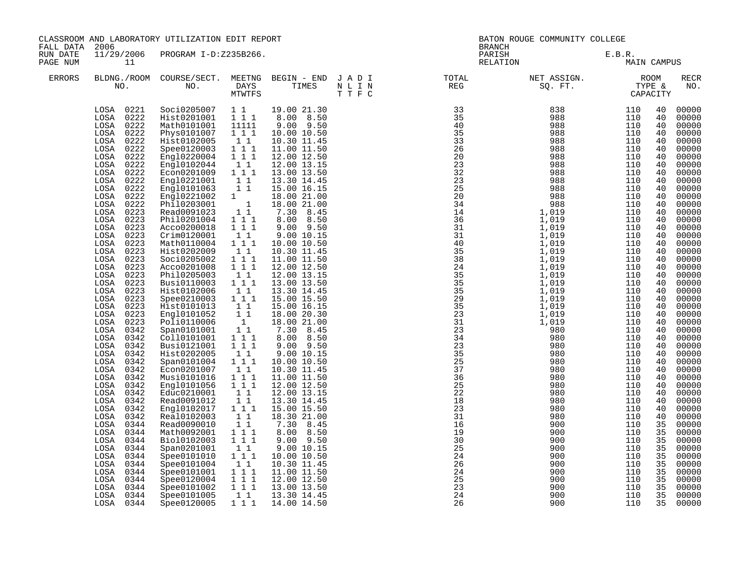| CLASSROOM AND LABORATORY UTILIZATION EDIT REPORT<br>FALL DATA<br>2006<br>11/29/2006 PROGRAM I-D:Z235B266.<br>RUN DATE |                                                                                                                                                                                                                                                                                                                                                                                                                                                                                                                                                                                                                                                                                                                                          |                                                                                                                                                                                                                                                                                                                                                                                                                                                                                                                                                                                                                                                                                                                                                                                           | BATON ROUGE COMMUNITY COLLEGE<br><b>BRANCH</b>                                                                                                                                                                                                                                                                                                                                                                                                                                                                                                                                                                                                                                                                                                                                        |                                                                                                                                                                                                                                                                                                                                                                                                                                                                                                                                                                                                                                                                                                                                                                    |                             |                                                                                                                                                                                                                                                                                                        |                          |                                                                                                                                                                                                                                                                                                          |                                                                                                                                                                                                                                                                                                                                                                                                                                                                |
|-----------------------------------------------------------------------------------------------------------------------|------------------------------------------------------------------------------------------------------------------------------------------------------------------------------------------------------------------------------------------------------------------------------------------------------------------------------------------------------------------------------------------------------------------------------------------------------------------------------------------------------------------------------------------------------------------------------------------------------------------------------------------------------------------------------------------------------------------------------------------|-------------------------------------------------------------------------------------------------------------------------------------------------------------------------------------------------------------------------------------------------------------------------------------------------------------------------------------------------------------------------------------------------------------------------------------------------------------------------------------------------------------------------------------------------------------------------------------------------------------------------------------------------------------------------------------------------------------------------------------------------------------------------------------------|---------------------------------------------------------------------------------------------------------------------------------------------------------------------------------------------------------------------------------------------------------------------------------------------------------------------------------------------------------------------------------------------------------------------------------------------------------------------------------------------------------------------------------------------------------------------------------------------------------------------------------------------------------------------------------------------------------------------------------------------------------------------------------------|--------------------------------------------------------------------------------------------------------------------------------------------------------------------------------------------------------------------------------------------------------------------------------------------------------------------------------------------------------------------------------------------------------------------------------------------------------------------------------------------------------------------------------------------------------------------------------------------------------------------------------------------------------------------------------------------------------------------------------------------------------------------|-----------------------------|--------------------------------------------------------------------------------------------------------------------------------------------------------------------------------------------------------------------------------------------------------------------------------------------------------|--------------------------|----------------------------------------------------------------------------------------------------------------------------------------------------------------------------------------------------------------------------------------------------------------------------------------------------------|----------------------------------------------------------------------------------------------------------------------------------------------------------------------------------------------------------------------------------------------------------------------------------------------------------------------------------------------------------------------------------------------------------------------------------------------------------------|
| PAGE NUM                                                                                                              | 11                                                                                                                                                                                                                                                                                                                                                                                                                                                                                                                                                                                                                                                                                                                                       |                                                                                                                                                                                                                                                                                                                                                                                                                                                                                                                                                                                                                                                                                                                                                                                           |                                                                                                                                                                                                                                                                                                                                                                                                                                                                                                                                                                                                                                                                                                                                                                                       |                                                                                                                                                                                                                                                                                                                                                                                                                                                                                                                                                                                                                                                                                                                                                                    |                             | PARISH<br>RELATION                                                                                                                                                                                                                                                                                     | E.B.R.                   | MAIN CAMPUS                                                                                                                                                                                                                                                                                              |                                                                                                                                                                                                                                                                                                                                                                                                                                                                |
| <b>ERRORS</b>                                                                                                         |                                                                                                                                                                                                                                                                                                                                                                                                                                                                                                                                                                                                                                                                                                                                          |                                                                                                                                                                                                                                                                                                                                                                                                                                                                                                                                                                                                                                                                                                                                                                                           |                                                                                                                                                                                                                                                                                                                                                                                                                                                                                                                                                                                                                                                                                                                                                                                       |                                                                                                                                                                                                                                                                                                                                                                                                                                                                                                                                                                                                                                                                                                                                                                    |                             | BLDNG./ROOM COURSE/SECT. MEETNG BEGIN – END JADI TOTAL TOTAL NET ASSIGN. REG ROOM NO. DAYS TIMES NLIN REG SQ.FT. TYPE &                                                                                                                                                                                |                          |                                                                                                                                                                                                                                                                                                          | RECR<br>NO.                                                                                                                                                                                                                                                                                                                                                                                                                                                    |
|                                                                                                                       | LOSA 0221<br>LOSA 0222<br>LOSA 0222<br>LOSA 0222<br>LOSA 0222<br>LOSA 0222<br>LOSA 0222<br>LOSA 0222<br>LOSA 0222<br>LOSA 0222<br>LOSA 0222<br>0222<br>LOSA<br>LOSA 0222<br>LOSA 0223<br>LOSA<br>0223<br>0223<br>$_{\rm LOSA}$<br>LOSA<br>0223<br>LOSA 0223<br>LOSA 0223<br>LOSA 0223<br>LOSA 0223<br>LOSA 0223<br>LOSA 0223<br>LOSA 0223<br>LOSA 0223<br>LOSA 0223<br>LOSA 0223<br>0223<br>LOSA<br>0342<br>LOSA<br>LOSA<br>0342<br>LOSA<br>0342<br>LOSA<br>0342<br>LOSA<br>0342<br>LOSA<br>0342<br>0342<br>LOSA<br>LOSA 0342<br>LOSA 0342<br>LOSA 0342<br>LOSA 0342<br>LOSA 0342<br>LOSA 0344<br>LOSA<br>0344<br>LOSA 0344<br>LOSA 0344<br>LOSA<br>0344<br>LOSA<br>0344<br>LOSA<br>0344<br>0344<br>LOSA<br>0344<br>LOSA<br>LOSA<br>0344 | Soci0205007 1 1<br>Hist0201001 111<br>Math0101001<br>Phys0101007<br>Hist0102005<br>Spee0120003<br>Eng10220004<br>Engl0102044<br>Econ0201009<br>Engl0221001<br>Engl0101063<br>Engl0221002 1<br>Phil0203001 1<br>Read0091023 11<br>Phil0201004<br>Acco0200018<br>Crim0120001<br>Math0110004<br>Hist0202009<br>Soci0205002<br>Acco0201008<br>Phil0205003<br>Busi0110003<br>Hist0102006<br>Spee0210003<br>Hist0101013<br>Engl0101052<br>Poli0110006<br>Span0101001<br>Coll0101001<br>Busi0121001<br>Hist0202005<br>Span0101004<br>Econ0201007<br>Musi0101016<br>Engl0101056<br>Educ0210001<br>Read0091012<br>Engl0102017<br>Real0102003<br>Read0090010<br>Math0092001<br>Bio10102003<br>Span0201001<br>Spee0101010<br>Spee0101004<br>Spee0101001<br>Spee0120004<br>Spee0101002<br>Spee0101005 | 11111<br>111<br>11<br>$\begin{array}{ccc}\n1 & 1 & 1 \\ 1 & 1 & 1\n\end{array}$<br>$1\quad1$<br>$1 1 1$<br>11<br>$1\quad1$<br>$\begin{array}{rrrr} & 1 & 1 \\ 1 & 1 & 1 \end{array}$<br>11<br>$1 1 1$<br>11<br>$1 1 1$<br>$1 1 1$<br>$1\quad1$<br>$1\ 1\ 1$<br>11<br>$1 1 1$<br>$\begin{bmatrix} 1 & 1 \\ 1 & 1 \end{bmatrix}$<br>$\begin{smallmatrix} &1\\1&1\end{smallmatrix}$<br>$\begin{array}{rrrr} 1&1&1\\ 1&1&1 \end{array}$<br>$1\quad1$<br>111<br>11<br>$1 1 1$<br>$1 1 1$<br>$1\;1$<br>11<br>$1 1 1$<br>11<br>$\begin{array}{c} \bar{1} & \bar{1} \\ 1 & 1 & 1 \end{array}$<br>$1 1 1$<br>$1\quad1$<br>1 1 1<br>$\begin{bmatrix} 1 \\ 1 \end{bmatrix}$<br>1 1 1<br>$\begin{array}{cccc}\n\overline{1} & \overline{1} & \overline{1} \\ 1 & 1 & 1\n\end{array}$<br>$1\quad1$ | 19.00 21.30<br>8.00 8.50<br>$9.00$ $9.50$<br>10.00 10.50<br>10.30 11.45<br>11.00 11.50<br>12.00 12.50<br>12.00 13.15<br>13.00 13.50<br>13.30 14.45<br>15.00 16.15<br>18.00 21.00<br>18.00 21.00<br>$7.30 \t 8.45$<br>8.00 8.50<br>$9.00$ $9.50$<br>9.00 10.15<br>10.00 10.50<br>10.30 11.45<br>11.00 11.50<br>12.00 12.50<br>12.00 13.15<br>13.00 13.50<br>13.30 14.45<br>15.00 15.50<br>15.00 16.15<br>18.00 20.30<br>18.00 21.00<br>7.30 8.45<br>8.00 8.50<br>$9.00$ $9.50$<br>9.00 10.15<br>10.00 10.50<br>10.30 11.45<br>11.00 11.50<br>12.00 12.50<br>12.00 13.15<br>13.30 14.45<br>15.00 15.50<br>18.30 21.00<br>7.30 8.45<br>8.00 8.50<br>9.00 9.50<br>9.00 10.15<br>10.00 10.50<br>10.30 11.45<br>11.00 11.50<br>12.00 12.50<br>13.00 13.50<br>13.30 14.45 | 24<br>$\frac{25}{23}$<br>24 | REG 50. FT. TYPE 100 100 1 17 (200 1 17 18)<br>135 8 988 110<br>135 8 988 110<br>10 20 9888 110<br>220 9888 1110<br>232 9888 1110<br>232 9888 1110<br>232 9888 1110<br>110<br>232 9888 1110<br>144 1,019 910 1110<br>110<br>313 1,019 1110<br>110<br>333 1,019 1110<br>333<br>900<br>900<br>900<br>900 | 110<br>110<br>110<br>110 | 40<br>40<br>40<br>40<br>40<br>40<br>40<br>40<br>40<br>40<br>40<br>40<br>40<br>40<br>40<br>40<br>40<br>40<br>40<br>40<br>40<br>40<br>40<br>40<br>40<br>40<br>40<br>40<br>40<br>40<br>40<br>40<br>40<br>40<br>40<br>40<br>40<br>40<br>40<br>40<br>35<br>35<br>35<br>35<br>35<br>35<br>35<br>35<br>35<br>35 | 00000<br>00000<br>00000<br>00000<br>00000<br>00000<br>00000<br>00000<br>00000<br>00000<br>00000<br>00000<br>00000<br>00000<br>00000<br>00000<br>00000<br>00000<br>00000<br>00000<br>00000<br>00000<br>00000<br>00000<br>00000<br>00000<br>00000<br>00000<br>00000<br>00000<br>00000<br>00000<br>00000<br>00000<br>00000<br>00000<br>00000<br>00000<br>00000<br>00000<br>00000<br>00000<br>00000<br>00000<br>00000<br>00000<br>00000<br>00000<br>00000<br>00000 |
|                                                                                                                       | LOSA 0344                                                                                                                                                                                                                                                                                                                                                                                                                                                                                                                                                                                                                                                                                                                                | Spee0120005                                                                                                                                                                                                                                                                                                                                                                                                                                                                                                                                                                                                                                                                                                                                                                               | 1 1 1                                                                                                                                                                                                                                                                                                                                                                                                                                                                                                                                                                                                                                                                                                                                                                                 | 14.00 14.50                                                                                                                                                                                                                                                                                                                                                                                                                                                                                                                                                                                                                                                                                                                                                        | 26                          | 900                                                                                                                                                                                                                                                                                                    | 110                      | 35                                                                                                                                                                                                                                                                                                       | 00000                                                                                                                                                                                                                                                                                                                                                                                                                                                          |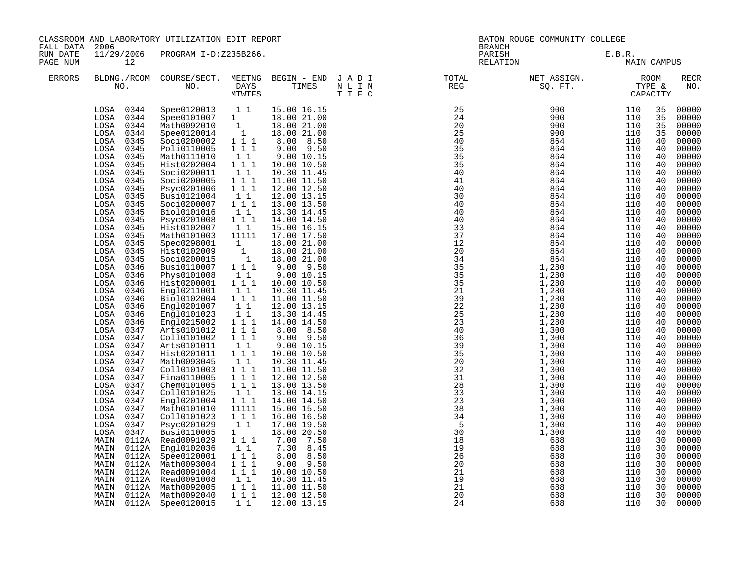| FALL DATA            | CLASSROOM AND LABORATORY UTILIZATION EDIT REPORT<br>2006<br>11/29/2006 PROGRAM I-D:Z235B266.                                                                                                                                                                                                                                                                                                                                                                                                                                                                                                                                                                                                                                                                                              |                                                                                                                                                                                                                                                                                                                                                                                                                                                                                                                                                                                                                                                                                                                                                        |                                                                                                                                                                                                                                                                                                                                                                                                                                                                                                                                                    |                                                                                                                                                                                                                                                                                                                                                                                                                                                                                                                                                                                                                                                                                                                                     |                                                                                                                   | BATON ROUGE COMMUNITY COLLEGE<br><b>BRANCH</b> |                                                                                                                                                                                                                                                                                                                                                                                                                                                                                                        |                                                                                                                                                                                                                                                                                                                                                      |                                                                                                                                                                                                                                                                                              |                                                                                                                                                                                                                                                                                                                                                                                                                                              |
|----------------------|-------------------------------------------------------------------------------------------------------------------------------------------------------------------------------------------------------------------------------------------------------------------------------------------------------------------------------------------------------------------------------------------------------------------------------------------------------------------------------------------------------------------------------------------------------------------------------------------------------------------------------------------------------------------------------------------------------------------------------------------------------------------------------------------|--------------------------------------------------------------------------------------------------------------------------------------------------------------------------------------------------------------------------------------------------------------------------------------------------------------------------------------------------------------------------------------------------------------------------------------------------------------------------------------------------------------------------------------------------------------------------------------------------------------------------------------------------------------------------------------------------------------------------------------------------------|----------------------------------------------------------------------------------------------------------------------------------------------------------------------------------------------------------------------------------------------------------------------------------------------------------------------------------------------------------------------------------------------------------------------------------------------------------------------------------------------------------------------------------------------------|-------------------------------------------------------------------------------------------------------------------------------------------------------------------------------------------------------------------------------------------------------------------------------------------------------------------------------------------------------------------------------------------------------------------------------------------------------------------------------------------------------------------------------------------------------------------------------------------------------------------------------------------------------------------------------------------------------------------------------------|-------------------------------------------------------------------------------------------------------------------|------------------------------------------------|--------------------------------------------------------------------------------------------------------------------------------------------------------------------------------------------------------------------------------------------------------------------------------------------------------------------------------------------------------------------------------------------------------------------------------------------------------------------------------------------------------|------------------------------------------------------------------------------------------------------------------------------------------------------------------------------------------------------------------------------------------------------------------------------------------------------------------------------------------------------|----------------------------------------------------------------------------------------------------------------------------------------------------------------------------------------------------------------------------------------------------------------------------------------------|----------------------------------------------------------------------------------------------------------------------------------------------------------------------------------------------------------------------------------------------------------------------------------------------------------------------------------------------------------------------------------------------------------------------------------------------|
| RUN DATE<br>PAGE NUM | 12                                                                                                                                                                                                                                                                                                                                                                                                                                                                                                                                                                                                                                                                                                                                                                                        |                                                                                                                                                                                                                                                                                                                                                                                                                                                                                                                                                                                                                                                                                                                                                        |                                                                                                                                                                                                                                                                                                                                                                                                                                                                                                                                                    |                                                                                                                                                                                                                                                                                                                                                                                                                                                                                                                                                                                                                                                                                                                                     |                                                                                                                   |                                                | PARISH<br>RELATION                                                                                                                                                                                                                                                                                                                                                                                                                                                                                     | E.B.R.<br>MAIN CAMPUS                                                                                                                                                                                                                                                                                                                                |                                                                                                                                                                                                                                                                                              |                                                                                                                                                                                                                                                                                                                                                                                                                                              |
| <b>ERRORS</b>        |                                                                                                                                                                                                                                                                                                                                                                                                                                                                                                                                                                                                                                                                                                                                                                                           |                                                                                                                                                                                                                                                                                                                                                                                                                                                                                                                                                                                                                                                                                                                                                        | MTWTFS                                                                                                                                                                                                                                                                                                                                                                                                                                                                                                                                             |                                                                                                                                                                                                                                                                                                                                                                                                                                                                                                                                                                                                                                                                                                                                     | BLDNG./ROOM COURSE/SECT. MEETNG BEGIN – END JADI (TOTAL TOTAL NO. ) DAYS TIMES NLIN REG REG (THE THE C<br>T T F C |                                                |                                                                                                                                                                                                                                                                                                                                                                                                                                                                                                        |                                                                                                                                                                                                                                                                                                                                                      |                                                                                                                                                                                                                                                                                              | <b>RECR</b><br>NO.                                                                                                                                                                                                                                                                                                                                                                                                                           |
|                      | LOSA 0344<br>LOSA 0344<br>LOSA 0344<br>LOSA<br>0344<br>0345<br>LOSA<br>LOSA<br>0345<br>0345<br>LOSA<br>0345<br>LOSA<br>LOSA<br>0345<br>LOSA<br>0345<br>LOSA<br>0345<br>LOSA<br>0345<br>LOSA<br>0345<br>LOSA<br>0345<br>LOSA<br>0345<br>0345<br>LOSA<br>0345<br>LOSA<br>0345<br>LOSA<br>LOSA<br>0345<br>0345<br>LOSA<br>LOSA<br>0346<br>0346<br>LOSA<br>0346<br>LOSA<br>LOSA<br>0346<br>LOSA<br>0346<br>LOSA<br>0346<br>LOSA<br>0346<br>LOSA<br>0346<br>LOSA<br>0347<br>LOSA<br>0347<br>0347<br>LOSA<br>LOSA<br>0347<br>LOSA<br>0347<br>LOSA<br>0347<br>0347<br>LOSA<br>LOSA<br>0347<br>0347<br>LOSA<br>LOSA<br>0347<br>LOSA<br>0347<br>LOSA<br>0347<br>LOSA<br>0347<br>LOSA<br>0347<br>MAIN<br>0112A<br>MAIN<br>0112A<br>MAIN<br>0112A<br>MAIN<br>0112A<br>MAIN<br>0112A<br>MAIN<br>0112A | Spee0120013 1 1<br>Spee0101007 1<br>Math0092010 1<br>Spee0120014 1<br>Soci0200002<br>Poli0110005<br>Math0111010<br>Hist0202004<br>Soci0200011<br>Soci0200005<br>Psyc0201006<br>Busi0121004<br>Soci0200007<br>Bio10101016<br>Psyc0201008<br>Hist0102007<br>Math0101003<br>Spec0298001<br>Hist0102009<br>Soci0200015<br>Busi0110007<br>Phys0101008<br>Hist0200001<br>Eng10211001<br>Bio10102004<br>Engl0201007<br>Engl0101023<br>Eng10215002<br>Arts0101012<br>Coll0101002<br>Arts0101011<br>Hist0201011<br>Math0093045<br>Coll0101003<br>Fina0110005<br>Chem0101005<br>Coll0101025<br>Engl0201004<br>Math0101010<br>Coll0101023<br>Psyc0201029<br>Busi0110005<br>Read0091029<br>Engl0102036<br>Spee0120001<br>Math0093004<br>Read0091004<br>Read0091008 | $1 1 1$<br>$1 1 1$<br>$\begin{smallmatrix}1&1\\1&1&1\end{smallmatrix}$<br>11<br>$1\ 1\ 1$<br>$1 1 1$<br>11<br>111<br>11<br>$1 1 1$<br>11<br>11111<br>$\begin{bmatrix} 1 \\ 1 \\ 1 \end{bmatrix}$<br>$1 1 1$<br>$1\quad1$<br>$1\hspace{0.1cm} 1\hspace{0.1cm} 1$<br>$1\quad1$<br>$1 1 1$<br>$\begin{smallmatrix}1&1\\1&1\end{smallmatrix}$<br>111<br>$1 1 1$<br>111<br>$1\quad1$<br>111<br>11<br>$1 1 1$<br>111<br>$1 1 1$<br>$1\quad1$<br>$1$ $1$ $1$<br>11111<br>1 1 1<br>1 1<br>$1 \quad \blacksquare$<br>111<br>11<br>1 1 1<br>$1 1 1$<br>1 1 1 | 15.00 16.15<br>18.00 21.00<br>18.00 21.00<br>18.00 21.00<br>8.00 8.50<br>$9.00$ $9.50$<br>9.00 10.15<br>10.00 10.50<br>10.30 11.45<br>11.00 11.50<br>12.00 12.50<br>12.00 13.15<br>13.00 13.50<br>13.30 14.45<br>14.00 14.50<br>15.00 16.15<br>17.00 17.50<br>18.00 21.00<br>18.00 21.00<br>18.00 21.00<br>$9.00$ $9.50$<br>9.00 10.15<br>10.00 10.50<br>10.30 11.45<br>11.00 11.50<br>12.00 13.15<br>13.30 14.45<br>14.00 14.50<br>8.00 8.50<br>$9.00$ $9.50$<br>9.00 10.15<br>10.00 10.50<br>10.30 11.45<br>11.00 11.50<br>12.00 12.50<br>13.00 13.50<br>13.00 14.15<br>14.00 14.50<br>15.00 15.50<br>16.00 16.50<br>17.00 19.50<br>18.00 20.50<br>7.00 7.50<br>7.30 8.45<br>8.00 8.50<br>9.00 9.50<br>10.00 10.50<br>10.30 11.45 |                                                                                                                   |                                                | 900<br>900<br>864<br>864<br>864<br>864<br>864<br>864<br>864<br>864<br>864<br>864<br>864<br>$\begin{array}{cccc} 4\,0 \qquad \qquad & 8\,6\,4 \qquad \qquad & 8\,6\,4 \qquad \qquad & 8\,6\,4 \qquad \qquad & 8\,6\,4 \qquad \qquad & 8\,6\,4 \qquad \qquad & 8\,6\,4 \qquad \qquad & 8\,6\,4 \qquad \qquad & 8\,6\,4 \qquad \qquad & 8\,6\,4 \qquad \qquad & 8\,6\,4 \qquad \qquad & 8\,6\,4 \qquad \qquad & 8\,6\,4 \qquad \qquad & 8\,6\,4 \qquad \qquad & 8\,6\$<br>688<br>688<br>688<br>688<br>688 | 900 110<br>900 110<br>110<br>110<br>110<br>110<br>110<br>110<br>110<br>110<br>110<br>110<br>110<br>110<br>110<br>110<br>110<br>110<br>110<br>110<br>110<br>110<br>110<br>110<br>110<br>110<br>110<br>110<br>110<br>110<br>110<br>110<br>110<br>110<br>110<br>110<br>110<br>110<br>110<br>110<br>110<br>110<br>110<br>110<br>110<br>110<br>110<br>110 | 35<br>35<br>35<br>35<br>40<br>40<br>40<br>40<br>40<br>40<br>40<br>40<br>40<br>40<br>40<br>40<br>40<br>40<br>40<br>40<br>40<br>40<br>40<br>40<br>40<br>40<br>40<br>40<br>40<br>40<br>40<br>40<br>40<br>40<br>40<br>40<br>40<br>40<br>40<br>40<br>40<br>40<br>30<br>30<br>30<br>30<br>30<br>30 | 00000<br>00000<br>00000<br>00000<br>00000<br>00000<br>00000<br>00000<br>00000<br>00000<br>00000<br>00000<br>00000<br>00000<br>00000<br>00000<br>00000<br>00000<br>00000<br>00000<br>00000<br>00000<br>00000<br>00000<br>00000<br>00000<br>00000<br>00000<br>00000<br>00000<br>00000<br>00000<br>00000<br>00000<br>00000<br>00000<br>00000<br>00000<br>00000<br>00000<br>00000<br>00000<br>00000<br>00000<br>00000<br>00000<br>00000<br>00000 |
|                      | MAIN<br>0112A<br>MAIN<br>MAIN                                                                                                                                                                                                                                                                                                                                                                                                                                                                                                                                                                                                                                                                                                                                                             | Math0092005<br>0112A Math0092040<br>0112A Spee0120015                                                                                                                                                                                                                                                                                                                                                                                                                                                                                                                                                                                                                                                                                                  | $\begin{smallmatrix}1&1\\1&1&1\end{smallmatrix}$<br>111<br>1 1                                                                                                                                                                                                                                                                                                                                                                                                                                                                                     | 11.00 11.50<br>12.00 12.50<br>12.00 13.15                                                                                                                                                                                                                                                                                                                                                                                                                                                                                                                                                                                                                                                                                           |                                                                                                                   | 24                                             | 688<br>688<br>688                                                                                                                                                                                                                                                                                                                                                                                                                                                                                      | 110<br>110<br>110                                                                                                                                                                                                                                                                                                                                    | 30<br>30<br>30                                                                                                                                                                                                                                                                               | 00000<br>00000<br>00000                                                                                                                                                                                                                                                                                                                                                                                                                      |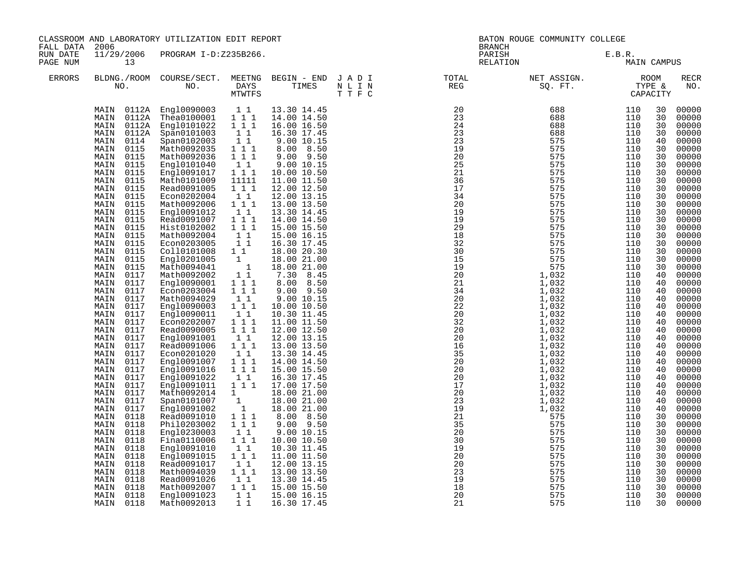| FALL DATA            | 2006                                                                                                                                                                                                                                                                                                                                                                                                                                                                                                                                                                                                                                                                                                                                                                                                   | CLASSROOM AND LABORATORY UTILIZATION EDIT REPORT                                                                                                                                                                                                                                                                                                                                                                                                                                                                                                                                                                                                                                                                                                                                                     |                                                                                                                                                                                                                                                                                                                                                                                                                                                                                                                                                                                                                                         |                                                                                                                                                                                                                                                                                                                                                                                                                                                                                                                                                                                                                                                                                                                                                                      |                                                                                                                            |          | BATON ROUGE COMMUNITY COLLEGE<br><b>BRANCH</b>                                                                                                                                                                                               |                                                                                                                                                                                                                                                                                                                                                            |                                                                                                                                                                                                                                                                                                          |                                                                                                                                                                                                                                                                                                                                                                                                                                                                |  |
|----------------------|--------------------------------------------------------------------------------------------------------------------------------------------------------------------------------------------------------------------------------------------------------------------------------------------------------------------------------------------------------------------------------------------------------------------------------------------------------------------------------------------------------------------------------------------------------------------------------------------------------------------------------------------------------------------------------------------------------------------------------------------------------------------------------------------------------|------------------------------------------------------------------------------------------------------------------------------------------------------------------------------------------------------------------------------------------------------------------------------------------------------------------------------------------------------------------------------------------------------------------------------------------------------------------------------------------------------------------------------------------------------------------------------------------------------------------------------------------------------------------------------------------------------------------------------------------------------------------------------------------------------|-----------------------------------------------------------------------------------------------------------------------------------------------------------------------------------------------------------------------------------------------------------------------------------------------------------------------------------------------------------------------------------------------------------------------------------------------------------------------------------------------------------------------------------------------------------------------------------------------------------------------------------------|----------------------------------------------------------------------------------------------------------------------------------------------------------------------------------------------------------------------------------------------------------------------------------------------------------------------------------------------------------------------------------------------------------------------------------------------------------------------------------------------------------------------------------------------------------------------------------------------------------------------------------------------------------------------------------------------------------------------------------------------------------------------|----------------------------------------------------------------------------------------------------------------------------|----------|----------------------------------------------------------------------------------------------------------------------------------------------------------------------------------------------------------------------------------------------|------------------------------------------------------------------------------------------------------------------------------------------------------------------------------------------------------------------------------------------------------------------------------------------------------------------------------------------------------------|----------------------------------------------------------------------------------------------------------------------------------------------------------------------------------------------------------------------------------------------------------------------------------------------------------|----------------------------------------------------------------------------------------------------------------------------------------------------------------------------------------------------------------------------------------------------------------------------------------------------------------------------------------------------------------------------------------------------------------------------------------------------------------|--|
| RUN DATE<br>PAGE NUM | 13                                                                                                                                                                                                                                                                                                                                                                                                                                                                                                                                                                                                                                                                                                                                                                                                     | 11/29/2006 PROGRAM I-D:Z235B266.                                                                                                                                                                                                                                                                                                                                                                                                                                                                                                                                                                                                                                                                                                                                                                     |                                                                                                                                                                                                                                                                                                                                                                                                                                                                                                                                                                                                                                         |                                                                                                                                                                                                                                                                                                                                                                                                                                                                                                                                                                                                                                                                                                                                                                      |                                                                                                                            |          | PARISH<br>RELATION                                                                                                                                                                                                                           | E.B.R.<br>MAIN CAMPUS                                                                                                                                                                                                                                                                                                                                      |                                                                                                                                                                                                                                                                                                          |                                                                                                                                                                                                                                                                                                                                                                                                                                                                |  |
| <b>ERRORS</b>        |                                                                                                                                                                                                                                                                                                                                                                                                                                                                                                                                                                                                                                                                                                                                                                                                        |                                                                                                                                                                                                                                                                                                                                                                                                                                                                                                                                                                                                                                                                                                                                                                                                      | MTWTFS                                                                                                                                                                                                                                                                                                                                                                                                                                                                                                                                                                                                                                  |                                                                                                                                                                                                                                                                                                                                                                                                                                                                                                                                                                                                                                                                                                                                                                      | BLDNG./ROOM COURSE/SECT. MEETNG BEGIN – END JADI (TOTAL TOTAL NO. ) DAYS TIMES NLIN REG REG (REG MUNTES T T F C<br>T T F C |          | N                                                                                                                                                                                                                                            |                                                                                                                                                                                                                                                                                                                                                            |                                                                                                                                                                                                                                                                                                          | <b>RECR</b><br>NO.                                                                                                                                                                                                                                                                                                                                                                                                                                             |  |
|                      | MAIN<br>0112A<br>MAIN<br>MAIN<br>0112A<br>MAIN<br>0114<br>0115<br>MAIN<br>MAIN<br>0115<br>MAIN<br>0115<br>MAIN<br>0115<br>0115<br>MAIN<br>MAIN<br>0115<br>MAIN<br>0115<br>MAIN<br>0115<br>0115<br>MAIN<br>MAIN<br>0115<br>0115<br>MAIN<br>0115<br>MAIN<br>0115<br>MAIN<br>MAIN<br>0115<br>MAIN<br>0115<br>0115<br>MAIN<br>MAIN<br>0117<br>0117<br>MAIN<br>MAIN<br>0117<br>MAIN<br>0117<br>MAIN<br>0117<br>0117<br>MAIN<br>MAIN<br>0117<br>MAIN<br>0117<br>MAIN<br>0117<br>0117<br>MAIN<br>0117<br>MAIN<br>MAIN<br>0117<br>MAIN<br>0117<br>MAIN<br>0117<br>0117<br>MAIN<br>MAIN<br>0117<br>MAIN<br>0117<br>MAIN<br>0117<br>0118<br>MAIN<br>MAIN<br>0118<br>0118<br>MAIN<br>MAIN<br>0118<br>MAIN<br>0118<br>0118<br>MAIN<br>0118<br>MAIN<br>0118<br>MAIN<br>MAIN<br>0118<br>0118<br>MAIN<br>MAIN<br>0118 | MAIN 0112A Engl0090003 11<br>0112A Thea0100001 1 1 1<br>Eng10101022<br>Span0101003<br>Span0102003<br>Math0092035<br>Math0092036<br>Engl0101040<br>Eng10091017<br>Math0101009<br>Read0091005<br>Econ0202004<br>Math0092006<br>Engl0091012<br>Read0091007<br>Hist0102002<br>Math0092004<br>Econ0203005<br>Coll0101008<br>Eng10201005<br>Math0094041<br>Math0092002<br>Eng10090001<br>Econ0203004<br>Math0094029<br>Engl0090003<br>Eng10090011<br>Econ0202007<br>Read0090005<br>Eng10091001<br>Read0091006<br>Econ0201020<br>Engl0091007<br>Eng10091016<br>Engl0091022<br>Engl0091011<br>Math0092014<br>Span0101007<br>Eng10091002<br>Read0091010<br>Phil0203002<br>Engl0230003<br>Fina0110006<br>Engl0091010<br>Engl0091015<br>Read0091017<br>Math0094039<br>Read0091026<br>Math0092007<br>Eng10091023 | 1 1 1<br>$\frac{1}{1}$<br>$1\quad1$<br>$\begin{bmatrix} 1 & 1 \end{bmatrix}$<br>111<br>1 1<br>1 1 1<br>11111<br>$1 \quad 1 \quad 1$<br>$1\quad1$<br>111<br>11<br>$1 1 1$<br>$1 1 1$<br>11<br>$1\quad1$<br>11<br>$\begin{smallmatrix}1&&\\&1\end{smallmatrix}$<br>$1\overline{1}$<br>$1\hspace{0.1cm} 1\hspace{0.1cm} 1$<br>$1 1 1$<br>$1\quad1$<br>111<br>$1\quad1$<br>$1 1 1$<br>111<br>$1\quad1$<br>$1 1 1$<br>$1\quad1$<br>$\begin{smallmatrix}1&1&1\\1&1&1\end{smallmatrix}$<br>1 1<br>$1$ $1$ $1$<br>1<br>$\frac{1}{1}$<br>$1 1 1$<br>$1 1 1$<br>11<br>111<br>1 1<br>1 1 1<br>11<br>$1 \quad 1 \quad 1$<br>$1\quad1$<br>111<br>1 1 | 13.30 14.45<br>14.00 14.50<br>16.00 16.50<br>16.30 17.45<br>9.00 10.15<br>8.00 8.50<br>$9.00$ $9.50$<br>9.00 10.15<br>10.00 10.50<br>11.00 11.50<br>12.00 12.50<br>12.00 13.15<br>13.00 13.50<br>13.30 14.45<br>14.00 14.50<br>15.00 15.50<br>15.00 16.15<br>16.30 17.45<br>18.00 20.30<br>18.00 21.00<br>18.00 21.00<br>7.30 8.45<br>8.00 8.50<br>$9.00$ $9.50$<br>9.00 10.15<br>10.00 10.50<br>10.30 11.45<br>11.00 11.50<br>12.00 12.50<br>12.00 13.15<br>13.00 13.50<br>13.30 14.45<br>14.00 14.50<br>15.00 15.50<br>16.30 17.45<br>17.00 17.50<br>18.00 21.00<br>18.00 21.00<br>18.00 21.00<br>8.00 8.50<br>$9.00$ $9.50$<br>9.00 10.15<br>10.00 10.50<br>10.30 11.45<br>11.00 11.50<br>12.00 13.15<br>13.00 13.50<br>13.30 14.45<br>15.00 15.50<br>15.00 16.15 |                                                                                                                            | 18<br>20 | NH IN THE RESS and the set of the set of the set of the set of the set of the set of the set of the set of the set of the set of the set of the set of the set of the set of the set of the set of the set of the set of the s<br>575<br>575 | 110<br>110<br>110<br>110<br>110<br>110<br>110<br>110<br>110<br>110<br>110<br>110<br>110<br>110<br>110<br>110<br>110<br>110<br>110<br>110<br>110<br>110<br>110<br>110<br>110<br>110<br>110<br>110<br>110<br>110<br>110<br>110<br>110<br>110<br>110<br>110<br>110<br>110<br>110<br>110<br>110<br>110<br>110<br>110<br>110<br>110<br>110<br>110<br>110<br>110 | 30<br>30<br>30<br>30<br>40<br>30<br>30<br>30<br>30<br>30<br>30<br>30<br>30<br>30<br>30<br>30<br>30<br>30<br>30<br>30<br>30<br>40<br>40<br>40<br>40<br>40<br>40<br>40<br>40<br>40<br>40<br>40<br>40<br>40<br>40<br>40<br>40<br>40<br>40<br>30<br>30<br>30<br>30<br>30<br>30<br>30<br>30<br>30<br>30<br>30 | 00000<br>00000<br>00000<br>00000<br>00000<br>00000<br>00000<br>00000<br>00000<br>00000<br>00000<br>00000<br>00000<br>00000<br>00000<br>00000<br>00000<br>00000<br>00000<br>00000<br>00000<br>00000<br>00000<br>00000<br>00000<br>00000<br>00000<br>00000<br>00000<br>00000<br>00000<br>00000<br>00000<br>00000<br>00000<br>00000<br>00000<br>00000<br>00000<br>00000<br>00000<br>00000<br>00000<br>00000<br>00000<br>00000<br>00000<br>00000<br>00000<br>00000 |  |
|                      | MAIN<br>0118                                                                                                                                                                                                                                                                                                                                                                                                                                                                                                                                                                                                                                                                                                                                                                                           | Math0092013                                                                                                                                                                                                                                                                                                                                                                                                                                                                                                                                                                                                                                                                                                                                                                                          | $1\quad1$                                                                                                                                                                                                                                                                                                                                                                                                                                                                                                                                                                                                                               | 16.30 17.45                                                                                                                                                                                                                                                                                                                                                                                                                                                                                                                                                                                                                                                                                                                                                          |                                                                                                                            | 21       | 575                                                                                                                                                                                                                                          | 110                                                                                                                                                                                                                                                                                                                                                        | 30                                                                                                                                                                                                                                                                                                       | 00000                                                                                                                                                                                                                                                                                                                                                                                                                                                          |  |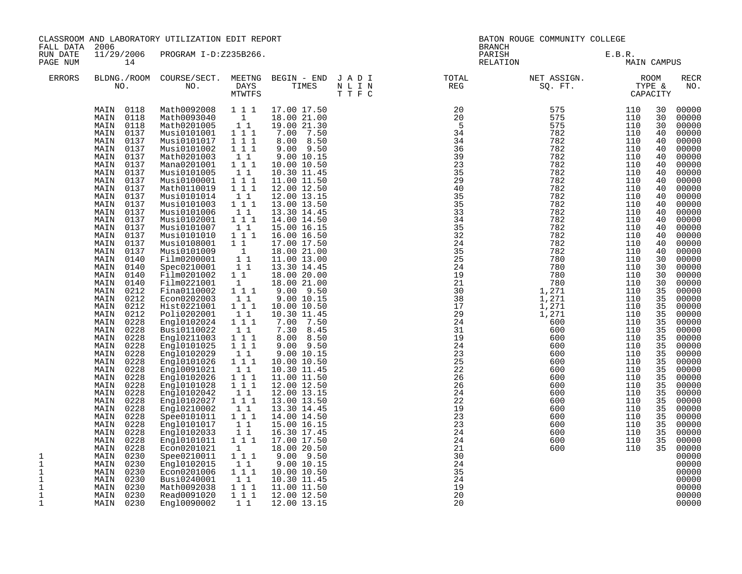| FALL DATA                                                        | 2006                                                                                                                                                                                                                                                                                                                                                                                                                                                                                                                                                                                                                                                                                                                                                                                                                                   | CLASSROOM AND LABORATORY UTILIZATION EDIT REPORT                                                                                                                                                                                                                                                                                                                                                                                                                                                                                                                                                                                                                                                                                                                                          |                                                                                                                                                                                                                                                                                                                                                                                                                                                                                                                                                                                                      |                                                                                                                                                                                                                                                                                                                                                                                                                                                                                                                                                                                                                                                                                                                                                                             | BATON ROUGE COMMUNITY COLLEGE<br><b>BRANCH</b>                                                                  |  |                    |                                                                                                                                                                                                                                                                                                                  |                                                                                                                                                                                                                                                                      |                                                                                                                                                                                                                                                                                                                                                                                                                                                                         |
|------------------------------------------------------------------|----------------------------------------------------------------------------------------------------------------------------------------------------------------------------------------------------------------------------------------------------------------------------------------------------------------------------------------------------------------------------------------------------------------------------------------------------------------------------------------------------------------------------------------------------------------------------------------------------------------------------------------------------------------------------------------------------------------------------------------------------------------------------------------------------------------------------------------|-------------------------------------------------------------------------------------------------------------------------------------------------------------------------------------------------------------------------------------------------------------------------------------------------------------------------------------------------------------------------------------------------------------------------------------------------------------------------------------------------------------------------------------------------------------------------------------------------------------------------------------------------------------------------------------------------------------------------------------------------------------------------------------------|------------------------------------------------------------------------------------------------------------------------------------------------------------------------------------------------------------------------------------------------------------------------------------------------------------------------------------------------------------------------------------------------------------------------------------------------------------------------------------------------------------------------------------------------------------------------------------------------------|-----------------------------------------------------------------------------------------------------------------------------------------------------------------------------------------------------------------------------------------------------------------------------------------------------------------------------------------------------------------------------------------------------------------------------------------------------------------------------------------------------------------------------------------------------------------------------------------------------------------------------------------------------------------------------------------------------------------------------------------------------------------------------|-----------------------------------------------------------------------------------------------------------------|--|--------------------|------------------------------------------------------------------------------------------------------------------------------------------------------------------------------------------------------------------------------------------------------------------------------------------------------------------|----------------------------------------------------------------------------------------------------------------------------------------------------------------------------------------------------------------------------------------------------------------------|-------------------------------------------------------------------------------------------------------------------------------------------------------------------------------------------------------------------------------------------------------------------------------------------------------------------------------------------------------------------------------------------------------------------------------------------------------------------------|
| RUN DATE<br>PAGE NUM                                             | 11/29/2006<br>14                                                                                                                                                                                                                                                                                                                                                                                                                                                                                                                                                                                                                                                                                                                                                                                                                       | PROGRAM I-D:Z235B266.                                                                                                                                                                                                                                                                                                                                                                                                                                                                                                                                                                                                                                                                                                                                                                     |                                                                                                                                                                                                                                                                                                                                                                                                                                                                                                                                                                                                      |                                                                                                                                                                                                                                                                                                                                                                                                                                                                                                                                                                                                                                                                                                                                                                             |                                                                                                                 |  | PARISH<br>RELATION | E.B.R.                                                                                                                                                                                                                                                                                                           | MAIN CAMPUS                                                                                                                                                                                                                                                          |                                                                                                                                                                                                                                                                                                                                                                                                                                                                         |
| <b>ERRORS</b>                                                    |                                                                                                                                                                                                                                                                                                                                                                                                                                                                                                                                                                                                                                                                                                                                                                                                                                        |                                                                                                                                                                                                                                                                                                                                                                                                                                                                                                                                                                                                                                                                                                                                                                                           | MTWTFS                                                                                                                                                                                                                                                                                                                                                                                                                                                                                                                                                                                               |                                                                                                                                                                                                                                                                                                                                                                                                                                                                                                                                                                                                                                                                                                                                                                             | BLDNG./ROOM COURSE/SECT. MEETNG BEGIN – END JADI (TOTAL TOTAL NO. ) DAYS TIMES NLIN REG REG (THE STIF C<br>TTFC |  |                    |                                                                                                                                                                                                                                                                                                                  |                                                                                                                                                                                                                                                                      | <b>RECR</b><br>NO.                                                                                                                                                                                                                                                                                                                                                                                                                                                      |
| 1<br>$\mathbf{1}$<br>$\mathbf{1}$<br>$\mathbf{1}$<br>1<br>1<br>1 | MAIN 0118<br>MAIN<br>0118<br>MAIN<br>0118<br>MAIN<br>0137<br>0137<br>MAIN<br>MAIN<br>0137<br>0137<br>MAIN<br>0137<br>MAIN<br>MAIN<br>0137<br>0137<br>MAIN<br>0137<br>MAIN<br>MAIN<br>0137<br>MAIN<br>0137<br>MAIN<br>0137<br>MAIN<br>0137<br>0137<br>MAIN<br>MAIN<br>0137<br>0137<br>MAIN<br>0137<br>MAIN<br>MAIN<br>0140<br>0140<br>MAIN<br>MAIN<br>0140<br>MAIN<br>0140<br>MAIN<br>0212<br>0212<br>MAIN<br>0212<br>MAIN<br>0212<br>MAIN<br>0228<br>MAIN<br>0228<br>MAIN<br>MAIN<br>0228<br>MAIN<br>0228<br>MAIN<br>0228<br>MAIN<br>0228<br>MAIN<br>0228<br>MAIN<br>0228<br>0228<br>MAIN<br>0228<br>MAIN<br>0228<br>MAIN<br>0228<br>MAIN<br>0228<br>MAIN<br>0228<br>MAIN<br>MAIN<br>0228<br>0228<br>MAIN<br>MAIN<br>0228<br>0230<br>MAIN<br>0230<br>MAIN<br>0230<br>MAIN<br>0230<br>MAIN<br>0230<br>MAIN<br>MAIN<br>0230<br>MAIN 0230 | Math0092008<br>Math0093040<br>Math0201005<br>Musi0101001<br>Musi0101017<br>Musi0101002<br>Math0201003<br>Mana0201001<br>Musi0101005<br>Musi0100001<br>Math0110019<br>Musi0101014<br>Musi0101003<br>Musi0101006<br>Musi0102001<br>Musi0101007<br>Musi0101010<br>Musi0108001<br>Musi0101009<br>Film0200001<br>Spec0210001<br>Film0201002<br>Film0221001<br>Fina0110002<br>Econ0202003<br>Hist0221001<br>Poli0202001<br>Engl0102024<br>Busi0110022<br>Engl0211003<br>Engl0101025<br>Eng10102029<br>Engl0101026<br>Eng10091021<br>Engl0102026<br>Engl0101028<br>Engl0102042<br>Engl0102027<br>Engl0210002<br>Spee0101011<br>Engl0101017<br>Eng10102033<br>Engl0101011<br>Econ0201021<br>Spee0210011<br>Engl0102015<br>Econ0201006<br>Busi0240001<br>Math0092038<br>Read0091020<br>Eng10090002 | 1 1 1<br>1<br>11<br>1 1 1<br>1 1 1<br>$1 \quad 1 \quad 1$<br>11<br>1 1 1<br>$1\quad1$<br>111<br>111<br>$1\quad1$<br>1 1 1<br>$1\quad1$<br>1 1 1<br>$1\quad1$<br>111<br>$1\quad1$<br>$\overline{1}$<br>$\begin{array}{ccc} & 1 & 1 \\ & 1 & 1 \end{array}$<br>$1\quad1$<br>1<br>1 1 1<br>11<br>$1 1 1$<br>11<br>$1 1 1$<br>11<br>$1\hspace{0.1cm} 1\hspace{0.1cm} 1$<br>1 1 1<br>$1\quad1$<br>111<br>11<br>111<br>$1 1 1$<br>$1\quad1$<br>$1 1 1$<br>$1\quad1$<br>111<br>11<br>11<br>$1 1 1$<br>$\mathbf{1}$<br>$1\hspace{0.1cm} 1\hspace{0.1cm} 1$<br>11<br>$1 1 1$<br>11<br>111<br>111<br>$1\quad1$ | 17.00 17.50<br>18.00 21.00<br>19.00 21.30<br>7.00 7.50<br>8.00 8.50<br>9.00 9.50<br>9.00 10.15<br>10.00 10.50<br>10.30 11.45<br>11.00 11.50<br>12.00 12.50<br>12.00 13.15<br>13.00 13.50<br>13.30 14.45<br>14.00 14.50<br>15.00 16.15<br>16.00 16.50<br>17.00 17.50<br>18.00 21.00<br>11.00 13.00<br>13.30 14.45<br>18.00 20.00<br>18.00 21.00<br>$9.00$ $9.50$<br>9.00 10.15<br>10.00 10.50<br>10.30 11.45<br>7.00 7.50<br>7.30 8.45<br>8.00 8.50<br>$9.00$ $9.50$<br>9.00 10.15<br>10.00 10.50<br>10.30 11.45<br>11.00 11.50<br>12.00 12.50<br>12.00 13.15<br>13.00 13.50<br>13.30 14.45<br>14.00 14.50<br>15.00 16.15<br>16.30 17.45<br>17.00 17.50<br>18.00 20.50<br>9.00 9.50<br>9.00 10.15<br>10.00 10.50<br>10.30 11.45<br>11.00 11.50<br>12.00 12.50<br>12.00 13.15 |                                                                                                                 |  |                    | 110<br>110<br>110<br>110<br>110<br>110<br>110<br>110<br>110<br>110<br>110<br>110<br>110<br>110<br>110<br>110<br>110<br>110<br>110<br>110<br>110<br>110<br>110<br>110<br>110<br>110<br>110<br>110<br>110<br>110<br>110<br>110<br>110<br>110<br>110<br>110<br>110<br>110<br>110<br>110<br>110<br>110<br>110<br>110 | 30<br>30<br>30<br>40<br>40<br>40<br>40<br>40<br>40<br>40<br>40<br>40<br>40<br>40<br>40<br>40<br>40<br>40<br>40<br>30<br>30<br>30<br>30<br>35<br>35<br>35<br>35<br>35<br>35<br>35<br>35<br>35<br>35<br>35<br>35<br>35<br>35<br>35<br>35<br>35<br>35<br>35<br>35<br>35 | 00000<br>00000<br>00000<br>00000<br>00000<br>00000<br>00000<br>00000<br>00000<br>00000<br>00000<br>00000<br>00000<br>00000<br>00000<br>00000<br>00000<br>00000<br>00000<br>00000<br>00000<br>00000<br>00000<br>00000<br>00000<br>00000<br>00000<br>00000<br>00000<br>00000<br>00000<br>00000<br>00000<br>00000<br>00000<br>00000<br>00000<br>00000<br>00000<br>00000<br>00000<br>00000<br>00000<br>00000<br>00000<br>00000<br>00000<br>00000<br>00000<br>00000<br>00000 |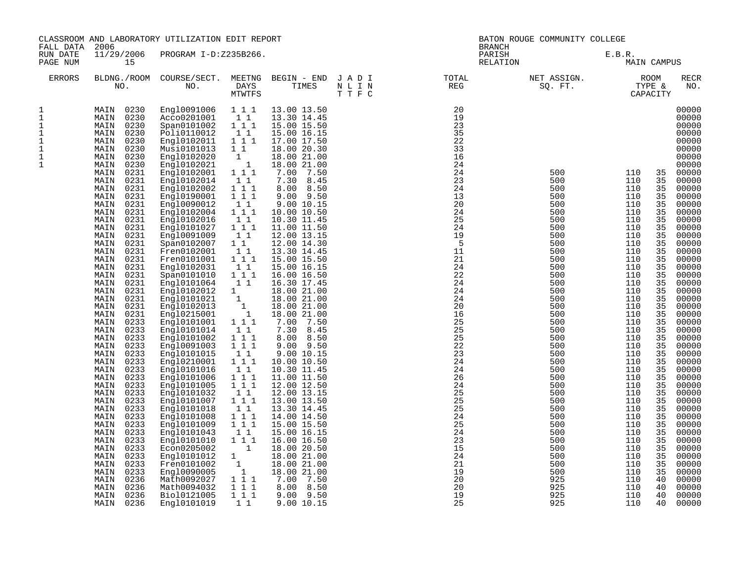| FALL DATA                                                                    | 2006                                                                                                                                                                                                                                                                                                                                                                                                                                                                                                                                                                                                                                                                                                                                                                                                                                   | CLASSROOM AND LABORATORY UTILIZATION EDIT REPORT                                                                                                                                                                                                                                                                                                                                                                                                                                                                                                                                                                                                                                                                                                                                                |                                                                                                                                                                                                                                                                                                                                                                                                                                                                                                                                                                           |                                                                                                                                                                                                                                                                                                                                                                                                                                                                                                                                                                                                                                                                                                                                                                              |                                                                                                                                                                                                                                        | BATON ROUGE COMMUNITY COLLEGE<br><b>BRANCH</b>                                                                                                                                                                                                                                                                   |                                                                                                                                                                                                                                                                                                           |                                                                                                                                                                                                                                                                                                           |                                                                                                                                                                                                                                                                |                                                                                                                                                                                                                                                                                                                                                                                                                                                                         |  |
|------------------------------------------------------------------------------|----------------------------------------------------------------------------------------------------------------------------------------------------------------------------------------------------------------------------------------------------------------------------------------------------------------------------------------------------------------------------------------------------------------------------------------------------------------------------------------------------------------------------------------------------------------------------------------------------------------------------------------------------------------------------------------------------------------------------------------------------------------------------------------------------------------------------------------|-------------------------------------------------------------------------------------------------------------------------------------------------------------------------------------------------------------------------------------------------------------------------------------------------------------------------------------------------------------------------------------------------------------------------------------------------------------------------------------------------------------------------------------------------------------------------------------------------------------------------------------------------------------------------------------------------------------------------------------------------------------------------------------------------|---------------------------------------------------------------------------------------------------------------------------------------------------------------------------------------------------------------------------------------------------------------------------------------------------------------------------------------------------------------------------------------------------------------------------------------------------------------------------------------------------------------------------------------------------------------------------|------------------------------------------------------------------------------------------------------------------------------------------------------------------------------------------------------------------------------------------------------------------------------------------------------------------------------------------------------------------------------------------------------------------------------------------------------------------------------------------------------------------------------------------------------------------------------------------------------------------------------------------------------------------------------------------------------------------------------------------------------------------------------|----------------------------------------------------------------------------------------------------------------------------------------------------------------------------------------------------------------------------------------|------------------------------------------------------------------------------------------------------------------------------------------------------------------------------------------------------------------------------------------------------------------------------------------------------------------|-----------------------------------------------------------------------------------------------------------------------------------------------------------------------------------------------------------------------------------------------------------------------------------------------------------|-----------------------------------------------------------------------------------------------------------------------------------------------------------------------------------------------------------------------------------------------------------------------------------------------------------|----------------------------------------------------------------------------------------------------------------------------------------------------------------------------------------------------------------------------------------------------------------|-------------------------------------------------------------------------------------------------------------------------------------------------------------------------------------------------------------------------------------------------------------------------------------------------------------------------------------------------------------------------------------------------------------------------------------------------------------------------|--|
| RUN DATE<br>PAGE NUM                                                         | 15                                                                                                                                                                                                                                                                                                                                                                                                                                                                                                                                                                                                                                                                                                                                                                                                                                     | 11/29/2006 PROGRAM I-D:Z235B266.                                                                                                                                                                                                                                                                                                                                                                                                                                                                                                                                                                                                                                                                                                                                                                |                                                                                                                                                                                                                                                                                                                                                                                                                                                                                                                                                                           |                                                                                                                                                                                                                                                                                                                                                                                                                                                                                                                                                                                                                                                                                                                                                                              |                                                                                                                                                                                                                                        |                                                                                                                                                                                                                                                                                                                  | PARISH<br>RELATION                                                                                                                                                                                                                                                                                        | E.B.R.<br><b>MAIN CAMPUS</b>                                                                                                                                                                                                                                                                              |                                                                                                                                                                                                                                                                |                                                                                                                                                                                                                                                                                                                                                                                                                                                                         |  |
| <b>ERRORS</b>                                                                |                                                                                                                                                                                                                                                                                                                                                                                                                                                                                                                                                                                                                                                                                                                                                                                                                                        |                                                                                                                                                                                                                                                                                                                                                                                                                                                                                                                                                                                                                                                                                                                                                                                                 | <b>MTWTFS</b>                                                                                                                                                                                                                                                                                                                                                                                                                                                                                                                                                             |                                                                                                                                                                                                                                                                                                                                                                                                                                                                                                                                                                                                                                                                                                                                                                              | BLDNG./ROOM COURSE/SECT. MEETNG BEGIN – END J A D I TOTAL TOTAL NO. NO. PREGENT SALLY STATES STATE STATE STATE STATE STATE STATE STATE STATE STATE STATE STATE STATE STATE STATE STATE STATE STATE STATE STATE STATE STATE STA<br>TTFC |                                                                                                                                                                                                                                                                                                                  | NET ASSIGN.<br>$SQ. \quad FT.$                                                                                                                                                                                                                                                                            | KUULLARE & TYPE & CAPACITY                                                                                                                                                                                                                                                                                |                                                                                                                                                                                                                                                                | <b>RECR</b><br>NO.                                                                                                                                                                                                                                                                                                                                                                                                                                                      |  |
| 1<br>$\mathbf{1}$<br>1<br>1<br>$1\,$<br>$\mathbf 1$<br>$1\,$<br>$\mathbf{1}$ | MAIN 0230<br>MAIN 0230<br>0230<br>MAIN<br>0230<br>MAIN<br>0230<br>MAIN<br>0230<br>MAIN<br>0230<br>MAIN<br>0230<br>MAIN<br>MAIN<br>0231<br>0231<br>MAIN<br>MAIN<br>0231<br>MAIN<br>0231<br>MAIN<br>0231<br>MAIN<br>0231<br>0231<br>MAIN<br>MAIN<br>0231<br>0231<br>MAIN<br>0231<br>MAIN<br>0231<br>MAIN<br>0231<br>MAIN<br>0231<br>MAIN<br>0231<br>MAIN<br>0231<br>MAIN<br>0231<br>MAIN<br>MAIN<br>0231<br>0231<br>MAIN<br>0231<br>MAIN<br>0233<br>MAIN<br>MAIN<br>0233<br>0233<br>MAIN<br>0233<br>MAIN<br>0233<br>MAIN<br>0233<br>MAIN<br>0233<br>MAIN<br>0233<br>MAIN<br>0233<br>MAIN<br>MAIN<br>0233<br>0233<br>MAIN<br>MAIN<br>0233<br>0233<br>MAIN<br>MAIN<br>0233<br>0233<br>MAIN<br>0233<br>MAIN<br>0233<br>MAIN<br>0233<br>MAIN<br>0233<br>MAIN<br>0233<br>MAIN<br>MAIN<br>0236<br>0236<br>MAIN<br>0236<br>MAIN<br>0236<br>MAIN | Engl0091006 1 1 1<br>Acco0201001<br>Span0101002<br>Poli0110012<br>Engl0102011<br>Musi0101013<br>Engl0102020<br>Engl0102021<br>Engl0102001<br>Engl0102014<br>Engl0102002<br>Eng10190001<br>Eng10090012<br>Eng10102004<br>Engl0102016<br>Eng10101027<br>Eng10091009<br>Span0102007<br>Fren0102001<br>Fren0101001<br>Engl0102031<br>Span0101010<br>Engl0101064<br>Engl0102012<br>Engl0101021<br>Engl0102013<br>Engl0215001<br>Engl0101001<br>Engl0101014<br>Engl0101002<br>Eng10091003<br>Engl0101015<br>Engl0210001<br>Engl0101016<br>Engl0101006<br>Engl0101005<br>Engl0101032<br>Engl0101007<br>Engl0101018<br>Engl0101008<br>Eng10101009<br>Engl0101043<br>Engl0101010<br>Econ0205002<br>Eng10101012<br>Fren0101002<br>Eng10090005<br>Math0092027<br>Math0094032<br>Bio10121005<br>Eng10101019 | $1\quad1$<br>1 1 1<br>11<br>1 1 1<br>$\begin{smallmatrix}1&&1\&1\end{smallmatrix}$<br>$\begin{smallmatrix}&&1\\1&1&1\end{smallmatrix}$<br>1 1<br>$1 1 1$<br>111<br>1 1<br>1 1 1<br>1 1<br>1 1 1<br>11<br>$1\quad1$<br>11<br>1 1 1<br>11<br>1 1 1<br>11<br>1<br>$\left[1\right]$<br>$\mathbf{1}_{1}$<br>1 1 1<br>11<br>$1\ 1\ 1$<br>111<br>$1\quad1$<br>1 1 1<br>1 1<br>1 1 1<br>$\overline{1}$ $\overline{1}$ $\overline{1}$<br>11<br>$1 1 1$<br>11<br>1 1 1<br>111<br>11<br>1 1 1<br>$\overline{1}$<br>1<br>$\mathbf{1}$<br>$\overline{1}$<br>111<br>1 1 1<br>111<br>1 1 | 13.00 13.50<br>13.30 14.45<br>15.00 15.50<br>15.00 16.15<br>17.00 17.50<br>18.00 20.30<br>18.00 21.00<br>18.00 21.00<br>7.00 7.50<br>7.30 8.45<br>8.00 8.50<br>$9.00$ $9.50$<br>9.00 10.15<br>10.00 10.50<br>10.30 11.45<br>11.00 11.50<br>12.00 13.15<br>12.00 14.30<br>13.30 14.45<br>15.00 15.50<br>15.00 16.15<br>16.00 16.50<br>16.30 17.45<br>18.00 21.00<br>18.00 21.00<br>18.00 21.00<br>18.00 21.00<br>7.00 7.50<br>7.30 8.45<br>8.00 8.50<br>$9.00$ $9.50$<br>9.00 10.15<br>10.00 10.50<br>10.30 11.45<br>11.00 11.50<br>12.00 12.50<br>12.00 13.15<br>13.00 13.50<br>13.30 14.45<br>14.00 14.50<br>15.00 15.50<br>15.00 16.15<br>16.00 16.50<br>18.00 20.50<br>18.00 21.00<br>18.00 21.00<br>18.00 21.00<br>7.00 7.50<br>8.00 8.50<br>$9.00$ $9.50$<br>9.00 10.15 |                                                                                                                                                                                                                                        | 20<br>19<br>23<br>35<br>22<br>33<br>16<br>24<br>24<br>23<br>24<br>13<br>20<br>24<br>25<br>24<br>19<br>$-5$<br>11<br>21<br>24<br>22<br>24<br>24<br>24<br>20<br>16<br>25<br>25<br>25<br>22<br>23<br>24<br>24<br>26<br>24<br>25<br>25<br>25<br>24<br>25<br>24<br>23<br>15<br>24<br>21<br>19<br>20<br>20<br>19<br>25 | 500<br>500<br>500<br>500<br>500<br>500<br>500<br>500<br>500<br>500<br>500<br>500<br>500<br>500<br>500<br>500<br>500<br>500<br>500<br>500<br>500<br>500<br>500<br>500<br>500<br>500<br>500<br>500<br>500<br>500<br>500<br>500<br>500<br>500<br>500<br>500<br>500<br>500<br>500<br>925<br>925<br>925<br>925 | 110<br>110<br>110<br>110<br>110<br>110<br>110<br>110<br>110<br>110<br>110<br>110<br>110<br>110<br>110<br>110<br>110<br>110<br>110<br>110<br>110<br>110<br>110<br>110<br>110<br>110<br>110<br>110<br>110<br>110<br>110<br>110<br>110<br>110<br>110<br>110<br>110<br>110<br>110<br>110<br>110<br>110<br>110 | 35<br>35<br>35<br>35<br>35<br>35<br>35<br>35<br>35<br>35<br>35<br>35<br>35<br>35<br>35<br>35<br>35<br>35<br>35<br>35<br>35<br>35<br>35<br>35<br>35<br>35<br>35<br>35<br>35<br>35<br>35<br>35<br>35<br>35<br>35<br>35<br>35<br>35<br>35<br>40<br>40<br>40<br>40 | 00000<br>00000<br>00000<br>00000<br>00000<br>00000<br>00000<br>00000<br>00000<br>00000<br>00000<br>00000<br>00000<br>00000<br>00000<br>00000<br>00000<br>00000<br>00000<br>00000<br>00000<br>00000<br>00000<br>00000<br>00000<br>00000<br>00000<br>00000<br>00000<br>00000<br>00000<br>00000<br>00000<br>00000<br>00000<br>00000<br>00000<br>00000<br>00000<br>00000<br>00000<br>00000<br>00000<br>00000<br>00000<br>00000<br>00000<br>00000<br>00000<br>00000<br>00000 |  |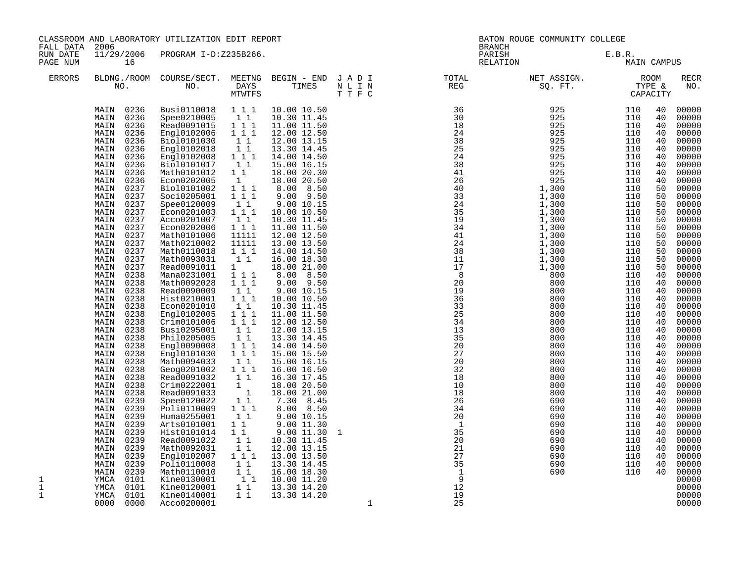| FALL DATA            | CLASSROOM AND LABORATORY UTILIZATION EDIT REPORT<br>2006                                                                                                                                                                                                                                                                                                                                                                                                                                                                                                                                                                                                                                                                                                                                                                               |                                                                                                                                                                                                                                                                                                                                                                                                                                                                                                                                                                                                                                                                                                                                                                                                 |                                                                                                                                                                                                                                                                                                                                                                                                                                                                                                                                                                                                    |                                                                                                                                                                                                                                                                                                                                                                                                                                                                                                                                                                                                                                                                                                                                                                   |         |                                                                                                                                           | BATON ROUGE COMMUNITY COLLEGE<br><b>BRANCH</b>                                                               |                                                                                                              |                                                                                                                                                                                                                                                                                        |                                                                                                                                                                                                                                                                                                                                                                                                                                                                         |  |
|----------------------|----------------------------------------------------------------------------------------------------------------------------------------------------------------------------------------------------------------------------------------------------------------------------------------------------------------------------------------------------------------------------------------------------------------------------------------------------------------------------------------------------------------------------------------------------------------------------------------------------------------------------------------------------------------------------------------------------------------------------------------------------------------------------------------------------------------------------------------|-------------------------------------------------------------------------------------------------------------------------------------------------------------------------------------------------------------------------------------------------------------------------------------------------------------------------------------------------------------------------------------------------------------------------------------------------------------------------------------------------------------------------------------------------------------------------------------------------------------------------------------------------------------------------------------------------------------------------------------------------------------------------------------------------|----------------------------------------------------------------------------------------------------------------------------------------------------------------------------------------------------------------------------------------------------------------------------------------------------------------------------------------------------------------------------------------------------------------------------------------------------------------------------------------------------------------------------------------------------------------------------------------------------|-------------------------------------------------------------------------------------------------------------------------------------------------------------------------------------------------------------------------------------------------------------------------------------------------------------------------------------------------------------------------------------------------------------------------------------------------------------------------------------------------------------------------------------------------------------------------------------------------------------------------------------------------------------------------------------------------------------------------------------------------------------------|---------|-------------------------------------------------------------------------------------------------------------------------------------------|--------------------------------------------------------------------------------------------------------------|--------------------------------------------------------------------------------------------------------------|----------------------------------------------------------------------------------------------------------------------------------------------------------------------------------------------------------------------------------------------------------------------------------------|-------------------------------------------------------------------------------------------------------------------------------------------------------------------------------------------------------------------------------------------------------------------------------------------------------------------------------------------------------------------------------------------------------------------------------------------------------------------------|--|
| RUN DATE<br>PAGE NUM | 16                                                                                                                                                                                                                                                                                                                                                                                                                                                                                                                                                                                                                                                                                                                                                                                                                                     | 11/29/2006 PROGRAM I-D:Z235B266.                                                                                                                                                                                                                                                                                                                                                                                                                                                                                                                                                                                                                                                                                                                                                                |                                                                                                                                                                                                                                                                                                                                                                                                                                                                                                                                                                                                    |                                                                                                                                                                                                                                                                                                                                                                                                                                                                                                                                                                                                                                                                                                                                                                   |         |                                                                                                                                           | PARISH<br>RELATION                                                                                           | E.B.R.                                                                                                       | MAIN CAMPUS                                                                                                                                                                                                                                                                            |                                                                                                                                                                                                                                                                                                                                                                                                                                                                         |  |
| <b>ERRORS</b>        |                                                                                                                                                                                                                                                                                                                                                                                                                                                                                                                                                                                                                                                                                                                                                                                                                                        |                                                                                                                                                                                                                                                                                                                                                                                                                                                                                                                                                                                                                                                                                                                                                                                                 | MTWTFS                                                                                                                                                                                                                                                                                                                                                                                                                                                                                                                                                                                             |                                                                                                                                                                                                                                                                                                                                                                                                                                                                                                                                                                                                                                                                                                                                                                   | T T F C | BLDNG./ROOM COURSE/SECT. MEETNG BEGIN – END J A D I TOTAL TOTAL DAYS TIMES N L I N REG REG N . THES T T F C                               |                                                                                                              |                                                                                                              |                                                                                                                                                                                                                                                                                        | <b>RECR</b><br>NO.                                                                                                                                                                                                                                                                                                                                                                                                                                                      |  |
| 1<br>1<br>1          | MAIN 0236<br>MAIN 0236<br>0236<br>MAIN<br>0236<br>MAIN<br>MAIN<br>0236<br>0236<br>MAIN<br>0236<br>MAIN<br>MAIN<br>0236<br>0236<br>MAIN<br>0236<br>MAIN<br>MAIN<br>0237<br>0237<br>MAIN<br>0237<br>MAIN<br>0237<br>MAIN<br>MAIN<br>0237<br>MAIN<br>0237<br>0237<br>MAIN<br>0237<br>MAIN<br>MAIN<br>0237<br>MAIN<br>0237<br>0237<br>MAIN<br>MAIN<br>0238<br>MAIN<br>0238<br>0238<br>MAIN<br>0238<br>MAIN<br>0238<br>MAIN<br>MAIN<br>0238<br>0238<br>MAIN<br>MAIN<br>0238<br>0238<br>MAIN<br>MAIN<br>0238<br>MAIN<br>0238<br>0238<br>MAIN<br>MAIN<br>0238<br>0238<br>MAIN<br>0238<br>MAIN<br>0238<br>MAIN<br>0239<br>MAIN<br>MAIN<br>0239<br>0239<br>MAIN<br>0239<br>MAIN<br>0239<br>MAIN<br>0239<br>MAIN<br>0239<br>MAIN<br>0239<br>MAIN<br>0239<br>MAIN<br>MAIN<br>0239<br>0101<br>YMCA<br>0101<br>YMCA<br>0101<br>YMCA<br>0000<br>0000 | Busi0110018 1 1 1<br>Spee0210005<br>Read0091015<br>Engl0102006<br>Bio10101030<br>Engl0102018<br>Engl0102008<br>Bio10101017<br>Math0101012<br>Econ0202005<br>Bio10101002<br>Soci0205001<br>Spee0120009<br>Econ0201003<br>Acco0201007<br>Econ0202006<br>Math0101006<br>Math0210002<br>Math0110018<br>Math0093031<br>Read0091011<br>Mana0231001<br>Math0092028<br>Read0090009<br>Hist0210001<br>Econ0201010<br>Engl0102005<br>Crim0101006<br>Busi0295001<br>Phil0205005<br>Eng10090008<br>Eng10101030<br>Math0094033<br>Geog0201002<br>Read0091032<br>Crim0222001<br>Read0091033<br>Spee0120022<br>Poli0110009<br>Huma0255001<br>Arts0101001<br>Hist0101014<br>Read0091022<br>Math0092031<br>Engl0102007<br>Poli0110008<br>Math0110010<br>Kine0130001<br>Kine0120001<br>Kine0140001<br>Acco0200001 | 11<br>$1 1 1$<br>$1 1 1$<br>$1\quad1$<br>11<br>$1 1 1$<br>$1\quad1$<br>$1\quad1$<br>1<br>111<br>$1 1 1$<br>$1\quad1$<br>$1\ 1\ 1$<br>11<br>111<br>11111<br>11111<br>111<br>11<br>$1 \quad \blacksquare$<br>$1 1 1$<br>$1\ 1\ 1$<br>11<br>$1\ 1\ 1$<br>1 1<br>1 1 1<br>111<br>$1\quad1$<br>$1\quad1$<br>1 1 1<br>$1 1 1$<br>$1\quad1$<br>$1 1 1$<br>11<br>$\begin{smallmatrix}1\\1\\1\end{smallmatrix}$<br>$\begin{smallmatrix}1 & 1\\1 & 1\end{smallmatrix}$<br>1 1<br>$1\quad1$<br>$1\quad1$<br>11<br>11<br>111<br>11<br>$\begin{smallmatrix}1&&1\\&1\\1&&1\end{smallmatrix}$<br>1 1<br>$1\quad1$ | 10.00 10.50<br>10.30 11.45<br>11.00 11.50<br>12.00 12.50<br>12.00 13.15<br>13.30 14.45<br>14.00 14.50<br>15.00 16.15<br>18.00 20.30<br>18.00 20.50<br>8.00 8.50<br>9.00 9.50<br>9.00 10.15<br>10.00 10.50<br>10.30 11.45<br>11.00 11.50<br>12.00 12.50<br>13.00 13.50<br>14.00 14.50<br>16.00 18.30<br>18.00 21.00<br>8.00 8.50<br>$9.00$ $9.50$<br>9.00 10.15<br>10.00 10.50<br>10.30 11.45<br>11.00 11.50<br>12.00 12.50<br>12.00 13.15<br>13.30 14.45<br>14.00 14.50<br>15.00 15.50<br>15.00 16.15<br>16.00 16.50<br>16.30 17.45<br>18.00 20.50<br>18.00 21.00<br>7.30 8.45<br>8.00 8.50<br>9.00 10.15<br>9.00 11.30<br>$9.00$ $11.30$<br>10.30 11.45<br>12.00 13.15<br>13.00 13.50<br>13.30 14.45<br>16.00 18.30<br>10.00 11.20<br>13.30 14.20<br>13.30 14.20 | 1<br>1  | 27<br>20<br>32<br>18<br>10<br>18<br>26<br>34<br>20<br>$\overline{1}$<br>35<br>20<br>21<br>27<br>35<br>$\mathbf{1}$<br>9<br>12<br>19<br>25 | 800<br>800<br>800<br>800<br>800<br>800<br>690<br>690<br>690<br>690<br>690<br>690<br>690<br>690<br>690<br>690 | 110<br>110<br>110<br>110<br>110<br>110<br>110<br>110<br>110<br>110<br>110<br>110<br>110<br>110<br>110<br>110 | 40<br>40<br>40<br>40<br>40<br>40<br>40<br>40<br>40<br>40<br>50<br>50<br>50<br>50<br>50<br>50<br>50<br>50<br>50<br>50<br>50<br>40<br>40<br>40<br>40<br>40<br>40<br>40<br>40<br>40<br>40<br>40<br>40<br>40<br>40<br>40<br>40<br>40<br>40<br>40<br>40<br>40<br>40<br>40<br>40<br>40<br>40 | 00000<br>00000<br>00000<br>00000<br>00000<br>00000<br>00000<br>00000<br>00000<br>00000<br>00000<br>00000<br>00000<br>00000<br>00000<br>00000<br>00000<br>00000<br>00000<br>00000<br>00000<br>00000<br>00000<br>00000<br>00000<br>00000<br>00000<br>00000<br>00000<br>00000<br>00000<br>00000<br>00000<br>00000<br>00000<br>00000<br>00000<br>00000<br>00000<br>00000<br>00000<br>00000<br>00000<br>00000<br>00000<br>00000<br>00000<br>00000<br>00000<br>00000<br>00000 |  |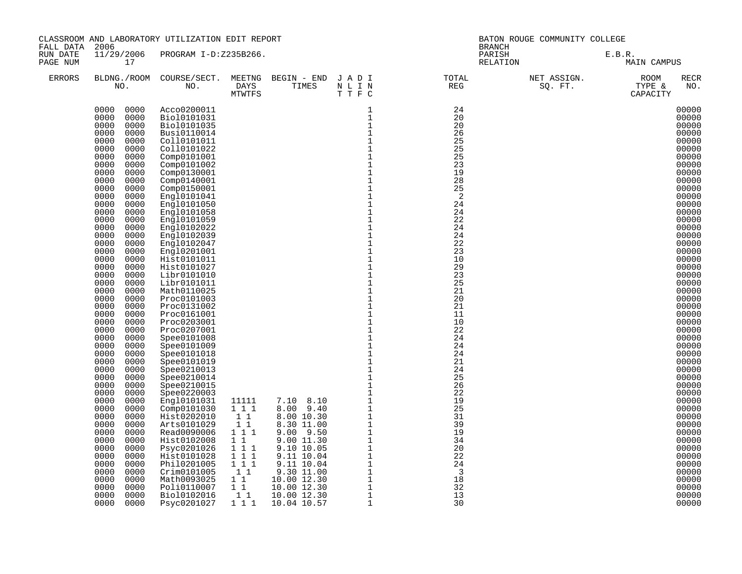| FALL DATA            | 2006                                                                                                                                                                                                                                                                                                                                                                                                                                                                                                                                                                                                                                                                                                                                                                                                      | CLASSROOM AND LABORATORY UTILIZATION EDIT REPORT                                                                                                                                                                                                                                                                                                                                                                                                                                                                                                                                                                                                                                                                                                            |                                                                                                        |                                                                                                                                                                                                                                                                                                         | BATON ROUGE COMMUNITY COLLEGE<br><b>BRANCH</b>                                                                                                                                                                                                                                                                                                                                                                                                                                                                                                                                                                                                                                                       |                                                                                                                                                                                                                                                                                                                         |  |                                                                                                                                                                                                                                                                                                                                                                                                                                                       |  |  |
|----------------------|-----------------------------------------------------------------------------------------------------------------------------------------------------------------------------------------------------------------------------------------------------------------------------------------------------------------------------------------------------------------------------------------------------------------------------------------------------------------------------------------------------------------------------------------------------------------------------------------------------------------------------------------------------------------------------------------------------------------------------------------------------------------------------------------------------------|-------------------------------------------------------------------------------------------------------------------------------------------------------------------------------------------------------------------------------------------------------------------------------------------------------------------------------------------------------------------------------------------------------------------------------------------------------------------------------------------------------------------------------------------------------------------------------------------------------------------------------------------------------------------------------------------------------------------------------------------------------------|--------------------------------------------------------------------------------------------------------|---------------------------------------------------------------------------------------------------------------------------------------------------------------------------------------------------------------------------------------------------------------------------------------------------------|------------------------------------------------------------------------------------------------------------------------------------------------------------------------------------------------------------------------------------------------------------------------------------------------------------------------------------------------------------------------------------------------------------------------------------------------------------------------------------------------------------------------------------------------------------------------------------------------------------------------------------------------------------------------------------------------------|-------------------------------------------------------------------------------------------------------------------------------------------------------------------------------------------------------------------------------------------------------------------------------------------------------------------------|--|-------------------------------------------------------------------------------------------------------------------------------------------------------------------------------------------------------------------------------------------------------------------------------------------------------------------------------------------------------------------------------------------------------------------------------------------------------|--|--|
| RUN DATE<br>PAGE NUM | 17                                                                                                                                                                                                                                                                                                                                                                                                                                                                                                                                                                                                                                                                                                                                                                                                        | 11/29/2006 PROGRAM I-D:Z235B266.                                                                                                                                                                                                                                                                                                                                                                                                                                                                                                                                                                                                                                                                                                                            |                                                                                                        |                                                                                                                                                                                                                                                                                                         |                                                                                                                                                                                                                                                                                                                                                                                                                                                                                                                                                                                                                                                                                                      | PARISH<br>RELATION                                                                                                                                                                                                                                                                                                      |  | E.B.R.<br>MAIN CAMPUS                                                                                                                                                                                                                                                                                                                                                                                                                                 |  |  |
| <b>ERRORS</b>        |                                                                                                                                                                                                                                                                                                                                                                                                                                                                                                                                                                                                                                                                                                                                                                                                           |                                                                                                                                                                                                                                                                                                                                                                                                                                                                                                                                                                                                                                                                                                                                                             |                                                                                                        |                                                                                                                                                                                                                                                                                                         | BLDNG./ROOM COURSE/SECT. MEETNG BEGIN – END JADI TOTAL TOTAL NO. DAYS TIMES NLIN REG REG TTFC                                                                                                                                                                                                                                                                                                                                                                                                                                                                                                                                                                                                        |                                                                                                                                                                                                                                                                                                                         |  | RECR<br>NO.                                                                                                                                                                                                                                                                                                                                                                                                                                           |  |  |
|                      | 0000 0000<br>0000<br>0000<br>0000<br>0000<br>0000<br>0000<br>0000<br>0000<br>0000<br>0000<br>0000<br>0000<br>0000<br>0000<br>0000<br>0000<br>0000<br>0000<br>0000<br>0000<br>0000<br>0000<br>0000<br>0000<br>0000<br>0000<br>0000<br>0000<br>0000<br>0000<br>0000<br>0000<br>0000<br>0000<br>0000<br>0000<br>0000<br>0000<br>0000<br>0000<br>0000<br>0000<br>0000<br>0000<br>0000<br>0000<br>0000<br>0000<br>0000<br>0000<br>0000<br>0000<br>0000<br>0000<br>0000<br>0000<br>0000<br>0000<br>0000<br>0000<br>0000<br>0000<br>0000<br>0000<br>0000<br>0000<br>0000<br>0000<br>0000<br>0000<br>0000<br>0000<br>0000<br>0000<br>0000<br>0000<br>0000<br>0000<br>0000<br>0000<br>0000<br>0000<br>0000<br>0000<br>0000<br>0000<br>0000<br>0000<br>0000<br>0000<br>0000<br>0000<br>0000<br>0000<br>0000<br>0000 | Acco0200011<br>Bio10101031<br>Bio10101035<br>Busi0110014<br>Coll0101011<br>Coll0101022<br>Comp0101001<br>Comp0101002<br>Comp0130001<br>Comp0140001<br>Comp0150001<br>Engl0101041<br>Engl0101050<br>Engl0101058<br>Engl0101059<br>Engl0102022<br>Eng10102039<br>Engl0102047<br>Eng10201001<br>Hist0101011<br>Hist0101027<br>Libr0101010<br>Libr0101011<br>Math0110025<br>Proc0101003<br>Proc0131002<br>Proc0161001<br>Proc0203001<br>Proc0207001<br>Spee0101008<br>Spee0101009<br>Spee0101018<br>Spee0101019<br>Spee0210013<br>Spee0210014<br>Spee0210015<br>Spee0220003<br>Engl0101031<br>Comp0101030<br>Hist0202010<br>Arts0101029<br>Read0090006<br>Hist0102008<br>Psyc0201026<br>Hist0101028<br>Phil0201005<br>Crim0101005<br>Math0093025<br>Poli0110007 | 11111<br>1 1 1<br>1 1<br>$1\quad1$<br>1 1 1<br>$1\quad1$<br>111<br>111<br>111<br>11<br>$1\quad1$<br>11 | MTWTFS $T T F$<br>11111 7.10 8.10<br>1 1 1 8.00 9.40<br>$\begin{array}{ll} 7.10 & 8.10 \\ 8.00 & 9.40 \\ 8.00 & 10.30 \\ 8.30 & 11.00 \\ 9.00 & 9.50 \\ 9.00 & 11.30 \\ 9.10 & 10.05 \\ 9.11 & 10.04 \\ 9.11 & 10.04 \\ 9.30 & 11.00 \\ 10.00 & 12.30 \\ 10.00 & 12.30 \\ 10.00 & 12.30 \\ \end{array}$ | $\mathbf 1$<br>$\mathbf 1$<br>$\mathbf{1}$<br>$\mathbf{1}$<br>$\frac{1}{1}$<br>$\mathbf{1}$<br>$1\,$<br>$\mathbf{1}$<br>$1\,$<br>$\mathbf{1}$<br>$\mathbf{1}$<br>$\mathbf 1$<br>$1\,$<br>$\mathbf{1}$<br>$\mathbf{1}$<br>$\mathbf 1$<br>$\frac{1}{1}$<br>$\,1\,$<br>$\mathbf 1$<br>$\overline{1}$<br>$1$<br>$1\,$<br>$\begin{array}{c} 1 \\ 1 \\ 1 \end{array}$<br>$\mathbf{1}$<br>$\mathbf 1$<br>$\begin{smallmatrix}1\\1\\1\end{smallmatrix}$<br>$1\,$<br>$\mathbf 1$<br>$\mathbf 1$<br>$\mathbf{1}$<br>$\mathbf{1}$<br>$\mathbf{1}$<br>$\mathbf{1}$<br>$\mathbf{1}$<br>$\mathbf{1}$<br>$\mathbf{1}$<br>$\mathbf{1}$<br>$1\,$<br>$\mathbf{1}$<br>$1\,$<br>$\mathbf{1}$<br>$\frac{1}{1}$<br>$\,1\,$ | 24<br>20<br>20<br>26<br>25<br>25<br>25<br>23<br>19<br>28<br>25<br>-2<br>24<br>24<br>22<br>24<br>24<br>22<br>23<br>10<br>29<br>23<br>25<br>21<br>20<br>21<br>11<br>10<br>22<br>24<br>24<br>24<br>21<br>24<br>25<br>26<br>22<br>19<br>25<br>31<br>39<br>19<br>34<br>20<br>22<br>24<br>$\overline{\mathbf{3}}$<br>18<br>32 |  | 00000<br>00000<br>00000<br>00000<br>00000<br>00000<br>00000<br>00000<br>00000<br>00000<br>00000<br>00000<br>00000<br>00000<br>00000<br>00000<br>00000<br>00000<br>00000<br>00000<br>00000<br>00000<br>00000<br>00000<br>00000<br>00000<br>00000<br>00000<br>00000<br>00000<br>00000<br>00000<br>00000<br>00000<br>00000<br>00000<br>00000<br>00000<br>00000<br>00000<br>00000<br>00000<br>00000<br>00000<br>00000<br>00000<br>00000<br>00000<br>00000 |  |  |
|                      | 0000<br>0000<br>0000<br>0000                                                                                                                                                                                                                                                                                                                                                                                                                                                                                                                                                                                                                                                                                                                                                                              | Bio10102016<br>Psyc0201027                                                                                                                                                                                                                                                                                                                                                                                                                                                                                                                                                                                                                                                                                                                                  | 1 1<br>1 1 1                                                                                           | 10.00 12.30<br>10.04 10.57                                                                                                                                                                                                                                                                              | $\,1\,$<br>$\mathbf{1}$                                                                                                                                                                                                                                                                                                                                                                                                                                                                                                                                                                                                                                                                              | 13<br>30                                                                                                                                                                                                                                                                                                                |  | 00000<br>00000                                                                                                                                                                                                                                                                                                                                                                                                                                        |  |  |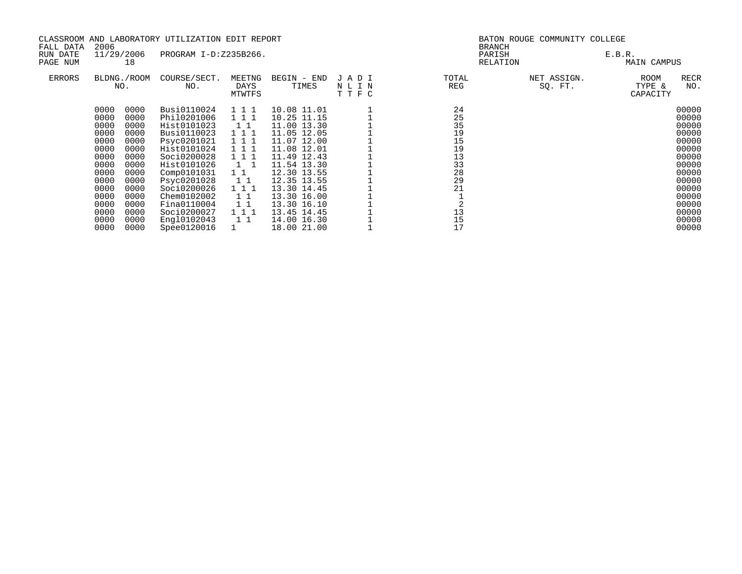|               |              |                    | CLASSROOM AND LABORATORY UTILIZATION EDIT REPORT |                          |                            |                      | BATON ROUGE COMMUNITY COLLEGE |                        |                                           |  |  |  |
|---------------|--------------|--------------------|--------------------------------------------------|--------------------------|----------------------------|----------------------|-------------------------------|------------------------|-------------------------------------------|--|--|--|
| FALL DATA     | 2006         |                    |                                                  |                          |                            |                      |                               | <b>BRANCH</b>          |                                           |  |  |  |
| RUN DATE      |              | 11/29/2006         | PROGRAM I-D:Z235B266.                            |                          |                            |                      |                               | PARISH                 | E.B.R.                                    |  |  |  |
| PAGE NUM      |              | 18                 |                                                  |                          |                            |                      |                               | RELATION               | MAIN CAMPUS                               |  |  |  |
| <b>ERRORS</b> |              | BLDNG./ROOM<br>NO. | COURSE/SECT.<br>NO.                              | MEETNG<br>DAYS<br>MTWTFS | BEGIN - END<br>TIMES       | JADI<br>NLIN<br>TTFC | TOTAL<br>REG                  | NET ASSIGN.<br>SQ. FT. | RECR<br>ROOM<br>TYPE &<br>NO.<br>CAPACITY |  |  |  |
|               | 0000         | 0000               | Busi0110024                                      | 111                      | 10.08 11.01                |                      | 24                            |                        | 00000                                     |  |  |  |
|               | 0000         | 0000               | Phil0201006                                      | 1 1 1                    | 10.25 11.15                |                      | 25                            |                        | 00000                                     |  |  |  |
|               | 0000         | 0000               | Hist0101023                                      | $1\quad1$                | 11.00 13.30                |                      | 35                            |                        | 00000                                     |  |  |  |
|               | 0000         | 0000               | Busi0110023                                      | 1 1 1                    | 11.05 12.05                |                      | 19                            |                        | 00000                                     |  |  |  |
|               | 0000         | 0000               | Psyc0201021                                      | 111                      | 11.07 12.00                |                      | 15                            |                        | 00000                                     |  |  |  |
|               | 0000         | 0000               | Hist0101024                                      | 1 1 1                    | 11.08 12.01                |                      | 19                            |                        | 00000                                     |  |  |  |
|               | 0000         | 0000               | Soci0200028                                      | 1 1 1                    | 11.49 12.43                |                      | 13                            |                        | 00000                                     |  |  |  |
|               | 0000         | 0000               | Hist0101026                                      | $1\quad1$                | 11.54 13.30                |                      | 33                            |                        | 00000                                     |  |  |  |
|               | 0000         | 0000               | Comp0101031                                      | $1\quad1$                | 12.30 13.55                |                      | 28                            |                        | 00000                                     |  |  |  |
|               | 0000         | 0000               | Psyc0201028                                      | $1\;1$                   | 12.35 13.55                |                      | 29                            |                        | 00000                                     |  |  |  |
|               | 0000         | 0000               | Soci0200026                                      | 111                      | 13.30 14.45                |                      | 21                            |                        | 00000                                     |  |  |  |
|               | 0000<br>0000 | 0000               | Chem0102002<br>Fina0110004                       | $1\quad1$                | 13.30 16.00<br>13.30 16.10 |                      |                               |                        | 00000<br>00000                            |  |  |  |
|               | 0000         | 0000<br>0000       | Soci0200027                                      | $1\quad1$<br>111         | 13.45 14.45                |                      | 13                            |                        | 00000                                     |  |  |  |
|               | 0000         | 0000               | Engl0102043                                      | 11                       | 14.00 16.30                |                      | 15                            |                        | 00000                                     |  |  |  |
|               | 0000         | 0000               | Spee0120016                                      |                          | 18.00 21.00                |                      | 17                            |                        | 00000                                     |  |  |  |
|               |              |                    |                                                  |                          |                            |                      |                               |                        |                                           |  |  |  |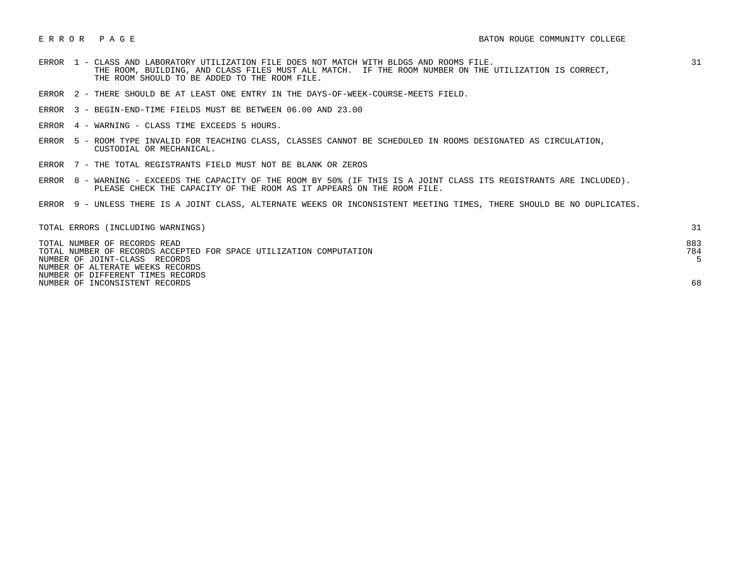- ERROR 1 CLASS AND LABORATORY UTILIZATION FILE DOES NOT MATCH WITH BLDGS AND ROOMS FILE. 31 THE ROOM, BUILDING, AND CLASS FILES MUST ALL MATCH. IF THE ROOM NUMBER ON THE UTILIZATION IS CORRECT, THE ROOM SHOULD TO BE ADDED TO THE ROOM FILE.
- ERROR 2 THERE SHOULD BE AT LEAST ONE ENTRY IN THE DAYS-OF-WEEK-COURSE-MEETS FIELD.
- ERROR 3 BEGIN-END-TIME FIELDS MUST BE BETWEEN 06.00 AND 23.00
- ERROR 4 WARNING CLASS TIME EXCEEDS 5 HOURS.
- ERROR 5 ROOM TYPE INVALID FOR TEACHING CLASS, CLASSES CANNOT BE SCHEDULED IN ROOMS DESIGNATED AS CIRCULATION, CUSTODIAL OR MECHANICAL.
- ERROR 7 THE TOTAL REGISTRANTS FIELD MUST NOT BE BLANK OR ZEROS
- ERROR 8 WARNING EXCEEDS THE CAPACITY OF THE ROOM BY 50% (IF THIS IS A JOINT CLASS ITS REGISTRANTS ARE INCLUDED). PLEASE CHECK THE CAPACITY OF THE ROOM AS IT APPEARS ON THE ROOM FILE.
- ERROR 9 UNLESS THERE IS A JOINT CLASS, ALTERNATE WEEKS OR INCONSISTENT MEETING TIMES, THERE SHOULD BE NO DUPLICATES.

| TOTAL ERRORS (INCLUDING WARNINGS)                                  |     |
|--------------------------------------------------------------------|-----|
| TOTAL NUMBER OF RECORDS READ                                       | 883 |
| TOTAL NUMBER OF RECORDS ACCEPTED FOR SPACE UTILIZATION COMPUTATION | 784 |
| NUMBER OF JOINT-CLASS RECORDS                                      |     |
| NUMBER OF ALTERATE WEEKS RECORDS                                   |     |
| NUMBER OF DIFFERENT TIMES RECORDS                                  |     |
| NUMBER OF INCONSISTENT RECORDS                                     |     |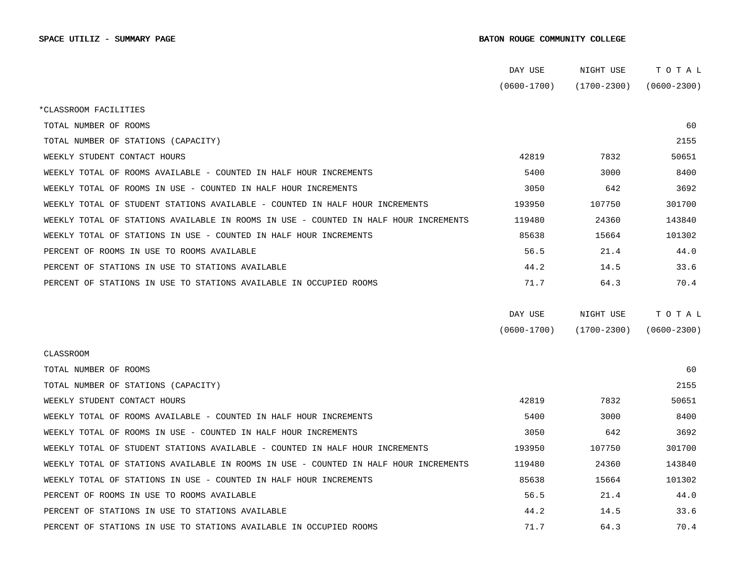|                                                                                      | DAY USE         | NIGHT USE       | TOTAL           |  |
|--------------------------------------------------------------------------------------|-----------------|-----------------|-----------------|--|
|                                                                                      | $(0600 - 1700)$ | (1700-2300)     | $(0600 - 2300)$ |  |
| *CLASSROOM FACILITIES                                                                |                 |                 |                 |  |
| TOTAL NUMBER OF ROOMS                                                                |                 |                 | 60              |  |
| TOTAL NUMBER OF STATIONS (CAPACITY)                                                  |                 |                 | 2155            |  |
| WEEKLY STUDENT CONTACT HOURS                                                         | 42819           | 7832            | 50651           |  |
| WEEKLY TOTAL OF ROOMS AVAILABLE - COUNTED IN HALF HOUR INCREMENTS                    | 5400            | 3000            | 8400            |  |
| WEEKLY TOTAL OF ROOMS IN USE - COUNTED IN HALF HOUR INCREMENTS                       | 3050            | 642             | 3692            |  |
| WEEKLY TOTAL OF STUDENT STATIONS AVAILABLE - COUNTED IN HALF HOUR INCREMENTS         | 193950          | 107750          | 301700          |  |
| WEEKLY TOTAL OF STATIONS AVAILABLE IN ROOMS IN USE - COUNTED IN HALF HOUR INCREMENTS | 119480          | 24360           | 143840          |  |
| WEEKLY TOTAL OF STATIONS IN USE - COUNTED IN HALF HOUR INCREMENTS                    | 85638           | 15664           | 101302          |  |
| PERCENT OF ROOMS IN USE TO ROOMS AVAILABLE                                           | 56.5            | 21.4            | 44.0            |  |
| PERCENT OF STATIONS IN USE TO STATIONS AVAILABLE                                     | 44.2            | 14.5            | 33.6            |  |
| PERCENT OF STATIONS IN USE TO STATIONS AVAILABLE IN OCCUPIED ROOMS                   | 71.7            | 64.3            | 70.4            |  |
|                                                                                      |                 |                 |                 |  |
|                                                                                      | DAY USE         | NIGHT USE       | TOTAL           |  |
|                                                                                      | $(0600 - 1700)$ | $(1700 - 2300)$ | $(0600 - 2300)$ |  |
| <b>CLASSROOM</b>                                                                     |                 |                 |                 |  |
| TOTAL NUMBER OF ROOMS                                                                |                 |                 | 60              |  |
| TOTAL NUMBER OF STATIONS (CAPACITY)                                                  |                 |                 | 2155            |  |
| WEEKLY STUDENT CONTACT HOURS                                                         | 42819           | 7832            | 50651           |  |
| WEEKLY TOTAL OF ROOMS AVAILABLE - COUNTED IN HALF HOUR INCREMENTS                    | 5400            | 3000            | 8400            |  |
| WEEKLY TOTAL OF ROOMS IN USE - COUNTED IN HALF HOUR INCREMENTS                       | 3050            | 642             | 3692            |  |
| WEEKLY TOTAL OF STUDENT STATIONS AVAILABLE - COUNTED IN HALF HOUR INCREMENTS         | 193950          | 107750          | 301700          |  |
| WEEKLY TOTAL OF STATIONS AVAILABLE IN ROOMS IN USE - COUNTED IN HALF HOUR INCREMENTS | 119480          | 24360           | 143840          |  |
| WEEKLY TOTAL OF STATIONS IN USE - COUNTED IN HALF HOUR INCREMENTS                    | 85638           | 15664           | 101302          |  |
| PERCENT OF ROOMS IN USE TO ROOMS AVAILABLE                                           | 56.5            | 21.4            | 44.0            |  |
| PERCENT OF STATIONS IN USE TO STATIONS AVAILABLE                                     | 44.2            | 14.5            | 33.6            |  |
| PERCENT OF STATIONS IN USE TO STATIONS AVAILABLE IN OCCUPIED ROOMS                   | 71.7            | 64.3            | 70.4            |  |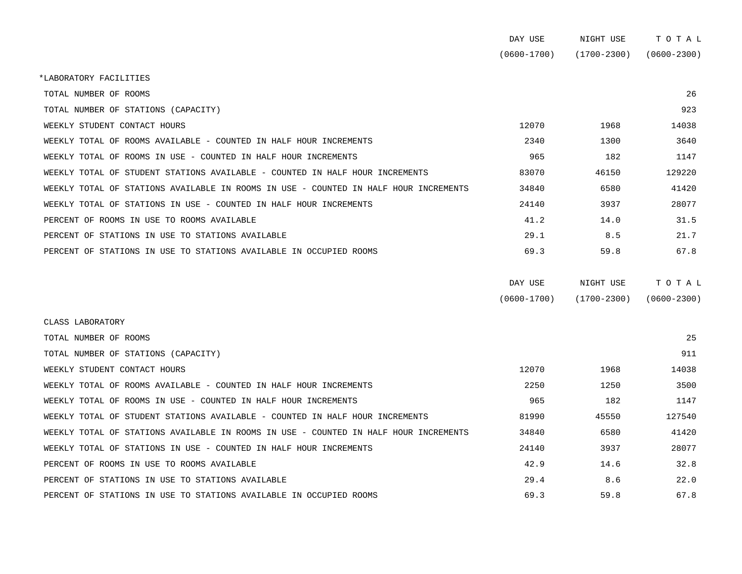|                                                                                      | DAY USE         | NIGHT USE       | TOTAL           |
|--------------------------------------------------------------------------------------|-----------------|-----------------|-----------------|
|                                                                                      | $(0600 - 1700)$ | $(1700 - 2300)$ | $(0600 - 2300)$ |
| *LABORATORY FACILITIES                                                               |                 |                 |                 |
| TOTAL NUMBER OF ROOMS                                                                |                 |                 | 26              |
| TOTAL NUMBER OF STATIONS (CAPACITY)                                                  |                 |                 | 923             |
| WEEKLY STUDENT CONTACT HOURS                                                         | 12070           | 1968            | 14038           |
| WEEKLY TOTAL OF ROOMS AVAILABLE - COUNTED IN HALF HOUR INCREMENTS                    | 2340            | 1300            | 3640            |
| WEEKLY TOTAL OF ROOMS IN USE - COUNTED IN HALF HOUR INCREMENTS                       | 965             | 182             | 1147            |
| WEEKLY TOTAL OF STUDENT STATIONS AVAILABLE - COUNTED IN HALF HOUR INCREMENTS         | 83070           | 46150           | 129220          |
| WEEKLY TOTAL OF STATIONS AVAILABLE IN ROOMS IN USE - COUNTED IN HALF HOUR INCREMENTS | 34840           | 6580            | 41420           |
| WEEKLY TOTAL OF STATIONS IN USE - COUNTED IN HALF HOUR INCREMENTS                    | 24140           | 3937            | 28077           |
| PERCENT OF ROOMS IN USE TO ROOMS AVAILABLE                                           | 41.2            | 14.0            | 31.5            |
| PERCENT OF STATIONS IN USE TO STATIONS AVAILABLE                                     | 29.1            | 8.5             | 21.7            |
| PERCENT OF STATIONS IN USE TO STATIONS AVAILABLE IN OCCUPIED ROOMS                   | 69.3            | 59.8            | 67.8            |
|                                                                                      | DAY USE         | NIGHT USE       | TOTAL           |

| $(0600 - 1700)$ | $(1700 - 2300)$ | $(0600 - 2300)$ |
|-----------------|-----------------|-----------------|

| CLASS LABORATORY                                                                     |       |       |        |
|--------------------------------------------------------------------------------------|-------|-------|--------|
| TOTAL NUMBER OF ROOMS                                                                |       |       | 25     |
| TOTAL NUMBER OF STATIONS (CAPACITY)                                                  |       |       | 911    |
| WEEKLY STUDENT CONTACT HOURS                                                         | 12070 | 1968  | 14038  |
| WEEKLY TOTAL OF ROOMS AVAILABLE - COUNTED IN HALF HOUR INCREMENTS                    | 2250  | 1250  | 3500   |
| WEEKLY TOTAL OF ROOMS IN USE - COUNTED IN HALF HOUR INCREMENTS                       | 965   | 182   | 1147   |
| WEEKLY TOTAL OF STUDENT STATIONS AVAILABLE - COUNTED IN HALF HOUR INCREMENTS         | 81990 | 45550 | 127540 |
| WEEKLY TOTAL OF STATIONS AVAILABLE IN ROOMS IN USE - COUNTED IN HALF HOUR INCREMENTS | 34840 | 6580  | 41420  |
| WEEKLY TOTAL OF STATIONS IN USE - COUNTED IN HALF HOUR INCREMENTS                    | 24140 | 3937  | 28077  |
| PERCENT OF ROOMS IN USE TO ROOMS AVAILABLE                                           | 42.9  | 14.6  | 32.8   |
| PERCENT OF STATIONS IN USE TO STATIONS AVAILABLE                                     | 29.4  | 8.6   | 22.0   |
| PERCENT OF STATIONS IN USE TO STATIONS AVAILABLE IN OCCUPIED ROOMS                   | 69.3  | 59.8  | 67.8   |